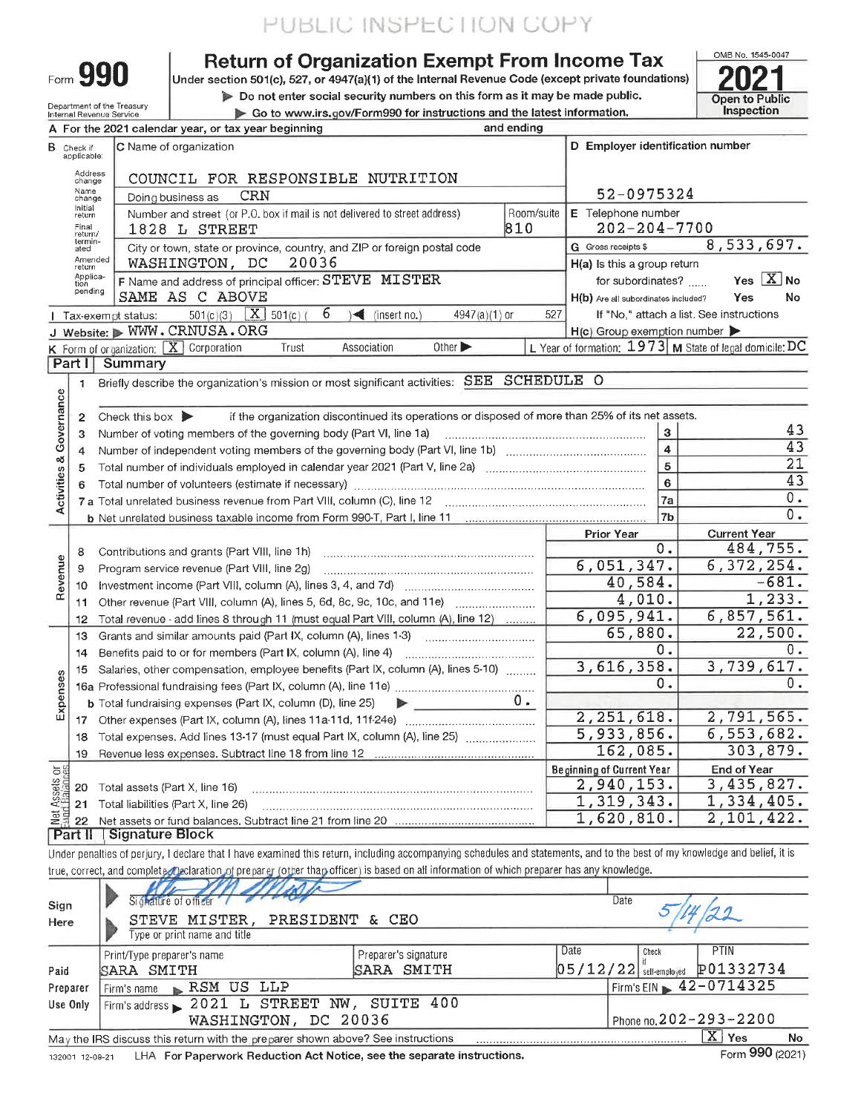Form 990

Department of the Treasury<br>Internal Revenue Service

### **Return of Organization Exempt From Income Tax**

Under section 501(c), 527, or 4947(a)(1) of the Internal Revenue Code (except private foundations)

Do not enter social security numbers on this form as it may be made public. Go to www.irs.gov/Form990 for instructions and the latest information.

OMB No. 1545-0047 Open to Public Inspection

|                                |                         | A For the 2021 calendar year, or tax year beginning                                                                                     | and ending         |                                                           |                                          |
|--------------------------------|-------------------------|-----------------------------------------------------------------------------------------------------------------------------------------|--------------------|-----------------------------------------------------------|------------------------------------------|
| в                              | Check if<br>applicable: | C Name of organization                                                                                                                  |                    | D Employer identification number                          |                                          |
|                                | Address<br>change       | COUNCIL FOR RESPONSIBLE NUTRITION                                                                                                       |                    |                                                           |                                          |
|                                | Name<br>change          | CRN<br>Doing business as                                                                                                                | 52-0975324         |                                                           |                                          |
|                                | Initial<br>return       | Room/suite<br>Number and street (or P.O. box if mail is not delivered to street address)                                                | E Telephone number |                                                           |                                          |
|                                | Final<br>return/        | 1828 L STREET                                                                                                                           | 810                | $202 - 204 - 7700$                                        |                                          |
|                                | termin-<br>ated         | City or town, state or province, country, and ZIP or foreign postal code                                                                |                    | G Gross receipts \$                                       | 8,533,697.                               |
|                                | Amended<br>return       | 20036<br>WASHINGTON, DC                                                                                                                 |                    | H(a) Is this a group return                               |                                          |
|                                | Applica-<br>tion        | F Name and address of principal officer: STEVE MISTER                                                                                   |                    | for subordinates?                                         | Yes $X$ No                               |
|                                | pending                 | SAME AS C ABOVE                                                                                                                         |                    | H(b) Are all subordinates included?                       | No<br>Yes                                |
|                                |                         | $6\phantom{1}6$<br>$501(c)(3)$ <b>X</b> $501(c)$<br>$\blacktriangleleft$ (insert no.)<br>$4947(a)(1)$ or<br>  Tax-exempt status:        | 527                |                                                           | If "No," attach a list. See instructions |
|                                |                         | J Website: WWW.CRNUSA.ORG                                                                                                               |                    | $H(c)$ Group exemption number $\blacktriangleright$       |                                          |
|                                |                         | K Form of organization: X Corporation<br>Association<br>Other $\blacktriangleright$<br>Trust                                            |                    | L Year of formation: $1973$ M State of legal domicile: DC |                                          |
|                                | Part II                 | Summary                                                                                                                                 |                    |                                                           |                                          |
|                                | 1                       | Briefly describe the organization's mission or most significant activities: SEE                                                         | <b>SCHEDULE O</b>  |                                                           |                                          |
|                                |                         |                                                                                                                                         |                    |                                                           |                                          |
| Activities & Governance        | $\overline{2}$          | if the organization discontinued its operations or disposed of more than 25% of its net assets.<br>Check this box $\blacktriangleright$ |                    |                                                           |                                          |
|                                | 3                       | Number of voting members of the governing body (Part VI, line 1a)                                                                       | 3                  | 43                                                        |                                          |
|                                | 4                       |                                                                                                                                         | $\overline{4}$     | 43                                                        |                                          |
|                                | 5                       |                                                                                                                                         | 5                  | 21                                                        |                                          |
|                                | 6                       |                                                                                                                                         |                    | 6                                                         | 43                                       |
|                                |                         |                                                                                                                                         |                    | 7a                                                        | $0$ .<br>$\overline{0}$ .                |
|                                |                         |                                                                                                                                         |                    | 7 <sub>b</sub>                                            |                                          |
|                                |                         |                                                                                                                                         |                    | Prior Year<br>0.                                          | <b>Current Year</b><br>484,755.          |
|                                | 8                       | Contributions and grants (Part VIII, line 1h)                                                                                           |                    |                                                           |                                          |
| Revenue                        | 9                       | Program service revenue (Part VIII, line 2g)                                                                                            |                    | 6,051,347.                                                | 6,372,254.<br>$-681.$                    |
|                                | 10                      | Investment income (Part VIII, column (A), lines $3, 4$ , and $7d$ ) $\ldots$ $\ldots$ $\ldots$                                          |                    | 40,584.                                                   | 1,233.                                   |
|                                | 11                      | Other revenue (Part VIII, column (A), lines 5, 6d, 8c, 9c, 10c, and 11e)                                                                |                    | 4,010.                                                    |                                          |
|                                | 12                      | Total revenue - add lines 8 through 11 (must equal Part VIII, column (A), line 12)                                                      |                    | 6,095,941.                                                | 6,857,561.                               |
|                                | 13                      | Grants and similar amounts paid (Part IX, column (A), lines 1-3)                                                                        |                    | 65,880.                                                   | 22,500.                                  |
|                                | 14                      | Benefits paid to or for members (Part IX, column (A), line 4)                                                                           |                    | 0.                                                        | 0.                                       |
|                                | 15                      | Salaries, other compensation, employee benefits (Part IX, column (A), lines 5-10)                                                       |                    | 3,616,358.                                                | 3,739,617.<br>$0$ .                      |
| Expenses                       |                         |                                                                                                                                         |                    | 0.                                                        |                                          |
|                                |                         | <b>b</b> Total fundraising expenses (Part IX, column (D), line 25)<br>$\blacktriangleright$                                             | $0$ .              |                                                           |                                          |
|                                |                         |                                                                                                                                         |                    | 2,251,618.                                                | 2,791,565.                               |
|                                | 18                      | Total expenses. Add lines 13-17 (must equal Part IX, column (A), line 25)                                                               |                    | 5,933,856.                                                | 6, 553, 682.                             |
|                                | 19                      |                                                                                                                                         |                    | 162,085.                                                  | 303,879.                                 |
|                                |                         |                                                                                                                                         |                    | <b>Beginning of Current Year</b>                          | <b>End of Year</b>                       |
|                                |                         | 20 Total assets (Part X, line 16)                                                                                                       |                    | 2,940,153.                                                | 3,435,827.                               |
| Net Assets or<br>Eund Balances |                         | 21 Total liabilities (Part X, line 26)                                                                                                  |                    | 1,319,343.                                                | 1,334,405.                               |
|                                | 22                      | Part II Signature Block                                                                                                                 |                    | 1,620,810.                                                | 2,101,422.                               |
|                                |                         |                                                                                                                                         |                    |                                                           |                                          |

Under penalties of perjury, I declare that I have examined this return, including accompanying schedules and statements, and to the best of my knowledge and belief, it is true, correct, and complete declaration of preparer (other than officer) is based on all information of which preparer has any knowledge.

| Sign<br>Here | $\sim$ $\frac{1}{10}$ $\frac{1}{10}$ $\frac{1}{10}$<br>Signature of officer<br>STEVE MISTER, PRESIDENT & CEO<br>Type or print name and title                                                                                                                                                                                                                                                                                                                 |            | Date                                     |  |                                            |    |  |  |  |  |  |
|--------------|--------------------------------------------------------------------------------------------------------------------------------------------------------------------------------------------------------------------------------------------------------------------------------------------------------------------------------------------------------------------------------------------------------------------------------------------------------------|------------|------------------------------------------|--|--------------------------------------------|----|--|--|--|--|--|
| Paid         | Print/Type preparer's name<br>SARA SMITH                                                                                                                                                                                                                                                                                                                                                                                                                     | Check      | PTIN<br>05/12/22 self-employed P01332734 |  |                                            |    |  |  |  |  |  |
| Preparer     | Firm's name RSM US LLP                                                                                                                                                                                                                                                                                                                                                                                                                                       | SARA SMITH |                                          |  | $1$ Firm's EIN $\triangleright$ 42-0714325 |    |  |  |  |  |  |
| Use Only     | Firm's address > 2021 L STREET NW, SUITE 400<br>Phone no. $202 - 293 - 2200$<br>WASHINGTON, DC 20036                                                                                                                                                                                                                                                                                                                                                         |            |                                          |  |                                            |    |  |  |  |  |  |
|              | May the IRS discuss this return with the preparer shown above? See instructions                                                                                                                                                                                                                                                                                                                                                                              |            |                                          |  | $X \vert Y_{\text{es}}$                    | No |  |  |  |  |  |
|              | $\mathcal{L} = \mathcal{L} = \mathcal{L} = \mathcal{L} = \mathcal{L} = \mathcal{L} = \mathcal{L} = \mathcal{L} = \mathcal{L} = \mathcal{L} = \mathcal{L} = \mathcal{L} = \mathcal{L} = \mathcal{L} = \mathcal{L} = \mathcal{L} = \mathcal{L} = \mathcal{L} = \mathcal{L} = \mathcal{L} = \mathcal{L} = \mathcal{L} = \mathcal{L} = \mathcal{L} = \mathcal{L} = \mathcal{L} = \mathcal{L} = \mathcal{L} = \mathcal{L} = \mathcal{L} = \mathcal{L} = \mathcal$ |            |                                          |  | $F_{\text{max}}$ QQQ $m_{\text{max}}$      |    |  |  |  |  |  |

132001 12-09-21 LHA For Paperwork Reduction Act Notice, see the separate instructions.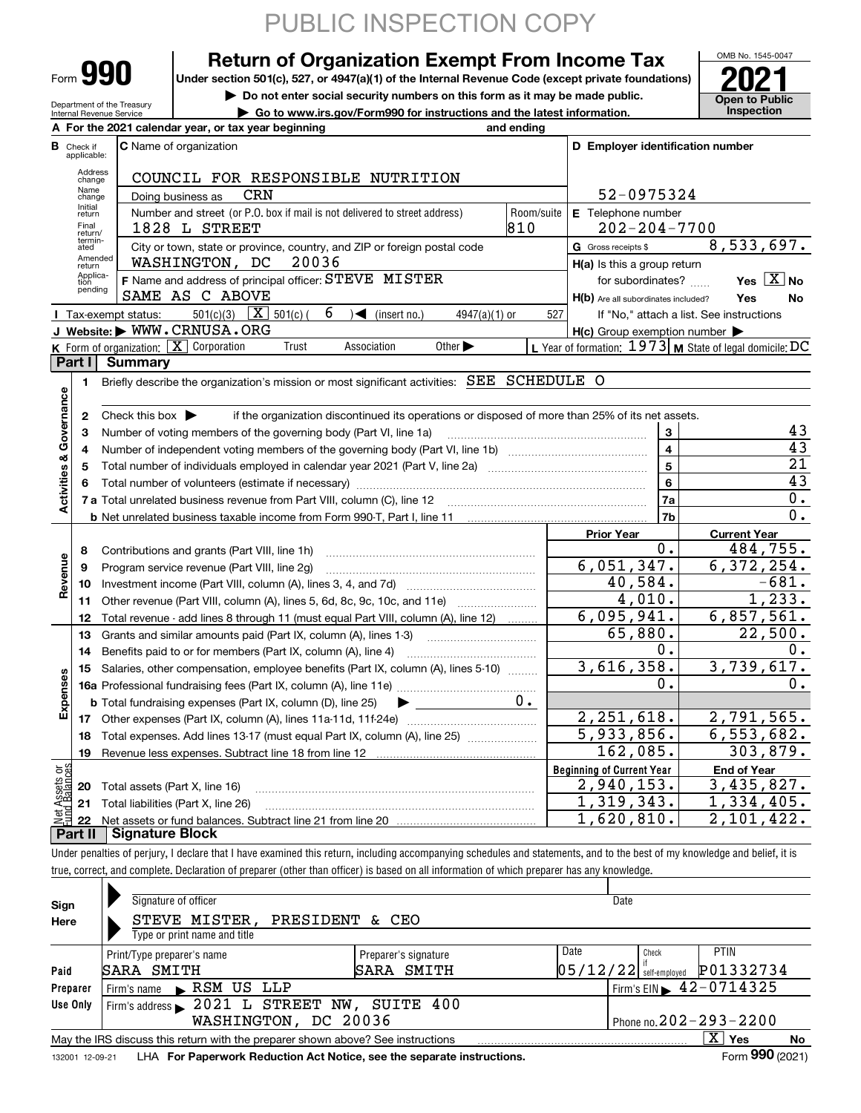|                                                                                                                                  |                                                                             |                                      | PUBLIC INSPECTION COPY                                                                                                                                                     |            |                                                     |                                                           |  |  |  |  |  |
|----------------------------------------------------------------------------------------------------------------------------------|-----------------------------------------------------------------------------|--------------------------------------|----------------------------------------------------------------------------------------------------------------------------------------------------------------------------|------------|-----------------------------------------------------|-----------------------------------------------------------|--|--|--|--|--|
|                                                                                                                                  |                                                                             |                                      | <b>Return of Organization Exempt From Income Tax</b>                                                                                                                       |            |                                                     | OMB No. 1545-0047                                         |  |  |  |  |  |
|                                                                                                                                  |                                                                             | Form 990                             | Under section 501(c), 527, or 4947(a)(1) of the Internal Revenue Code (except private foundations)                                                                         |            |                                                     |                                                           |  |  |  |  |  |
|                                                                                                                                  | Do not enter social security numbers on this form as it may be made public. |                                      |                                                                                                                                                                            |            |                                                     |                                                           |  |  |  |  |  |
| Department of the Treasury<br>Go to www.irs.gov/Form990 for instructions and the latest information.<br>Internal Revenue Service |                                                                             |                                      |                                                                                                                                                                            |            |                                                     |                                                           |  |  |  |  |  |
|                                                                                                                                  |                                                                             |                                      | A For the 2021 calendar year, or tax year beginning<br>and ending                                                                                                          |            |                                                     |                                                           |  |  |  |  |  |
|                                                                                                                                  | <b>B</b> Check if<br>applicable:                                            |                                      | <b>C</b> Name of organization                                                                                                                                              |            | D Employer identification number                    |                                                           |  |  |  |  |  |
|                                                                                                                                  | Address<br>change                                                           |                                      | COUNCIL FOR RESPONSIBLE NUTRITION                                                                                                                                          |            |                                                     |                                                           |  |  |  |  |  |
|                                                                                                                                  | Name<br>change                                                              |                                      | CRN<br>Doing business as                                                                                                                                                   |            | 52-0975324                                          |                                                           |  |  |  |  |  |
|                                                                                                                                  | Initial<br>return                                                           |                                      | Number and street (or P.O. box if mail is not delivered to street address)                                                                                                 | Room/suite | E Telephone number                                  |                                                           |  |  |  |  |  |
|                                                                                                                                  | Final<br>return/<br>termin-                                                 |                                      | 810<br>1828 L STREET                                                                                                                                                       |            | $202 - 204 - 7700$                                  |                                                           |  |  |  |  |  |
|                                                                                                                                  | ated<br>Amended                                                             |                                      | City or town, state or province, country, and ZIP or foreign postal code                                                                                                   |            | G Gross receipts \$                                 | $\overline{8,533,697}$ .                                  |  |  |  |  |  |
|                                                                                                                                  | return<br>Applica-                                                          |                                      | 20036<br>WASHINGTON, DC                                                                                                                                                    |            | H(a) Is this a group return                         |                                                           |  |  |  |  |  |
|                                                                                                                                  | tion<br>pending                                                             |                                      | F Name and address of principal officer: STEVE MISTER                                                                                                                      |            | for subordinates?                                   | Yes $X$ No                                                |  |  |  |  |  |
|                                                                                                                                  |                                                                             |                                      | SAME AS C ABOVE<br>6                                                                                                                                                       |            | H(b) Are all subordinates included?                 | Yes<br>No                                                 |  |  |  |  |  |
|                                                                                                                                  |                                                                             | <b>I</b> Tax-exempt status:          | 501(c)(3) $X$ 501(c)(<br>$\sqrt{\frac{1}{1}}$ (insert no.)<br>4947(a)(1) or<br>J Website: WWW.CRNUSA.ORG                                                                   | 527        |                                                     | If "No," attach a list. See instructions                  |  |  |  |  |  |
|                                                                                                                                  |                                                                             |                                      | K Form of organization:   X Corporation<br>Trust<br>Association<br>Other $\blacktriangleright$                                                                             |            | $H(c)$ Group exemption number $\blacktriangleright$ | L Year of formation: $1973$ M State of legal domicile: DC |  |  |  |  |  |
|                                                                                                                                  | Part I                                                                      | <b>Summary</b>                       |                                                                                                                                                                            |            |                                                     |                                                           |  |  |  |  |  |
|                                                                                                                                  | 1                                                                           |                                      | Briefly describe the organization's mission or most significant activities: SEE SCHEDULE O                                                                                 |            |                                                     |                                                           |  |  |  |  |  |
|                                                                                                                                  |                                                                             |                                      |                                                                                                                                                                            |            |                                                     |                                                           |  |  |  |  |  |
|                                                                                                                                  | $\mathbf{2}$                                                                | Check this box $\blacktriangleright$ | if the organization discontinued its operations or disposed of more than 25% of its net assets.                                                                            |            |                                                     |                                                           |  |  |  |  |  |
|                                                                                                                                  | 3                                                                           |                                      | Number of voting members of the governing body (Part VI, line 1a)                                                                                                          |            | 3                                                   | 43                                                        |  |  |  |  |  |
|                                                                                                                                  | 4                                                                           |                                      |                                                                                                                                                                            |            | $\overline{\mathbf{4}}$                             | 43                                                        |  |  |  |  |  |
|                                                                                                                                  | 5                                                                           |                                      | $\overline{21}$                                                                                                                                                            |            |                                                     |                                                           |  |  |  |  |  |
|                                                                                                                                  | 6                                                                           |                                      | Total number of volunteers (estimate if necessary)                                                                                                                         |            | $\bf 6$                                             | $\overline{43}$<br>0.                                     |  |  |  |  |  |
| Activities & Governance                                                                                                          |                                                                             |                                      | 7a<br>7 a Total unrelated business revenue from Part VIII, column (C), line 12                                                                                             |            |                                                     |                                                           |  |  |  |  |  |
|                                                                                                                                  |                                                                             |                                      |                                                                                                                                                                            |            | 7 <sub>b</sub>                                      | $\overline{0}$ .                                          |  |  |  |  |  |
|                                                                                                                                  |                                                                             |                                      |                                                                                                                                                                            |            | <b>Prior Year</b>                                   | <b>Current Year</b>                                       |  |  |  |  |  |
|                                                                                                                                  | 8                                                                           |                                      |                                                                                                                                                                            |            | 0.                                                  | 484,755.                                                  |  |  |  |  |  |
| Revenue                                                                                                                          | 9                                                                           |                                      | Program service revenue (Part VIII, line 2g)                                                                                                                               |            | 6,051,347.                                          | 6,372,254.                                                |  |  |  |  |  |
|                                                                                                                                  | 10                                                                          |                                      |                                                                                                                                                                            |            | 40,584.<br>$\overline{4}$ , 010.                    | $-681.$<br>1,233.                                         |  |  |  |  |  |
|                                                                                                                                  | 11                                                                          |                                      | Other revenue (Part VIII, column (A), lines 5, 6d, 8c, 9c, 10c, and 11e)                                                                                                   |            | 6,095,941.                                          | 6,857,561.                                                |  |  |  |  |  |
|                                                                                                                                  | 12<br>13                                                                    |                                      | Total revenue - add lines 8 through 11 (must equal Part VIII, column (A), line 12)                                                                                         |            | 65,880.                                             | $\overline{22}$ , 500.                                    |  |  |  |  |  |
|                                                                                                                                  | 14                                                                          |                                      | Grants and similar amounts paid (Part IX, column (A), lines 1-3)<br>Benefits paid to or for members (Part IX, column (A), line 4)                                          |            | 0.                                                  | $0$ .                                                     |  |  |  |  |  |
|                                                                                                                                  | 15                                                                          |                                      | Salaries, other compensation, employee benefits (Part IX, column (A), lines 5-10)                                                                                          |            | 3,616,358.                                          | 3,739,617.                                                |  |  |  |  |  |
| Expenses                                                                                                                         |                                                                             |                                      |                                                                                                                                                                            |            | 0.                                                  | 0.                                                        |  |  |  |  |  |
|                                                                                                                                  |                                                                             |                                      | υ.<br><b>b</b> Total fundraising expenses (Part IX, column (D), line 25)                                                                                                   |            |                                                     |                                                           |  |  |  |  |  |
|                                                                                                                                  | 17                                                                          |                                      |                                                                                                                                                                            |            | 2, 251, 618.                                        | 2,791,565.                                                |  |  |  |  |  |
|                                                                                                                                  | 18                                                                          |                                      | Total expenses. Add lines 13-17 (must equal Part IX, column (A), line 25)                                                                                                  |            | $\overline{5,933,856}$ .                            | 6, 553, 682.                                              |  |  |  |  |  |
|                                                                                                                                  | 19                                                                          |                                      |                                                                                                                                                                            |            | 162,085.                                            | 303,879.                                                  |  |  |  |  |  |
|                                                                                                                                  |                                                                             |                                      |                                                                                                                                                                            |            | <b>Beginning of Current Year</b>                    | <b>End of Year</b>                                        |  |  |  |  |  |
| t Assets or<br>d Balances                                                                                                        | 20                                                                          | Total assets (Part X, line 16)       |                                                                                                                                                                            |            | 2,940,153.                                          | 3,435,827.                                                |  |  |  |  |  |
|                                                                                                                                  | 21                                                                          |                                      | Total liabilities (Part X, line 26)                                                                                                                                        |            | $\overline{1,319}$ , 343.                           | 1,334,405.                                                |  |  |  |  |  |
| 형                                                                                                                                | 22                                                                          |                                      |                                                                                                                                                                            |            | 1,620,810.                                          | 2,101,422.                                                |  |  |  |  |  |
|                                                                                                                                  | Part II                                                                     | <b>Signature Block</b>               |                                                                                                                                                                            |            |                                                     |                                                           |  |  |  |  |  |
|                                                                                                                                  |                                                                             |                                      | Under penalties of perjury, I declare that I have examined this return, including accompanying schedules and statements, and to the best of my knowledge and belief, it is |            |                                                     |                                                           |  |  |  |  |  |

true, correct, and complete. Declaration of preparer (other than officer) is based on all information of which preparer has any knowledge.

| Sign<br>Here     | Signature of officer<br>STEVE MISTER, PRESIDENT & CEO<br>Type or print name and title                                                                                                                                       | Date                               |                              |                                   |                                                                         |  |  |  |  |  |  |
|------------------|-----------------------------------------------------------------------------------------------------------------------------------------------------------------------------------------------------------------------------|------------------------------------|------------------------------|-----------------------------------|-------------------------------------------------------------------------|--|--|--|--|--|--|
| Paid<br>Preparer | Print/Type preparer's name<br>SARA SMITH<br>RSM US LLP<br>Firm's name $\blacktriangleright$                                                                                                                                 | Preparer's signature<br>SARA SMITH | Date                         | Check<br>$05/12/22$ self-employed | <b>PTIN</b><br>P01332734<br>Firm's EIN $\blacktriangleright$ 42-0714325 |  |  |  |  |  |  |
| Use Only         | Firm's address 2021 L STREET NW, SUITE 400<br>WASHINGTON, DC 20036                                                                                                                                                          |                                    | Phone no. $202 - 293 - 2200$ |                                   |                                                                         |  |  |  |  |  |  |
|                  | $\overline{X}$ Yes<br>No<br>May the IRS discuss this return with the preparer shown above? See instructions<br>Form 990 (2021)<br>LHA For Paperwork Reduction Act Notice, see the separate instructions.<br>132001 12-09-21 |                                    |                              |                                   |                                                                         |  |  |  |  |  |  |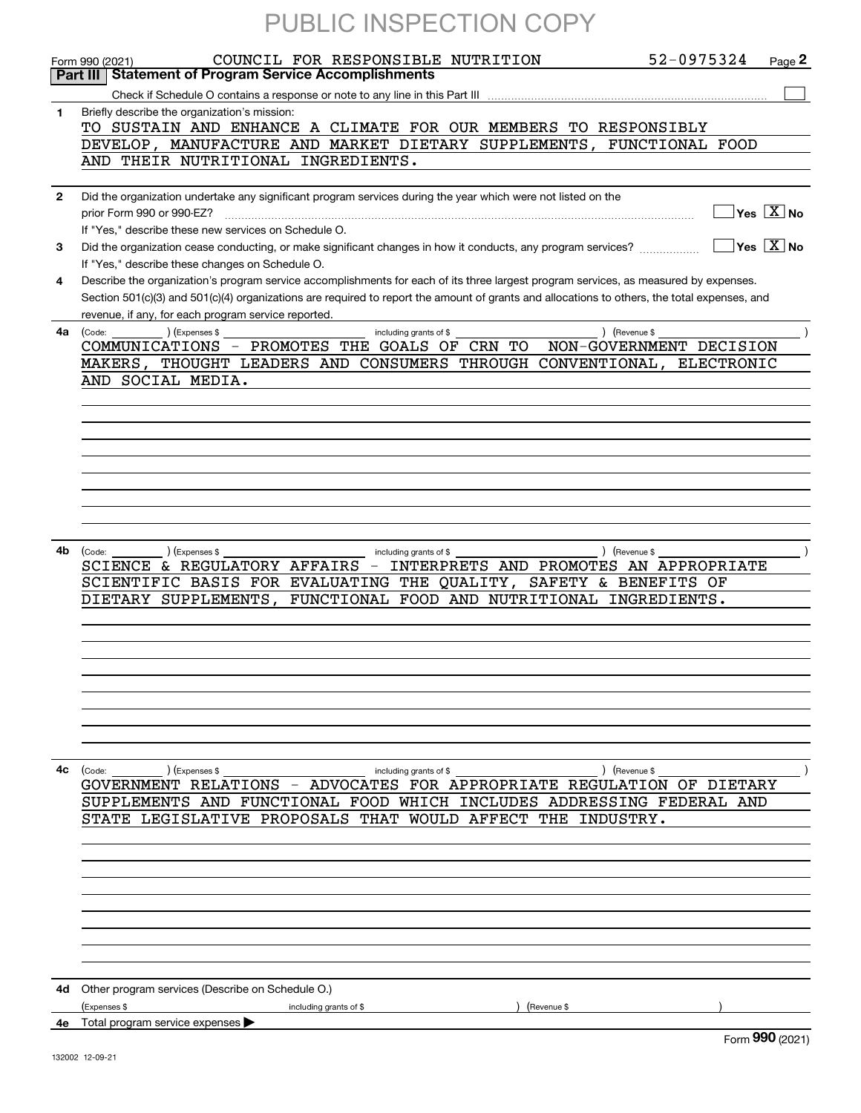|              | PUBLIC INSPECTION COPY                                                                                                                                                           |
|--------------|----------------------------------------------------------------------------------------------------------------------------------------------------------------------------------|
|              | 52-0975324<br>COUNCIL FOR RESPONSIBLE NUTRITION<br>Page 2                                                                                                                        |
|              | Form 990 (2021)<br><b>Statement of Program Service Accomplishments</b><br>Part III                                                                                               |
|              |                                                                                                                                                                                  |
| 1            | Briefly describe the organization's mission:                                                                                                                                     |
|              | TO SUSTAIN AND ENHANCE A CLIMATE FOR OUR MEMBERS TO RESPONSIBLY                                                                                                                  |
|              | DEVELOP, MANUFACTURE AND MARKET DIETARY SUPPLEMENTS,<br>FUNCTIONAL FOOD                                                                                                          |
|              | AND THEIR NUTRITIONAL INGREDIENTS.                                                                                                                                               |
|              |                                                                                                                                                                                  |
| $\mathbf{2}$ | Did the organization undertake any significant program services during the year which were not listed on the<br>$\sqrt{}$ Yes $\sqrt{}$ X $\sqrt{}$ No                           |
|              | If "Yes," describe these new services on Schedule O.                                                                                                                             |
| 3            | $\sqrt{}$ Yes $\sqrt{}$ X $\sqrt{}$ No<br>Did the organization cease conducting, or make significant changes in how it conducts, any program services?                           |
|              | If "Yes," describe these changes on Schedule O.                                                                                                                                  |
| 4            | Describe the organization's program service accomplishments for each of its three largest program services, as measured by expenses.                                             |
|              | Section 501(c)(3) and 501(c)(4) organizations are required to report the amount of grants and allocations to others, the total expenses, and                                     |
|              | revenue, if any, for each program service reported.                                                                                                                              |
| 4а           | $\left(\text{Code:}\right.\qquad\qquad\qquad\qquad\qquad\qquad\qquad\left(\text{Expenses $}\right.\mathbb{S}\qquad\qquad\qquad\qquad$<br>including grants of \$<br>) (Revenue \$ |
|              | COMMUNICATIONS - PROMOTES THE GOALS OF CRN TO<br>NON-GOVERNMENT DECISION                                                                                                         |
|              | MAKERS, THOUGHT LEADERS AND CONSUMERS THROUGH CONVENTIONAL, ELECTRONIC                                                                                                           |
|              | AND SOCIAL MEDIA.                                                                                                                                                                |
|              |                                                                                                                                                                                  |
|              |                                                                                                                                                                                  |
|              |                                                                                                                                                                                  |
|              |                                                                                                                                                                                  |
|              |                                                                                                                                                                                  |
|              |                                                                                                                                                                                  |
|              |                                                                                                                                                                                  |
|              |                                                                                                                                                                                  |
| 4b           | $\left(\text{Code:}\right)$<br>) (Expenses \$<br>) (Revenue \$<br>including grants of \$                                                                                         |
|              | SCIENCE & REGULATORY AFFAIRS - INTERPRETS AND PROMOTES AN APPROPRIATE                                                                                                            |
|              | SCIENTIFIC BASIS FOR EVALUATING THE QUALITY, SAFETY & BENEFITS OF                                                                                                                |
|              | DIETARY SUPPLEMENTS.<br>FUNCTIONAL FOOD AND NUTRITIONAL INGREDIENTS.                                                                                                             |
|              |                                                                                                                                                                                  |
|              |                                                                                                                                                                                  |
|              |                                                                                                                                                                                  |
|              |                                                                                                                                                                                  |
|              |                                                                                                                                                                                  |
|              |                                                                                                                                                                                  |
|              |                                                                                                                                                                                  |
|              |                                                                                                                                                                                  |
| 4c           | ) (Expenses \$<br>including grants of \$<br>) (Revenue \$<br>(Code:                                                                                                              |
|              | GOVERNMENT RELATIONS - ADVOCATES FOR APPROPRIATE REGULATION OF DIETARY                                                                                                           |
|              | SUPPLEMENTS AND FUNCTIONAL FOOD WHICH INCLUDES ADDRESSING FEDERAL AND                                                                                                            |
|              | STATE LEGISLATIVE PROPOSALS THAT WOULD AFFECT THE INDUSTRY.                                                                                                                      |
|              |                                                                                                                                                                                  |
|              |                                                                                                                                                                                  |
|              |                                                                                                                                                                                  |
|              |                                                                                                                                                                                  |
|              |                                                                                                                                                                                  |
|              |                                                                                                                                                                                  |
|              |                                                                                                                                                                                  |
|              |                                                                                                                                                                                  |
|              |                                                                                                                                                                                  |
|              | 4d Other program services (Describe on Schedule O.)                                                                                                                              |
|              | (Expenses \$<br>including grants of \$<br>(Revenue \$<br>4e Total program service expenses                                                                                       |
|              | ההה                                                                                                                                                                              |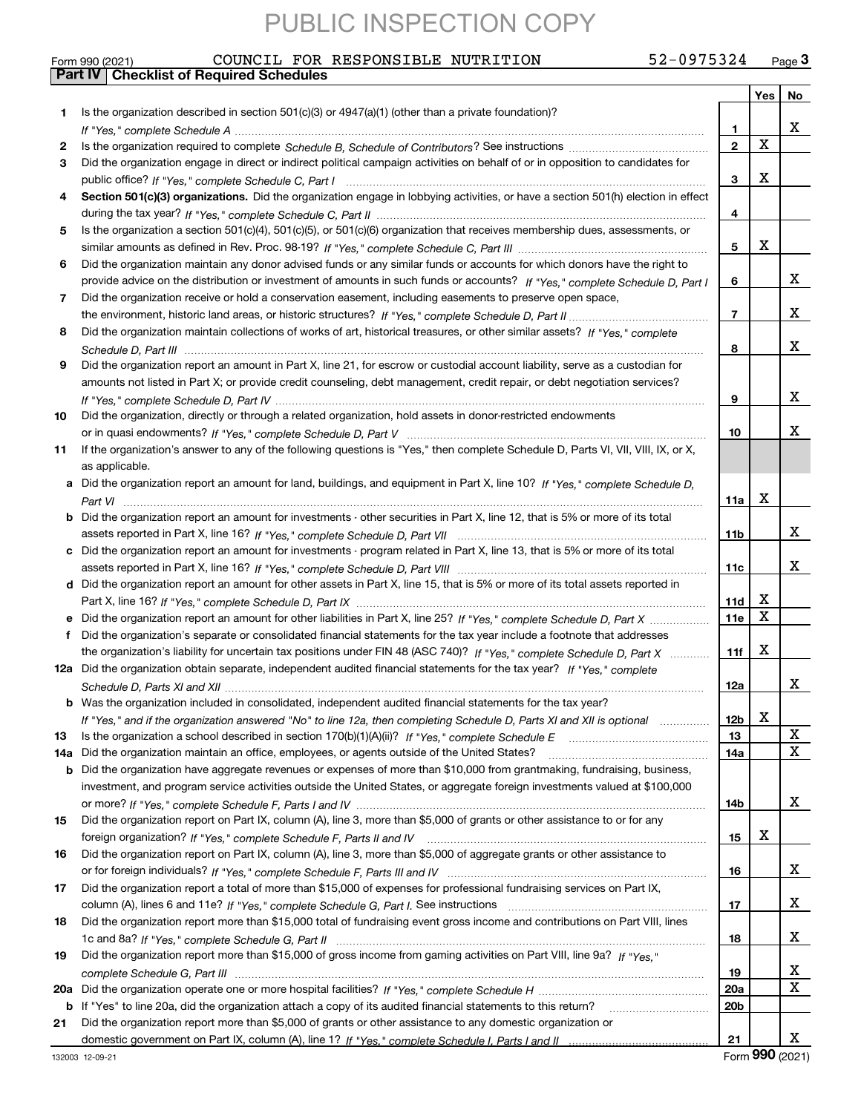## Form 990 (2021) COUNCIL FOR RESPONSIBLE NUTRITION 52-0975324 <sub>Page</sub> 3<br>**Part IV | Checklist of Required Schedules**

|     |                                                                                                                                       |                 | Yes         | No     |
|-----|---------------------------------------------------------------------------------------------------------------------------------------|-----------------|-------------|--------|
| 1.  | Is the organization described in section $501(c)(3)$ or $4947(a)(1)$ (other than a private foundation)?                               |                 |             |        |
|     |                                                                                                                                       | 1.              |             | x      |
| 2   |                                                                                                                                       | $\mathbf{2}$    | $\mathbf X$ |        |
| 3   | Did the organization engage in direct or indirect political campaign activities on behalf of or in opposition to candidates for       |                 |             |        |
|     |                                                                                                                                       | 3               | X           |        |
| 4   | Section 501(c)(3) organizations. Did the organization engage in lobbying activities, or have a section 501(h) election in effect      |                 |             |        |
|     |                                                                                                                                       | 4               |             |        |
| 5   | Is the organization a section 501(c)(4), 501(c)(5), or 501(c)(6) organization that receives membership dues, assessments, or          |                 |             |        |
|     |                                                                                                                                       | 5               | X           |        |
| 6   | Did the organization maintain any donor advised funds or any similar funds or accounts for which donors have the right to             |                 |             |        |
|     | provide advice on the distribution or investment of amounts in such funds or accounts? If "Yes," complete Schedule D, Part I          | 6               |             | x      |
| 7   | Did the organization receive or hold a conservation easement, including easements to preserve open space,                             |                 |             |        |
|     |                                                                                                                                       | $\overline{7}$  |             | x      |
| 8   | Did the organization maintain collections of works of art, historical treasures, or other similar assets? If "Yes," complete          |                 |             |        |
|     |                                                                                                                                       | 8               |             | x      |
| 9   | Did the organization report an amount in Part X, line 21, for escrow or custodial account liability, serve as a custodian for         |                 |             |        |
|     | amounts not listed in Part X; or provide credit counseling, debt management, credit repair, or debt negotiation services?             |                 |             |        |
|     |                                                                                                                                       | 9               |             | x      |
| 10  | Did the organization, directly or through a related organization, hold assets in donor-restricted endowments                          |                 |             |        |
|     |                                                                                                                                       | 10              |             | x      |
| 11  | If the organization's answer to any of the following questions is "Yes," then complete Schedule D, Parts VI, VII, VIII, IX, or X,     |                 |             |        |
|     | as applicable.                                                                                                                        |                 |             |        |
|     | a Did the organization report an amount for land, buildings, and equipment in Part X, line 10? If "Yes," complete Schedule D,         |                 |             |        |
|     |                                                                                                                                       | 11a             | X           |        |
|     | <b>b</b> Did the organization report an amount for investments - other securities in Part X, line 12, that is 5% or more of its total |                 |             |        |
|     |                                                                                                                                       | 11b             |             | х      |
|     | c Did the organization report an amount for investments - program related in Part X, line 13, that is 5% or more of its total         |                 |             |        |
|     |                                                                                                                                       | 11c             |             | x      |
|     | d Did the organization report an amount for other assets in Part X, line 15, that is 5% or more of its total assets reported in       |                 |             |        |
|     |                                                                                                                                       | 11d             | X           |        |
|     | e Did the organization report an amount for other liabilities in Part X, line 25? If "Yes," complete Schedule D, Part X               | 11e             | $\mathbf X$ |        |
| f   | Did the organization's separate or consolidated financial statements for the tax year include a footnote that addresses               |                 |             |        |
|     | the organization's liability for uncertain tax positions under FIN 48 (ASC 740)? If "Yes," complete Schedule D, Part X                | 11f             | х           |        |
|     | 12a Did the organization obtain separate, independent audited financial statements for the tax year? If "Yes," complete               |                 |             |        |
|     |                                                                                                                                       | 12a             |             | x      |
|     | b Was the organization included in consolidated, independent audited financial statements for the tax year?                           |                 |             |        |
|     | If "Yes," and if the organization answered "No" to line 12a, then completing Schedule D, Parts XI and XII is optional                 | 12b             | X           |        |
| 13  |                                                                                                                                       | 13              |             | X<br>X |
| 14a | Did the organization maintain an office, employees, or agents outside of the United States?                                           | 14a             |             |        |
|     | <b>b</b> Did the organization have aggregate revenues or expenses of more than \$10,000 from grantmaking, fundraising, business,      |                 |             |        |
|     | investment, and program service activities outside the United States, or aggregate foreign investments valued at \$100,000            |                 |             |        |
|     |                                                                                                                                       | 14b             |             | x      |
| 15  | Did the organization report on Part IX, column (A), line 3, more than \$5,000 of grants or other assistance to or for any             |                 | х           |        |
|     |                                                                                                                                       | 15              |             |        |
| 16  | Did the organization report on Part IX, column (A), line 3, more than \$5,000 of aggregate grants or other assistance to              |                 |             |        |
|     |                                                                                                                                       | 16              |             | x      |
| 17  | Did the organization report a total of more than \$15,000 of expenses for professional fundraising services on Part IX,               |                 |             | x      |
|     |                                                                                                                                       | 17              |             |        |
| 18  | Did the organization report more than \$15,000 total of fundraising event gross income and contributions on Part VIII, lines          |                 |             | x      |
|     |                                                                                                                                       | 18              |             |        |
| 19  | Did the organization report more than \$15,000 of gross income from gaming activities on Part VIII, line 9a? If "Yes."                |                 |             |        |
|     |                                                                                                                                       | 19              |             | x<br>X |
|     |                                                                                                                                       | 20a             |             |        |
|     | b If "Yes" to line 20a, did the organization attach a copy of its audited financial statements to this return?                        | 20 <sub>b</sub> |             |        |
| 21  | Did the organization report more than \$5,000 of grants or other assistance to any domestic organization or                           |                 |             |        |
|     |                                                                                                                                       | 21              |             | x      |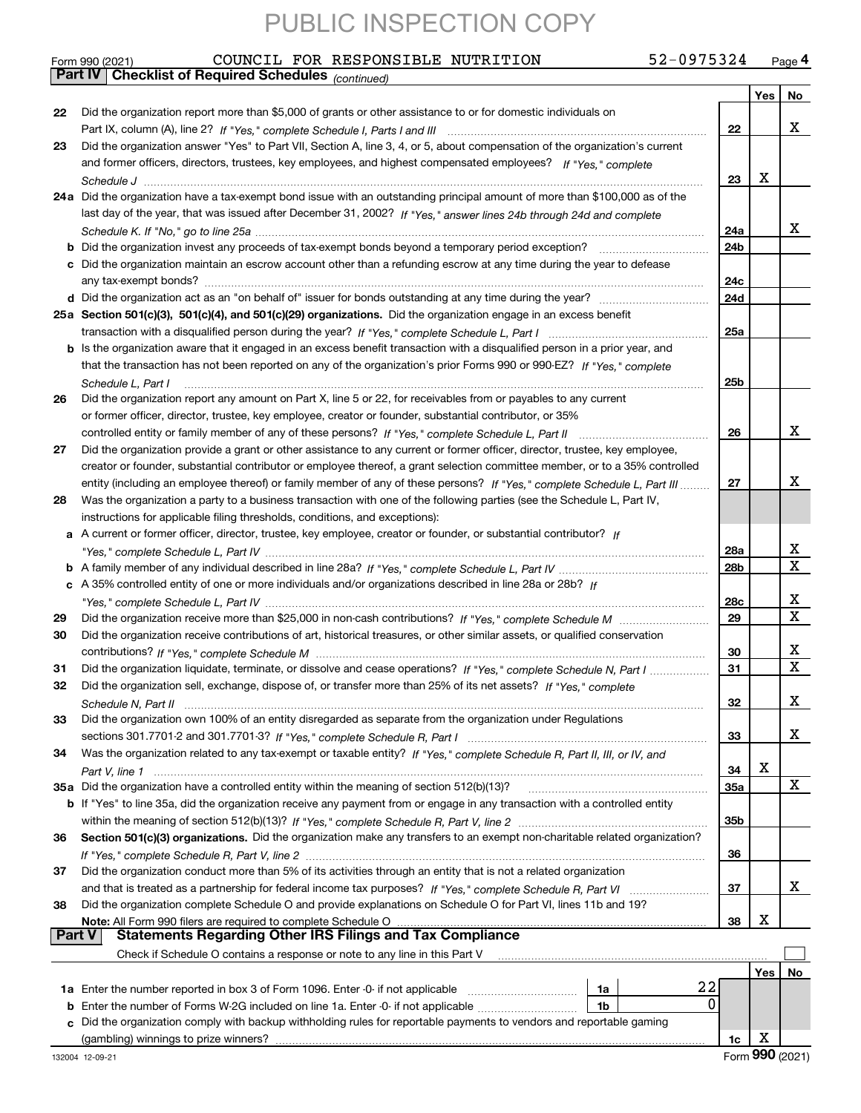|        | 52-0975324<br>COUNCIL FOR RESPONSIBLE NUTRITION<br>Form 990 (2021)                                                           |                 |     | Page 4      |
|--------|------------------------------------------------------------------------------------------------------------------------------|-----------------|-----|-------------|
|        | <b>Checklist of Required Schedules (continued)</b><br>  Part IV                                                              |                 |     |             |
|        |                                                                                                                              |                 | Yes | No          |
| 22     | Did the organization report more than \$5,000 of grants or other assistance to or for domestic individuals on                |                 |     |             |
|        |                                                                                                                              | 22              |     | x           |
| 23     | Did the organization answer "Yes" to Part VII, Section A, line 3, 4, or 5, about compensation of the organization's current  |                 |     |             |
|        | and former officers, directors, trustees, key employees, and highest compensated employees? If "Yes," complete               |                 |     |             |
|        |                                                                                                                              | 23              | х   |             |
|        | 24a Did the organization have a tax-exempt bond issue with an outstanding principal amount of more than \$100,000 as of the  |                 |     |             |
|        | last day of the year, that was issued after December 31, 2002? If "Yes," answer lines 24b through 24d and complete           |                 |     |             |
|        |                                                                                                                              | 24a             |     | x           |
|        |                                                                                                                              | 24 <sub>b</sub> |     |             |
|        |                                                                                                                              |                 |     |             |
|        | c Did the organization maintain an escrow account other than a refunding escrow at any time during the year to defease       |                 |     |             |
|        |                                                                                                                              | 24c             |     |             |
|        |                                                                                                                              | 24d             |     |             |
|        | 25a Section 501(c)(3), 501(c)(4), and 501(c)(29) organizations. Did the organization engage in an excess benefit             |                 |     |             |
|        |                                                                                                                              | 25a             |     |             |
|        | b Is the organization aware that it engaged in an excess benefit transaction with a disqualified person in a prior year, and |                 |     |             |
|        | that the transaction has not been reported on any of the organization's prior Forms 990 or 990-EZ? If "Yes," complete        |                 |     |             |
|        | Schedule L, Part I                                                                                                           | 25b             |     |             |
| 26     | Did the organization report any amount on Part X, line 5 or 22, for receivables from or payables to any current              |                 |     |             |
|        | or former officer, director, trustee, key employee, creator or founder, substantial contributor, or 35%                      |                 |     |             |
|        | controlled entity or family member of any of these persons? If "Yes," complete Schedule L, Part II                           | 26              |     | x           |
| 27     | Did the organization provide a grant or other assistance to any current or former officer, director, trustee, key employee,  |                 |     |             |
|        | creator or founder, substantial contributor or employee thereof, a grant selection committee member, or to a 35% controlled  |                 |     |             |
|        | entity (including an employee thereof) or family member of any of these persons? If "Yes," complete Schedule L, Part III     | 27              |     | x           |
|        |                                                                                                                              |                 |     |             |
| 28     | Was the organization a party to a business transaction with one of the following parties (see the Schedule L, Part IV,       |                 |     |             |
|        | instructions for applicable filing thresholds, conditions, and exceptions):                                                  |                 |     |             |
|        | a A current or former officer, director, trustee, key employee, creator or founder, or substantial contributor? If           |                 |     |             |
|        |                                                                                                                              | 28a             |     | x           |
|        |                                                                                                                              | 28b             |     | X           |
|        | c A 35% controlled entity of one or more individuals and/or organizations described in line 28a or 28b? If                   |                 |     |             |
|        |                                                                                                                              | 28c             |     | х           |
| 29     |                                                                                                                              | 29              |     | $\mathbf X$ |
| 30     | Did the organization receive contributions of art, historical treasures, or other similar assets, or qualified conservation  |                 |     |             |
|        |                                                                                                                              | 30              |     | х           |
| 31     | Did the organization liquidate, terminate, or dissolve and cease operations? If "Yes," complete Schedule N, Part I           | 31              |     | X           |
| 32     | Did the organization sell, exchange, dispose of, or transfer more than 25% of its net assets? If "Yes," complete             |                 |     |             |
|        |                                                                                                                              | 32              |     | х           |
| 33     | Did the organization own 100% of an entity disregarded as separate from the organization under Regulations                   |                 |     |             |
|        |                                                                                                                              | 33              |     | x           |
| 34     | Was the organization related to any tax-exempt or taxable entity? If "Yes," complete Schedule R, Part II, III, or IV, and    |                 |     |             |
|        |                                                                                                                              | 34              | х   |             |
|        | 35a Did the organization have a controlled entity within the meaning of section 512(b)(13)?                                  | 35a             |     | X           |
|        |                                                                                                                              |                 |     |             |
|        | b If "Yes" to line 35a, did the organization receive any payment from or engage in any transaction with a controlled entity  |                 |     |             |
|        |                                                                                                                              | 35 <sub>b</sub> |     |             |
| 36     | Section 501(c)(3) organizations. Did the organization make any transfers to an exempt non-charitable related organization?   |                 |     |             |
|        |                                                                                                                              | 36              |     |             |
| 37     | Did the organization conduct more than 5% of its activities through an entity that is not a related organization             |                 |     |             |
|        |                                                                                                                              | 37              |     | x           |
| 38     | Did the organization complete Schedule O and provide explanations on Schedule O for Part VI, lines 11b and 19?               |                 |     |             |
|        | Note: All Form 990 filers are required to complete Schedule O                                                                | 38              | х   |             |
| Part V | <b>Statements Regarding Other IRS Filings and Tax Compliance</b>                                                             |                 |     |             |
|        | Check if Schedule O contains a response or note to any line in this Part V                                                   |                 |     |             |
|        |                                                                                                                              |                 | Yes | No          |
|        | 22<br>1a Enter the number reported in box 3 of Form 1096. Enter -0- if not applicable<br>1a                                  |                 |     |             |
| b      | 0<br>Enter the number of Forms W-2G included on line 1a. Enter -0- if not applicable<br>1b                                   |                 |     |             |
|        | Did the organization comply with backup withholding rules for reportable payments to vendors and reportable gaming           |                 |     |             |
|        |                                                                                                                              | 1c              | X   |             |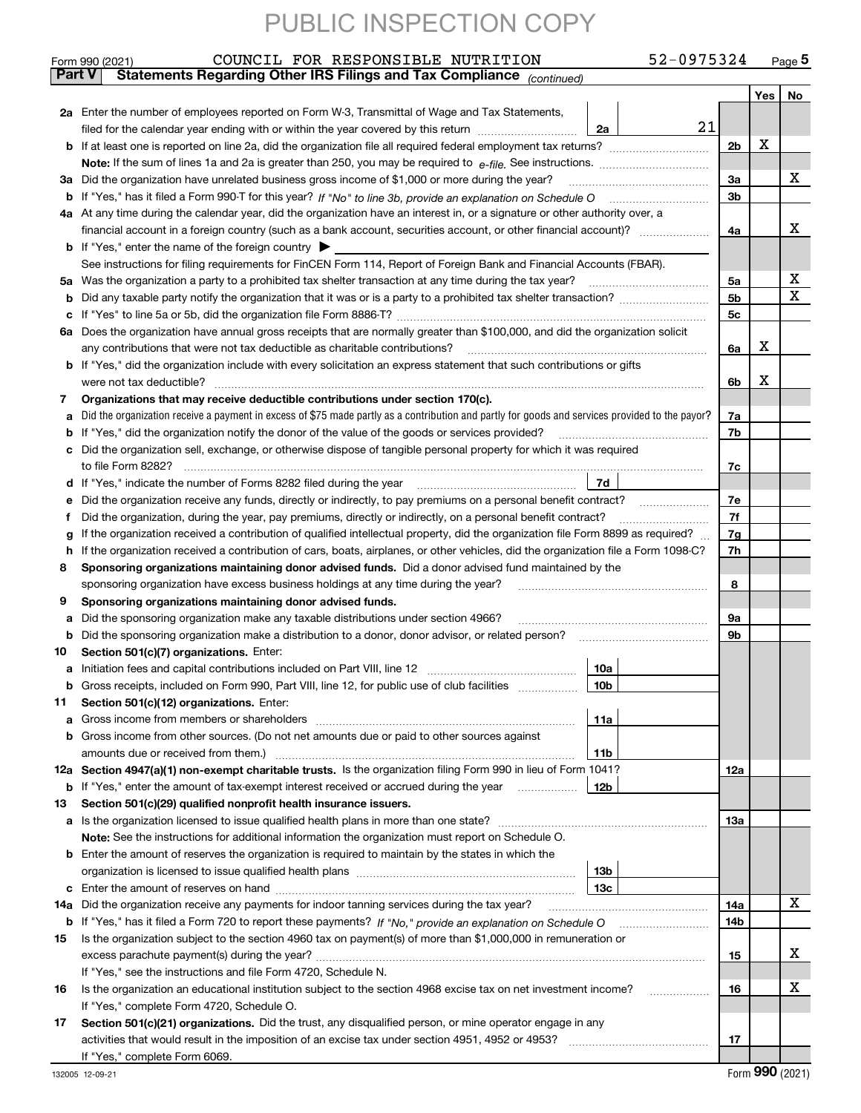|               | 52-0975324<br>COUNCIL FOR RESPONSIBLE NUTRITION<br>Form 990 (2021)                                                                                                                                                                    |                |   | <u>Page 5</u> |
|---------------|---------------------------------------------------------------------------------------------------------------------------------------------------------------------------------------------------------------------------------------|----------------|---|---------------|
| <b>Part V</b> | Statements Regarding Other IRS Filings and Tax Compliance (continued)                                                                                                                                                                 |                |   |               |
|               |                                                                                                                                                                                                                                       |                |   | Yes   No      |
|               | 2a Enter the number of employees reported on Form W-3, Transmittal of Wage and Tax Statements,                                                                                                                                        |                |   |               |
|               | 21<br>filed for the calendar year ending with or within the year covered by this return<br>2a                                                                                                                                         |                |   |               |
|               |                                                                                                                                                                                                                                       | 2 <sub>b</sub> | х |               |
|               |                                                                                                                                                                                                                                       |                |   |               |
|               | 3a Did the organization have unrelated business gross income of \$1,000 or more during the year?                                                                                                                                      | 3a             |   | х             |
|               |                                                                                                                                                                                                                                       | 3b             |   |               |
|               | 4a At any time during the calendar year, did the organization have an interest in, or a signature or other authority over, a                                                                                                          |                |   |               |
|               |                                                                                                                                                                                                                                       | 4a             |   | х             |
|               | <b>b</b> If "Yes," enter the name of the foreign country $\blacktriangleright$                                                                                                                                                        |                |   |               |
|               | See instructions for filing requirements for FinCEN Form 114, Report of Foreign Bank and Financial Accounts (FBAR).                                                                                                                   |                |   |               |
| 5a            | Was the organization a party to a prohibited tax shelter transaction at any time during the tax year?                                                                                                                                 | 5a             |   | х             |
| b             |                                                                                                                                                                                                                                       | 5b             |   | х             |
| с             |                                                                                                                                                                                                                                       | 5c             |   |               |
| 6а            | Does the organization have annual gross receipts that are normally greater than \$100,000, and did the organization solicit                                                                                                           |                |   |               |
|               | any contributions that were not tax deductible as charitable contributions?                                                                                                                                                           | 6a             | х |               |
|               | b If "Yes," did the organization include with every solicitation an express statement that such contributions or gifts                                                                                                                |                |   |               |
|               | were not tax deductible?                                                                                                                                                                                                              | 6b             | х |               |
|               | Organizations that may receive deductible contributions under section 170(c).                                                                                                                                                         |                |   |               |
| 7             |                                                                                                                                                                                                                                       |                |   |               |
| a             | Did the organization receive a payment in excess of \$75 made partly as a contribution and partly for goods and services provided to the payor?                                                                                       | 7a             |   |               |
| b             | If "Yes," did the organization notify the donor of the value of the goods or services provided?                                                                                                                                       | 7b             |   |               |
|               | Did the organization sell, exchange, or otherwise dispose of tangible personal property for which it was required                                                                                                                     |                |   |               |
|               |                                                                                                                                                                                                                                       | 7c             |   |               |
| d             | 7d                                                                                                                                                                                                                                    |                |   |               |
| е             | Did the organization receive any funds, directly or indirectly, to pay premiums on a personal benefit contract?                                                                                                                       | 7e             |   |               |
| f             | Did the organization, during the year, pay premiums, directly or indirectly, on a personal benefit contract?                                                                                                                          | 7f             |   |               |
| g             | If the organization received a contribution of qualified intellectual property, did the organization file Form 8899 as required?                                                                                                      | 7g             |   |               |
| h.            | If the organization received a contribution of cars, boats, airplanes, or other vehicles, did the organization file a Form 1098-C?                                                                                                    | 7h             |   |               |
| 8             | Sponsoring organizations maintaining donor advised funds. Did a donor advised fund maintained by the                                                                                                                                  |                |   |               |
|               | sponsoring organization have excess business holdings at any time during the year?                                                                                                                                                    | 8              |   |               |
| 9             | Sponsoring organizations maintaining donor advised funds.                                                                                                                                                                             |                |   |               |
| a             | Did the sponsoring organization make any taxable distributions under section 4966?                                                                                                                                                    | 9а             |   |               |
| b             | Did the sponsoring organization make a distribution to a donor, donor advisor, or related person?                                                                                                                                     | 9b             |   |               |
| 10            | Section 501(c)(7) organizations. Enter:                                                                                                                                                                                               |                |   |               |
|               | 10a<br>a Initiation fees and capital contributions included on Part VIII, line 12 [111] [11] [12] [11] [12] [11] [12] [11] [12] [11] [12] [11] [12] [11] [12] [11] [12] [11] [12] [11] [12] [11] [12] [11] [12] [11] [12] [11] [12] [ |                |   |               |
|               | 10 <sub>b</sub><br>Gross receipts, included on Form 990, Part VIII, line 12, for public use of club facilities                                                                                                                        |                |   |               |
| 11            | Section 501(c)(12) organizations. Enter:                                                                                                                                                                                              |                |   |               |
| a             | 11a<br>Gross income from members or shareholders                                                                                                                                                                                      |                |   |               |
|               | b Gross income from other sources. (Do not net amounts due or paid to other sources against                                                                                                                                           |                |   |               |
|               | 11b                                                                                                                                                                                                                                   |                |   |               |
|               | 12a Section 4947(a)(1) non-exempt charitable trusts. Is the organization filing Form 990 in lieu of Form 1041?                                                                                                                        | 12a            |   |               |
|               | 12b<br><b>b</b> If "Yes," enter the amount of tax-exempt interest received or accrued during the year                                                                                                                                 |                |   |               |
| 13            | Section 501(c)(29) qualified nonprofit health insurance issuers.                                                                                                                                                                      |                |   |               |
|               | a Is the organization licensed to issue qualified health plans in more than one state?                                                                                                                                                | 13a            |   |               |
|               | Note: See the instructions for additional information the organization must report on Schedule O.                                                                                                                                     |                |   |               |
|               | <b>b</b> Enter the amount of reserves the organization is required to maintain by the states in which the                                                                                                                             |                |   |               |
|               | 13b                                                                                                                                                                                                                                   |                |   |               |
|               | 13с                                                                                                                                                                                                                                   |                |   |               |
| 14a           | Did the organization receive any payments for indoor tanning services during the tax year?                                                                                                                                            | 14a            |   | x             |
|               | <b>b</b> If "Yes," has it filed a Form 720 to report these payments? If "No," provide an explanation on Schedule O                                                                                                                    | 14b            |   |               |
| 15            | Is the organization subject to the section 4960 tax on payment(s) of more than \$1,000,000 in remuneration or                                                                                                                         |                |   |               |
|               |                                                                                                                                                                                                                                       | 15             |   | х             |
|               | If "Yes," see the instructions and file Form 4720, Schedule N.                                                                                                                                                                        |                |   |               |
| 16            | Is the organization an educational institution subject to the section 4968 excise tax on net investment income?                                                                                                                       | 16             |   | х             |
|               | If "Yes," complete Form 4720, Schedule O.                                                                                                                                                                                             |                |   |               |
| 17            | Section 501(c)(21) organizations. Did the trust, any disqualified person, or mine operator engage in any                                                                                                                              |                |   |               |
|               | activities that would result in the imposition of an excise tax under section 4951, 4952 or 4953?                                                                                                                                     | 17             |   |               |
|               | If "Yes," complete Form 6069.                                                                                                                                                                                                         |                |   |               |
|               |                                                                                                                                                                                                                                       |                |   |               |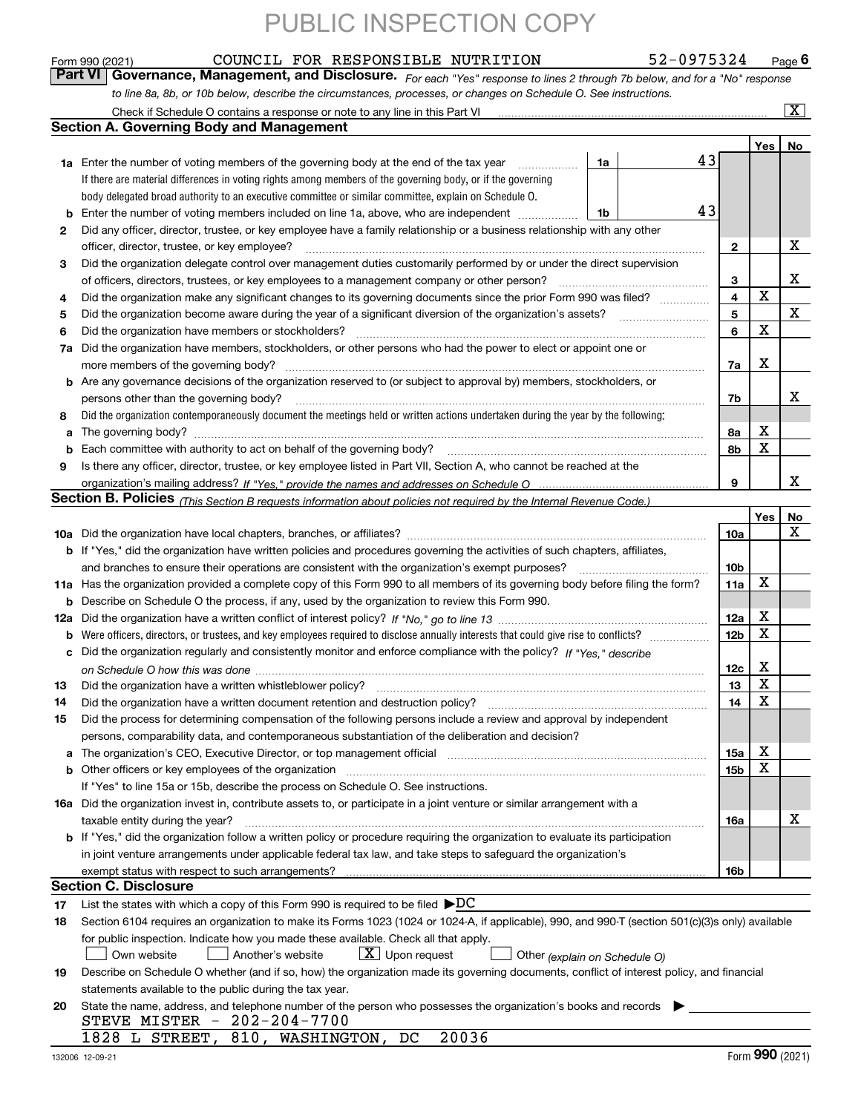|          | COUNCIL FOR RESPONSIBLE NUTRITION<br>52-0975324<br>Form 990 (2021)                                                                                                    |                 |     | Page 6                  |
|----------|-----------------------------------------------------------------------------------------------------------------------------------------------------------------------|-----------------|-----|-------------------------|
|          | Governance, Management, and Disclosure. For each "Yes" response to lines 2 through 7b below, and for a "No" response<br>Part VI                                       |                 |     |                         |
|          | to line 8a, 8b, or 10b below, describe the circumstances, processes, or changes on Schedule O. See instructions.                                                      |                 |     |                         |
|          | Check if Schedule O contains a response or note to any line in this Part VI [11] [12] Check if Schedule O contains a response or note to any line in this Part VI     |                 |     | $\overline{\mathbf{x}}$ |
|          | <b>Section A. Governing Body and Management</b>                                                                                                                       |                 |     |                         |
|          |                                                                                                                                                                       |                 | Yes | No                      |
|          | 43<br><b>1a</b> Enter the number of voting members of the governing body at the end of the tax year<br>1a                                                             |                 |     |                         |
|          | If there are material differences in voting rights among members of the governing body, or if the governing                                                           |                 |     |                         |
|          | body delegated broad authority to an executive committee or similar committee, explain on Schedule O.                                                                 |                 |     |                         |
| b        | 43<br>Enter the number of voting members included on line 1a, above, who are independent<br>1b                                                                        |                 |     |                         |
| 2        | Did any officer, director, trustee, or key employee have a family relationship or a business relationship with any other                                              |                 |     |                         |
|          | officer, director, trustee, or key employee?                                                                                                                          | 2               |     | х                       |
| 3        | Did the organization delegate control over management duties customarily performed by or under the direct supervision                                                 |                 |     |                         |
|          | of officers, directors, trustees, or key employees to a management company or other person?                                                                           | 3               | X   | х                       |
| 4        | Did the organization make any significant changes to its governing documents since the prior Form 990 was filed?                                                      | 4               |     | X                       |
| 5        | Did the organization become aware during the year of a significant diversion of the organization's assets?                                                            | 5<br>6          | х   |                         |
| 6        | Did the organization have members or stockholders?                                                                                                                    |                 |     |                         |
| 7a       | Did the organization have members, stockholders, or other persons who had the power to elect or appoint one or<br>more members of the governing body?                 | 7a              | х   |                         |
|          | <b>b</b> Are any governance decisions of the organization reserved to (or subject to approval by) members, stockholders, or                                           |                 |     |                         |
|          | persons other than the governing body?                                                                                                                                | 7b              |     | х                       |
| 8        | Did the organization contemporaneously document the meetings held or written actions undertaken during the year by the following:                                     |                 |     |                         |
| a        |                                                                                                                                                                       | 8a              | х   |                         |
| b        | Each committee with authority to act on behalf of the governing body?                                                                                                 | 8b              | x   |                         |
| 9        | Is there any officer, director, trustee, or key employee listed in Part VII, Section A, who cannot be reached at the                                                  |                 |     |                         |
|          |                                                                                                                                                                       | 9               |     | x                       |
|          | Section B. Policies <sub>(This Section B requests information about policies not required by the Internal Revenue Code.)</sub>                                        |                 |     |                         |
|          |                                                                                                                                                                       |                 | Yes | No                      |
|          |                                                                                                                                                                       | 10a             |     | x                       |
|          | b If "Yes," did the organization have written policies and procedures governing the activities of such chapters, affiliates,                                          |                 |     |                         |
|          | and branches to ensure their operations are consistent with the organization's exempt purposes?                                                                       | 10 <sub>b</sub> |     |                         |
|          | 11a Has the organization provided a complete copy of this Form 990 to all members of its governing body before filing the form?                                       | 11a             | х   |                         |
| b        | Describe on Schedule O the process, if any, used by the organization to review this Form 990.                                                                         |                 |     |                         |
|          |                                                                                                                                                                       | 12a             | x   |                         |
| b        | Were officers, directors, or trustees, and key employees required to disclose annually interests that could give rise to conflicts?                                   | 12 <sub>b</sub> | x   |                         |
| с        | Did the organization regularly and consistently monitor and enforce compliance with the policy? If "Yes." describe                                                    |                 | х   |                         |
|          | Did the organization have a written whistleblower policy?                                                                                                             | 12c             | x   |                         |
| 13<br>14 | Did the organization have a written document retention and destruction policy?                                                                                        | 13<br>14        | х   |                         |
| 15       | Did the process for determining compensation of the following persons include a review and approval by independent                                                    |                 |     |                         |
|          | persons, comparability data, and contemporaneous substantiation of the deliberation and decision?                                                                     |                 |     |                         |
| а        | The organization's CEO, Executive Director, or top management official manufactured content of the organization's CEO, Executive Director, or top management official | 15a             | х   |                         |
| b        |                                                                                                                                                                       | 15 <sub>b</sub> | х   |                         |
|          | If "Yes" to line 15a or 15b, describe the process on Schedule O. See instructions.                                                                                    |                 |     |                         |
|          | 16a Did the organization invest in, contribute assets to, or participate in a joint venture or similar arrangement with a                                             |                 |     |                         |
|          | taxable entity during the year?                                                                                                                                       | 16a             |     | х                       |
|          | <b>b</b> If "Yes," did the organization follow a written policy or procedure requiring the organization to evaluate its participation                                 |                 |     |                         |
|          | in joint venture arrangements under applicable federal tax law, and take steps to safeguard the organization's                                                        |                 |     |                         |
|          |                                                                                                                                                                       | <b>16b</b>      |     |                         |
|          | Section C. Disclosure                                                                                                                                                 |                 |     |                         |
| 17       | List the states with which a copy of this Form 990 is required to be filed $\blacktriangleright DC$                                                                   |                 |     |                         |
| 18       | Section 6104 requires an organization to make its Forms 1023 (1024 or 1024-A, if applicable), 990, and 990-T (section 501(c)(3)s only) available                      |                 |     |                         |
|          | for public inspection. Indicate how you made these available. Check all that apply.                                                                                   |                 |     |                         |
|          | $X$ Upon request<br>Own website<br>Another's website<br>Other (explain on Schedule O)                                                                                 |                 |     |                         |
| 19       | Describe on Schedule O whether (and if so, how) the organization made its governing documents, conflict of interest policy, and financial                             |                 |     |                         |
|          | statements available to the public during the tax year.                                                                                                               |                 |     |                         |
| 20       | State the name, address, and telephone number of the person who possesses the organization's books and records                                                        |                 |     |                         |
|          | STEVE MISTER - 202-204-7700<br>20036<br>1828 L STREET, 810, WASHINGTON, DC                                                                                            |                 |     |                         |
|          |                                                                                                                                                                       |                 |     |                         |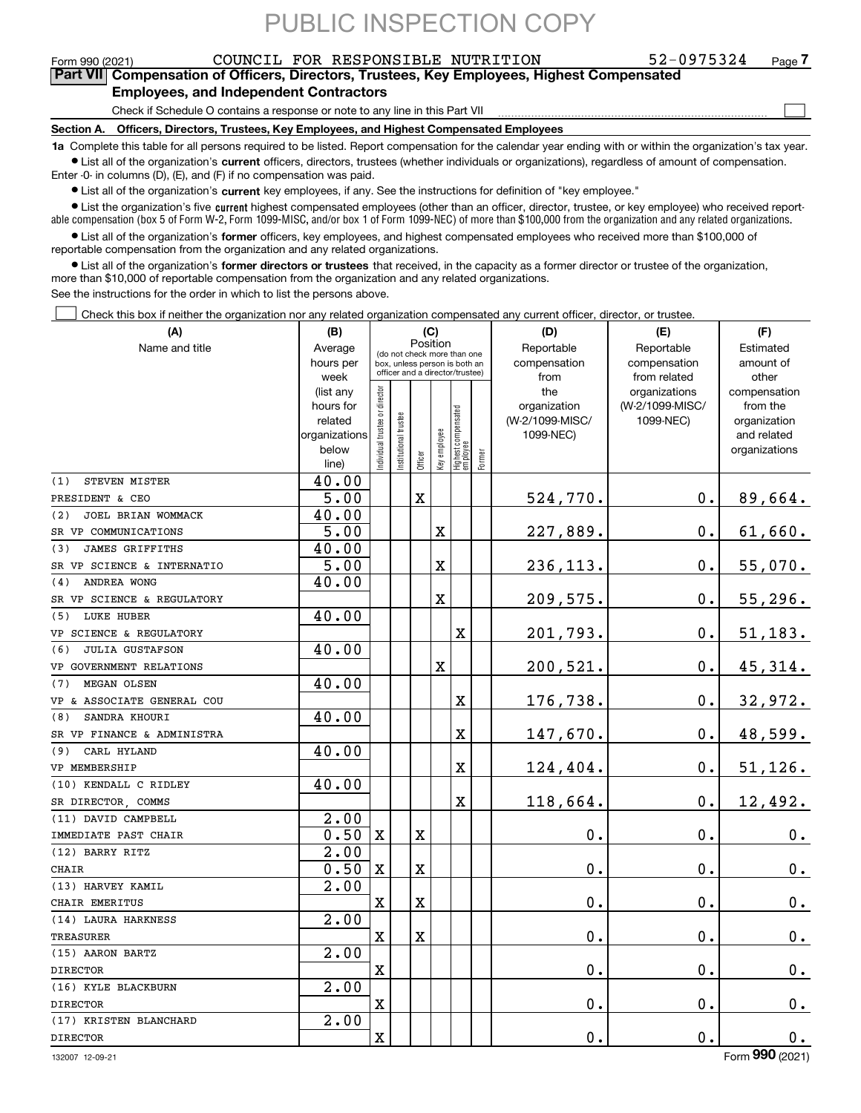Form 990 (2021) COUNCIL FOR RESPONSIBLE NUTRITION 52-0975324 Page **7Part VII Compensation of Officers, Directors, Trustees, Key Employees, Highest Compensated**

### **Employees, and Independent Contractors**

Check if Schedule O contains a response or note to any line in this Part VII

**Section A. Officers, Directors, Trustees, Key Employees, and Highest Compensated Employees**

**1a**  Complete this table for all persons required to be listed. Report compensation for the calendar year ending with or within the organization's tax year. **•** List all of the organization's current officers, directors, trustees (whether individuals or organizations), regardless of amount of compensation.

Enter -0- in columns (D), (E), and (F) if no compensation was paid.

 $\bullet$  List all of the organization's  $\sf current$  key employees, if any. See the instructions for definition of "key employee."

• List the organization's five current highest compensated employees (other than an officer, director, trustee, or key employee) who received report-■ List the organization's five current highest compensated employees (other than an officer, director, trustee, or key employee) who received report-<br>able compensation (box 5 of Form W-2, Form 1099-MISC, and/or box 1 of F

**•** List all of the organization's former officers, key employees, and highest compensated employees who received more than \$100,000 of reportable compensation from the organization and any related organizations.

**former directors or trustees**  ¥ List all of the organization's that received, in the capacity as a former director or trustee of the organization, more than \$10,000 of reportable compensation from the organization and any related organizations.

See the instructions for the order in which to list the persons above.

Check this box if neither the organization nor any related organization compensated any current officer, director, or trustee.  $\mathcal{L}^{\text{max}}$ 

| (A)                           | (B)                  | (C)                                                              |                      | (D)                     | (E)                     | (F)                              |        |                                 |                              |                          |
|-------------------------------|----------------------|------------------------------------------------------------------|----------------------|-------------------------|-------------------------|----------------------------------|--------|---------------------------------|------------------------------|--------------------------|
| Name and title                | Average              | Position<br>(do not check more than one                          |                      |                         |                         |                                  |        | Reportable                      | Reportable                   | Estimated                |
|                               | hours per            | box, unless person is both an<br>officer and a director/trustee) |                      |                         |                         |                                  |        | compensation                    | compensation                 | amount of                |
|                               | week                 |                                                                  |                      |                         |                         |                                  |        | from                            | from related                 | other                    |
|                               | (list any            |                                                                  |                      |                         |                         |                                  |        | the                             | organizations                | compensation             |
|                               | hours for<br>related |                                                                  |                      |                         |                         |                                  |        | organization<br>(W-2/1099-MISC/ | (W-2/1099-MISC/<br>1099-NEC) | from the<br>organization |
|                               | organizations        |                                                                  |                      |                         |                         |                                  |        | 1099-NEC)                       |                              | and related              |
|                               | below                |                                                                  |                      |                         |                         |                                  |        |                                 |                              | organizations            |
|                               | line)                | ndividual trustee or director                                    | nstitutional trustee | Officer                 | Key employee            | Highest compensated<br> employee | Former |                                 |                              |                          |
| (1)<br>STEVEN MISTER          | 40.00                |                                                                  |                      |                         |                         |                                  |        |                                 |                              |                          |
| PRESIDENT & CEO               | 5.00                 |                                                                  |                      | $\mathbf X$             |                         |                                  |        | 524,770.                        | 0.                           | 89,664.                  |
| (2)<br>JOEL BRIAN WOMMACK     | 40.00                |                                                                  |                      |                         |                         |                                  |        |                                 |                              |                          |
| SR VP COMMUNICATIONS          | 5.00                 |                                                                  |                      |                         | X                       |                                  |        | 227,889.                        | $\mathbf 0$ .                | 61,660.                  |
| (3)<br><b>JAMES GRIFFITHS</b> | 40.00                |                                                                  |                      |                         |                         |                                  |        |                                 |                              |                          |
| SR VP SCIENCE & INTERNATIO    | 5.00                 |                                                                  |                      |                         | X                       |                                  |        | 236,113.                        | $\mathbf 0$ .                | 55,070.                  |
| ANDREA WONG<br>(4)            | 40.00                |                                                                  |                      |                         |                         |                                  |        |                                 |                              |                          |
| SR VP SCIENCE & REGULATORY    |                      |                                                                  |                      |                         | $\overline{\textbf{X}}$ |                                  |        | 209,575.                        | $\mathbf 0$ .                | 55, 296.                 |
| (5) LUKE HUBER                | 40.00                |                                                                  |                      |                         |                         |                                  |        |                                 |                              |                          |
| VP SCIENCE & REGULATORY       |                      |                                                                  |                      |                         |                         | X                                |        | 201,793.                        | $\mathbf 0$ .                | 51, 183.                 |
| <b>JULIA GUSTAFSON</b><br>(6) | 40.00                |                                                                  |                      |                         |                         |                                  |        |                                 |                              |                          |
| VP GOVERNMENT RELATIONS       |                      |                                                                  |                      |                         | $\overline{\text{X}}$   |                                  |        | 200,521.                        | $\mathbf{0}$ .               | 45,314.                  |
| (7)<br>MEGAN OLSEN            | 40.00                |                                                                  |                      |                         |                         |                                  |        |                                 |                              |                          |
| VP & ASSOCIATE GENERAL COU    |                      |                                                                  |                      |                         |                         | X                                |        | 176,738.                        | 0.                           | 32,972.                  |
| SANDRA KHOURI<br>(8)          | 40.00                |                                                                  |                      |                         |                         |                                  |        |                                 |                              |                          |
| SR VP FINANCE & ADMINISTRA    |                      |                                                                  |                      |                         |                         | X                                |        | 147,670.                        | 0.                           | 48,599.                  |
| CARL HYLAND<br>(9)            | 40.00                |                                                                  |                      |                         |                         |                                  |        |                                 |                              |                          |
| VP MEMBERSHIP                 |                      |                                                                  |                      |                         |                         | X                                |        | 124,404.                        | $\mathbf 0$ .                | 51, 126.                 |
| (10) KENDALL C RIDLEY         | 40.00                |                                                                  |                      |                         |                         |                                  |        |                                 |                              |                          |
| SR DIRECTOR, COMMS            |                      |                                                                  |                      |                         |                         | X                                |        | 118,664.                        | $\mathbf 0$ .                | 12,492.                  |
| (11) DAVID CAMPBELL           | 2.00                 |                                                                  |                      |                         |                         |                                  |        |                                 |                              |                          |
| IMMEDIATE PAST CHAIR          | 0.50                 | $\mathbf{x}$                                                     |                      | $\mathbf X$             |                         |                                  |        | 0.                              | $\mathbf 0$ .                | 0.                       |
| (12) BARRY RITZ               | 2.00                 |                                                                  |                      |                         |                         |                                  |        |                                 |                              |                          |
| <b>CHAIR</b>                  | 0.50                 | $\mathbf X$                                                      |                      | $\mathbf X$             |                         |                                  |        | 0.                              | $\mathbf 0$ .                | 0.                       |
| (13) HARVEY KAMIL             | $\overline{2.00}$    |                                                                  |                      |                         |                         |                                  |        |                                 |                              |                          |
| CHAIR EMERITUS                |                      | $\mathbf X$                                                      |                      | $\mathbf X$             |                         |                                  |        | 0.                              | $\mathbf 0$ .                | 0.                       |
| (14) LAURA HARKNESS           | 2.00                 |                                                                  |                      |                         |                         |                                  |        |                                 |                              |                          |
| <b>TREASURER</b>              |                      | $\overline{\text{X}}$                                            |                      | $\overline{\mathbf{X}}$ |                         |                                  |        | 0.                              | $\mathbf 0$ .                | $\mathbf 0$ .            |
| (15) AARON BARTZ              | 2.00                 |                                                                  |                      |                         |                         |                                  |        |                                 |                              |                          |
| <b>DIRECTOR</b>               |                      | $\mathbf X$                                                      |                      |                         |                         |                                  |        | 0.                              | $\mathbf 0$ .                | 0.                       |
| (16) KYLE BLACKBURN           | 2.00                 |                                                                  |                      |                         |                         |                                  |        |                                 |                              |                          |
| <b>DIRECTOR</b>               |                      | $\overline{\mathbf{X}}$                                          |                      |                         |                         |                                  |        | 0.                              | $\mathbf 0$ .                | 0.                       |
| (17) KRISTEN BLANCHARD        | 2.00                 |                                                                  |                      |                         |                         |                                  |        |                                 |                              |                          |
| <b>DIRECTOR</b>               |                      | $\mathbf X$                                                      |                      |                         |                         |                                  |        | 0.                              | $\mathbf 0$ .                | 0.                       |

 $\mathcal{L}^{\text{max}}$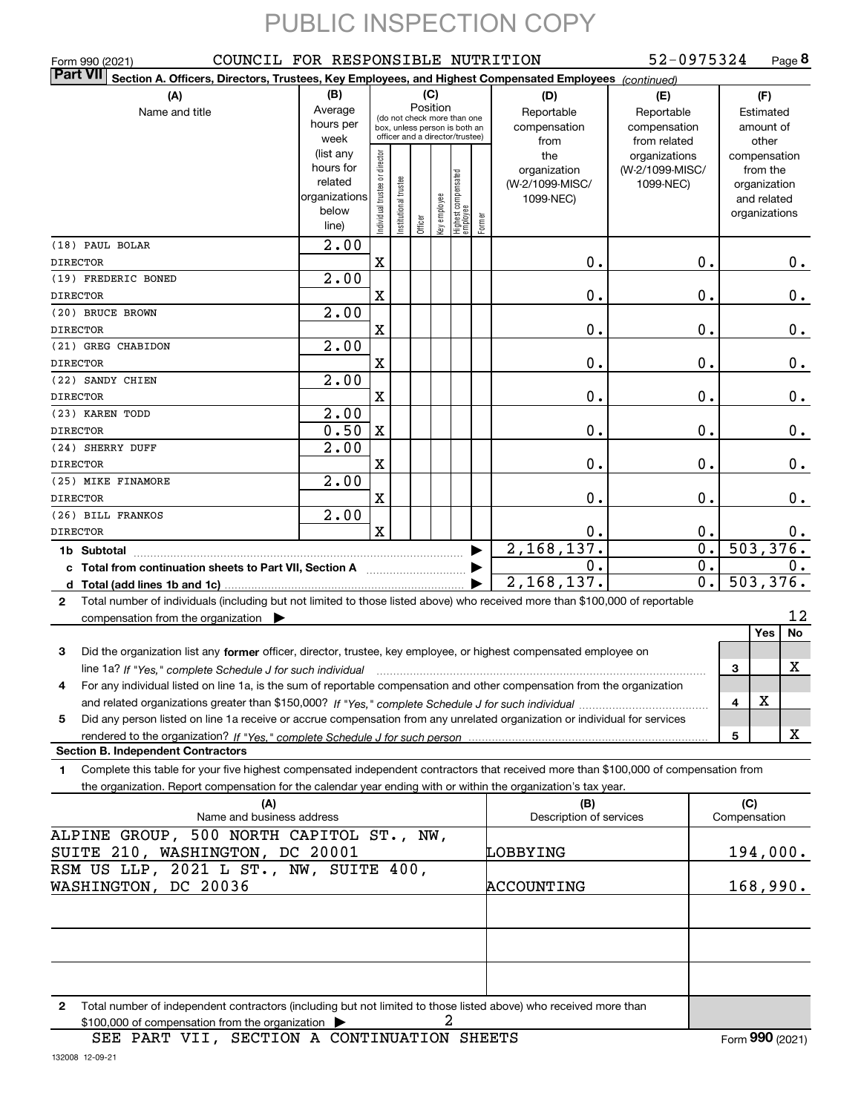| Form 990 (2021)<br><b>Part VII</b>                                                                                                           | COUNCIL FOR RESPONSIBLE NUTRITION |                                                              |                               |         |              |                                   |        |                         | 52-0975324             |                        | Page 8 |
|----------------------------------------------------------------------------------------------------------------------------------------------|-----------------------------------|--------------------------------------------------------------|-------------------------------|---------|--------------|-----------------------------------|--------|-------------------------|------------------------|------------------------|--------|
| Section A. Officers, Directors, Trustees, Key Employees, and Highest Compensated Employees (continued)                                       |                                   |                                                              |                               |         |              |                                   |        |                         |                        |                        |        |
| (A)<br>Name and title                                                                                                                        | (B)<br>Average                    |                                                              | (C)<br>Position<br>Reportable |         |              |                                   |        | (D)                     | (E)<br>Reportable      | (F)<br>Estimated       |        |
|                                                                                                                                              | hours per                         | (do not check more than one<br>box, unless person is both an |                               |         |              |                                   |        | compensation            | compensation           | amount of              |        |
|                                                                                                                                              | week                              |                                                              |                               |         |              | officer and a director/trustee)   |        | from                    | from related           | other                  |        |
|                                                                                                                                              | (list any                         |                                                              |                               |         |              |                                   |        | the                     | organizations          | compensation           |        |
|                                                                                                                                              | hours for                         |                                                              |                               |         |              |                                   |        | organization            | (W-2/1099-MISC/        | from the               |        |
|                                                                                                                                              | related                           |                                                              |                               |         |              |                                   |        | (W-2/1099-MISC/         | 1099-NEC)              | organization           |        |
|                                                                                                                                              | organizations<br>below            |                                                              |                               |         |              |                                   |        | 1099-NEC)               |                        | and related            |        |
|                                                                                                                                              | line)                             | Individual trustee or director                               | Institutional trustee         | Officer | Key employee | Highest compensated<br>  employee | Former |                         |                        | organizations          |        |
| (18) PAUL BOLAR                                                                                                                              | 2.00                              |                                                              |                               |         |              |                                   |        |                         |                        |                        |        |
| <b>DIRECTOR</b>                                                                                                                              |                                   | X                                                            |                               |         |              |                                   |        | 0.                      | 0.                     |                        | $0$ .  |
| (19) FREDERIC BONED                                                                                                                          | 2.00                              |                                                              |                               |         |              |                                   |        |                         |                        |                        |        |
| <b>DIRECTOR</b>                                                                                                                              |                                   | X                                                            |                               |         |              |                                   |        | 0.                      | 0.                     |                        | 0.     |
| (20) BRUCE BROWN                                                                                                                             | 2.00                              |                                                              |                               |         |              |                                   |        |                         |                        |                        |        |
| <b>DIRECTOR</b>                                                                                                                              |                                   | X                                                            |                               |         |              |                                   |        | 0.                      | 0.                     |                        | 0.     |
| (21) GREG CHABIDON                                                                                                                           | 2.00                              |                                                              |                               |         |              |                                   |        |                         |                        |                        |        |
| <b>DIRECTOR</b>                                                                                                                              |                                   | X                                                            |                               |         |              |                                   |        | 0.                      | 0.                     |                        | 0.     |
| (22) SANDY CHIEN                                                                                                                             | 2.00                              |                                                              |                               |         |              |                                   |        |                         |                        |                        |        |
| <b>DIRECTOR</b>                                                                                                                              |                                   | X                                                            |                               |         |              |                                   |        | 0.                      | 0.                     |                        | 0.     |
| (23) KAREN TODD                                                                                                                              | 2.00                              |                                                              |                               |         |              |                                   |        |                         |                        |                        |        |
| <b>DIRECTOR</b>                                                                                                                              | 0.50                              | X                                                            |                               |         |              |                                   |        | 0.                      | 0.                     |                        | 0.     |
| (24) SHERRY DUFF                                                                                                                             | $\overline{2}$ .00                |                                                              |                               |         |              |                                   |        |                         |                        |                        |        |
| <b>DIRECTOR</b>                                                                                                                              |                                   | X                                                            |                               |         |              |                                   |        | 0.                      | 0.                     |                        | 0.     |
| (25) MIKE FINAMORE                                                                                                                           | 2.00                              |                                                              |                               |         |              |                                   |        |                         |                        |                        |        |
| <b>DIRECTOR</b>                                                                                                                              |                                   | X                                                            |                               |         |              |                                   |        | 0.                      | 0.                     |                        | 0.     |
| (26) BILL FRANKOS                                                                                                                            | 2.00                              |                                                              |                               |         |              |                                   |        |                         |                        |                        |        |
| <b>DIRECTOR</b>                                                                                                                              |                                   | $\mathbf x$                                                  |                               |         |              |                                   |        | 0.                      | 0.<br>$\overline{0}$ . |                        | 0.     |
|                                                                                                                                              |                                   |                                                              |                               |         |              |                                   | ▶      | 2,168,137.<br>0.        | $0$ .                  | 503, 376.              |        |
| c Total from continuation sheets to Part VII, Section A <b>Constant Contact Part</b>                                                         |                                   |                                                              |                               |         |              |                                   |        | 2,168,137.              | $\overline{0}$ .       | $\overline{503,376}$ . | 0.     |
|                                                                                                                                              |                                   |                                                              |                               |         |              |                                   |        |                         |                        |                        |        |
| Total number of individuals (including but not limited to those listed above) who received more than \$100,000 of reportable<br>$\mathbf{2}$ |                                   |                                                              |                               |         |              |                                   |        |                         |                        |                        | 12     |
| compensation from the organization $\blacktriangleright$                                                                                     |                                   |                                                              |                               |         |              |                                   |        |                         |                        | Yes                    | No     |
| 3<br>Did the organization list any former officer, director, trustee, key employee, or highest compensated employee on                       |                                   |                                                              |                               |         |              |                                   |        |                         |                        |                        |        |
| line 1a? If "Yes." complete Schedule J for such individual                                                                                   |                                   |                                                              |                               |         |              |                                   |        |                         |                        | 3                      | х      |
| For any individual listed on line 1a, is the sum of reportable compensation and other compensation from the organization<br>4                |                                   |                                                              |                               |         |              |                                   |        |                         |                        |                        |        |
|                                                                                                                                              |                                   |                                                              |                               |         |              |                                   |        |                         |                        | х<br>4                 |        |
| Did any person listed on line 1a receive or accrue compensation from any unrelated organization or individual for services<br>5              |                                   |                                                              |                               |         |              |                                   |        |                         |                        |                        |        |
|                                                                                                                                              |                                   |                                                              |                               |         |              |                                   |        |                         |                        | 5                      | X      |
| <b>Section B. Independent Contractors</b>                                                                                                    |                                   |                                                              |                               |         |              |                                   |        |                         |                        |                        |        |
| Complete this table for your five highest compensated independent contractors that received more than \$100,000 of compensation from<br>1    |                                   |                                                              |                               |         |              |                                   |        |                         |                        |                        |        |
| the organization. Report compensation for the calendar year ending with or within the organization's tax year.                               |                                   |                                                              |                               |         |              |                                   |        |                         |                        |                        |        |
| (A)                                                                                                                                          |                                   |                                                              |                               |         |              |                                   |        | (B)                     |                        | (C)                    |        |
| Name and business address                                                                                                                    |                                   |                                                              |                               |         |              |                                   |        | Description of services |                        | Compensation           |        |
| ALPINE GROUP, 500 NORTH CAPITOL ST., NW,                                                                                                     |                                   |                                                              |                               |         |              |                                   |        |                         |                        |                        |        |
| SUITE 210, WASHINGTON, DC 20001<br>RSM US LLP, 2021 L ST., NW, SUITE 400,                                                                    |                                   |                                                              |                               |         |              |                                   |        | LOBBYING                |                        | 194,000.               |        |
| WASHINGTON, DC 20036                                                                                                                         |                                   |                                                              |                               |         |              |                                   |        | ACCOUNTING              |                        | 168,990.               |        |
|                                                                                                                                              |                                   |                                                              |                               |         |              |                                   |        |                         |                        |                        |        |
|                                                                                                                                              |                                   |                                                              |                               |         |              |                                   |        |                         |                        |                        |        |
|                                                                                                                                              |                                   |                                                              |                               |         |              |                                   |        |                         |                        |                        |        |
|                                                                                                                                              |                                   |                                                              |                               |         |              |                                   |        |                         |                        |                        |        |
|                                                                                                                                              |                                   |                                                              |                               |         |              |                                   |        |                         |                        |                        |        |
|                                                                                                                                              |                                   |                                                              |                               |         |              |                                   |        |                         |                        |                        |        |

**2**Total number of independent contractors (including but not limited to those listed above) who received more than 2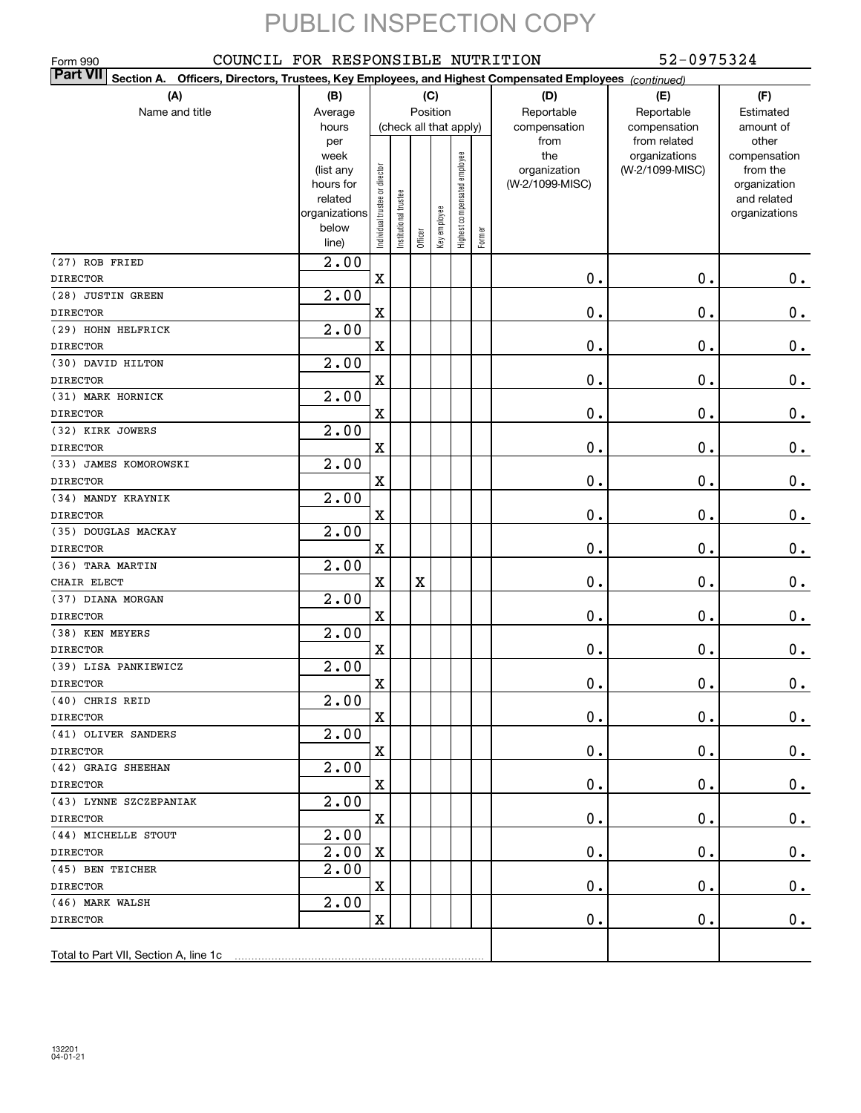| COUNCIL FOR RESPONSIBLE NUTRITION<br>Form 990                                                                                |                   |                                |                        |         |              |                              |        |                     | 52-0975324                       |                          |
|------------------------------------------------------------------------------------------------------------------------------|-------------------|--------------------------------|------------------------|---------|--------------|------------------------------|--------|---------------------|----------------------------------|--------------------------|
| <b>Part VII</b><br>Section A.<br>Officers, Directors, Trustees, Key Employees, and Highest Compensated Employees (continued) |                   |                                |                        |         |              |                              |        |                     |                                  |                          |
| (A)                                                                                                                          | (B)               |                                |                        |         | (C)          |                              |        | (D)                 | (E)                              | (F)                      |
| Name and title                                                                                                               | Average           |                                |                        |         | Position     |                              |        | Reportable          | Reportable                       | Estimated                |
|                                                                                                                              | hours             |                                | (check all that apply) |         |              |                              |        | compensation        | compensation                     | amount of                |
|                                                                                                                              | per               |                                |                        |         |              |                              |        | from                | from related                     | other                    |
|                                                                                                                              | week<br>(list any |                                |                        |         |              |                              |        | the<br>organization | organizations<br>(W-2/1099-MISC) | compensation<br>from the |
|                                                                                                                              | hours for         |                                |                        |         |              |                              |        | (W-2/1099-MISC)     |                                  | organization             |
|                                                                                                                              | related           |                                |                        |         |              |                              |        |                     |                                  | and related              |
|                                                                                                                              | organizations     |                                |                        |         |              |                              |        |                     |                                  | organizations            |
|                                                                                                                              | below             | Individual trustee or director | Institutional trustee  | Officer | Key employee | Highest compensated employee | Former |                     |                                  |                          |
|                                                                                                                              | line)             |                                |                        |         |              |                              |        |                     |                                  |                          |
| (27) ROB FRIED<br><b>DIRECTOR</b>                                                                                            | $\overline{2.00}$ | $\mathbf X$                    |                        |         |              |                              |        | 0.                  | 0.                               | $0$ .                    |
| (28) JUSTIN GREEN                                                                                                            | 2.00              |                                |                        |         |              |                              |        |                     |                                  |                          |
| <b>DIRECTOR</b>                                                                                                              |                   | $\mathbf X$                    |                        |         |              |                              |        | 0.                  | $\mathbf 0$ .                    | $0_{.}$                  |
| (29) HOHN HELFRICK                                                                                                           | 2.00              |                                |                        |         |              |                              |        |                     |                                  |                          |
| <b>DIRECTOR</b>                                                                                                              |                   | $\mathbf X$                    |                        |         |              |                              |        | 0.                  | $\mathbf 0$ .                    | $\mathbf 0$ .            |
| (30) DAVID HILTON                                                                                                            | 2.00              |                                |                        |         |              |                              |        |                     |                                  |                          |
| <b>DIRECTOR</b>                                                                                                              |                   | $\mathbf X$                    |                        |         |              |                              |        | 0.                  | $\mathbf 0$ .                    | $0$ .                    |
| (31) MARK HORNICK                                                                                                            | 2.00              |                                |                        |         |              |                              |        |                     |                                  |                          |
| <b>DIRECTOR</b>                                                                                                              |                   | $\mathbf X$                    |                        |         |              |                              |        | 0.                  | $\mathbf 0$ .                    | $\mathbf 0$ .            |
| (32) KIRK JOWERS                                                                                                             | $\overline{2.00}$ |                                |                        |         |              |                              |        |                     |                                  |                          |
| <b>DIRECTOR</b>                                                                                                              |                   | $\mathbf X$                    |                        |         |              |                              |        | $0$ .               | $\mathbf 0$ .                    | $\mathbf 0$ .            |
| (33) JAMES KOMOROWSKI                                                                                                        | 2.00              |                                |                        |         |              |                              |        |                     |                                  |                          |
| <b>DIRECTOR</b>                                                                                                              |                   | $\mathbf X$                    |                        |         |              |                              |        | 0.                  | $\mathbf 0$ .                    | $\mathbf 0$ .            |
| (34) MANDY KRAYNIK                                                                                                           | $\overline{2.00}$ |                                |                        |         |              |                              |        |                     |                                  |                          |
| <b>DIRECTOR</b>                                                                                                              |                   | $\mathbf X$                    |                        |         |              |                              |        | 0.                  | $\mathbf 0$ .                    | $\mathbf 0$ .            |
| (35) DOUGLAS MACKAY                                                                                                          | $\overline{2.00}$ |                                |                        |         |              |                              |        |                     |                                  |                          |
| <b>DIRECTOR</b>                                                                                                              |                   | $\mathbf X$                    |                        |         |              |                              |        | 0.                  | $\mathbf 0$ .                    | $0_{.}$                  |
| (36) TARA MARTIN                                                                                                             | $\overline{2.00}$ |                                |                        |         |              |                              |        |                     |                                  |                          |
| CHAIR ELECT                                                                                                                  |                   | $\mathbf X$                    |                        | X       |              |                              |        | 0.                  | $\mathbf 0$ .                    | 0.                       |
| (37) DIANA MORGAN                                                                                                            | $\overline{2.00}$ |                                |                        |         |              |                              |        |                     |                                  |                          |
| <b>DIRECTOR</b>                                                                                                              |                   | $\mathbf X$                    |                        |         |              |                              |        | 0.                  | $\mathbf 0$ .                    | $0$ .                    |
| (38) KEN MEYERS                                                                                                              | 2.00              |                                |                        |         |              |                              |        |                     |                                  |                          |
| <b>DIRECTOR</b>                                                                                                              |                   | $\mathbf X$                    |                        |         |              |                              |        | 0.                  | $\mathbf 0$ .                    | $0_{.}$                  |
| (39) LISA PANKIEWICZ                                                                                                         | 2.00              |                                |                        |         |              |                              |        |                     |                                  |                          |
| <b>DIRECTOR</b><br>(40) CHRIS REID                                                                                           |                   | x                              |                        |         |              |                              |        | $\mathbf 0$ .       | $\mathbf 0$ .                    | 0.                       |
| <b>DIRECTOR</b>                                                                                                              | 2.00              | $\mathbf X$                    |                        |         |              |                              |        | $\mathbf 0$ .       | $\mathbf 0$ .                    | $0_{.}$                  |
| (41) OLIVER SANDERS                                                                                                          | 2.00              |                                |                        |         |              |                              |        |                     |                                  |                          |
| <b>DIRECTOR</b>                                                                                                              |                   | $\mathbf X$                    |                        |         |              |                              |        | $\mathbf 0$ .       | $\mathbf 0$ .                    | $0_{.}$                  |
| (42) GRAIG SHEEHAN                                                                                                           | 2.00              |                                |                        |         |              |                              |        |                     |                                  |                          |
| <b>DIRECTOR</b>                                                                                                              |                   | $\mathbf X$                    |                        |         |              |                              |        | $\mathbf 0$ .       | $\mathbf 0$ .                    | $0\cdot$                 |
| (43) LYNNE SZCZEPANIAK                                                                                                       | 2.00              |                                |                        |         |              |                              |        |                     |                                  |                          |
| <b>DIRECTOR</b>                                                                                                              |                   | $\mathbf X$                    |                        |         |              |                              |        | $\mathbf 0$ .       | $\mathbf 0$ .                    | $0_{.}$                  |
| (44) MICHELLE STOUT                                                                                                          | 2.00              |                                |                        |         |              |                              |        |                     |                                  |                          |
| <b>DIRECTOR</b>                                                                                                              | 2.00              | X                              |                        |         |              |                              |        | $\mathbf 0$ .       | $\mathbf 0$ .                    | $0_{.}$                  |
| (45) BEN TEICHER                                                                                                             | 2.00              |                                |                        |         |              |                              |        |                     |                                  |                          |
| <b>DIRECTOR</b>                                                                                                              |                   | $\mathbf X$                    |                        |         |              |                              |        | $\mathbf 0$ .       | $\mathbf 0$ .                    | $0_{.}$                  |
| (46) MARK WALSH                                                                                                              | 2.00              |                                |                        |         |              |                              |        |                     |                                  |                          |
| <b>DIRECTOR</b>                                                                                                              |                   | $\mathbf X$                    |                        |         |              |                              |        | $\mathbf 0$ .       | 0.                               | $0_{.}$                  |
|                                                                                                                              |                   |                                |                        |         |              |                              |        |                     |                                  |                          |
| Total to Part VII, Section A, line 1c                                                                                        |                   |                                |                        |         |              |                              |        |                     |                                  |                          |
|                                                                                                                              |                   |                                |                        |         |              |                              |        |                     |                                  |                          |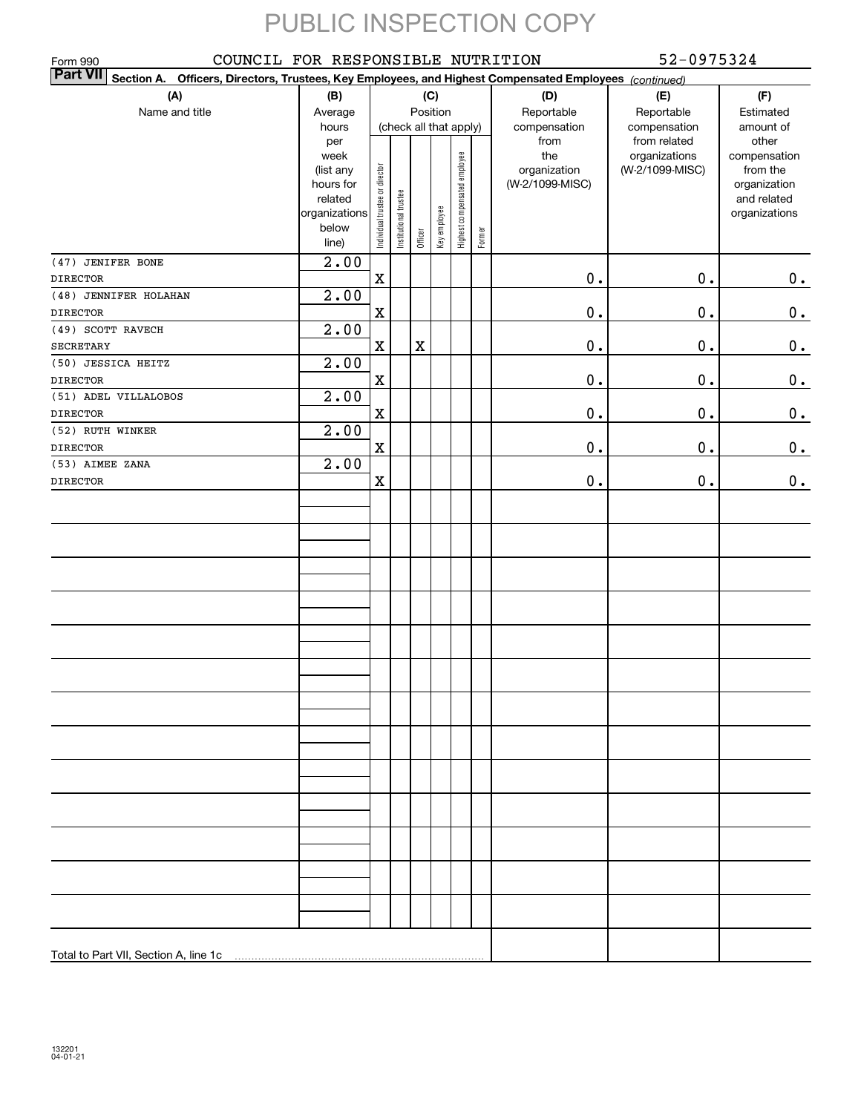| COUNCIL FOR RESPONSIBLE NUTRITION<br>Form 990                                                                                |                                                                                     |                                |                       |             |                 |                              |        | 52-0975324                                     |                                                   |                                                                                   |  |  |
|------------------------------------------------------------------------------------------------------------------------------|-------------------------------------------------------------------------------------|--------------------------------|-----------------------|-------------|-----------------|------------------------------|--------|------------------------------------------------|---------------------------------------------------|-----------------------------------------------------------------------------------|--|--|
| <b>Part VII</b><br>Section A.<br>Officers, Directors, Trustees, Key Employees, and Highest Compensated Employees (continued) |                                                                                     |                                |                       |             |                 |                              |        |                                                |                                                   |                                                                                   |  |  |
| (A)<br>Name and title                                                                                                        | (B)<br>Average<br>hours                                                             | (check all that apply)         |                       |             | (C)<br>Position |                              |        | (D)<br>Reportable<br>compensation              | (E)<br>Reportable<br>compensation<br>from related | (F)<br>Estimated<br>amount of                                                     |  |  |
|                                                                                                                              | per<br>week<br>(list any<br>hours for<br>related<br>organizations<br>below<br>line) | Individual trustee or director | Institutional trustee | Officer     | Key employee    | Highest compensated employee | Former | from<br>the<br>organization<br>(W-2/1099-MISC) | organizations<br>(W-2/1099-MISC)                  | other<br>compensation<br>from the<br>organization<br>and related<br>organizations |  |  |
| (47) JENIFER BONE<br><b>DIRECTOR</b>                                                                                         | $\overline{2.00}$                                                                   | $\rm X$                        |                       |             |                 |                              |        | 0.                                             | $\mathbf 0$ .                                     | 0.                                                                                |  |  |
| (48) JENNIFER HOLAHAN                                                                                                        | $\overline{2.00}$                                                                   |                                |                       |             |                 |                              |        |                                                |                                                   |                                                                                   |  |  |
| <b>DIRECTOR</b>                                                                                                              |                                                                                     | X                              |                       |             |                 |                              |        | $\mathbf 0$ .                                  | $\mathbf 0$ .                                     | 0.                                                                                |  |  |
| (49) SCOTT RAVECH                                                                                                            | $\overline{2.00}$                                                                   |                                |                       |             |                 |                              |        |                                                |                                                   |                                                                                   |  |  |
| <b>SECRETARY</b>                                                                                                             |                                                                                     | X                              |                       | $\mathbf X$ |                 |                              |        | $\mathbf 0$ .                                  | $\mathbf 0$ .                                     | 0.                                                                                |  |  |
| (50) JESSICA HEITZ                                                                                                           | 2.00                                                                                |                                |                       |             |                 |                              |        |                                                |                                                   |                                                                                   |  |  |
| <b>DIRECTOR</b>                                                                                                              |                                                                                     | X                              |                       |             |                 |                              |        | $\mathbf 0$ .                                  | $\mathbf 0$ .                                     | 0.                                                                                |  |  |
| (51) ADEL VILLALOBOS                                                                                                         | 2.00                                                                                |                                |                       |             |                 |                              |        |                                                |                                                   |                                                                                   |  |  |
| <b>DIRECTOR</b>                                                                                                              |                                                                                     | X                              |                       |             |                 |                              |        | $\mathbf 0$ .                                  | $\mathbf 0$ .                                     | 0.                                                                                |  |  |
| (52) RUTH WINKER                                                                                                             | $\overline{2.00}$                                                                   |                                |                       |             |                 |                              |        |                                                |                                                   |                                                                                   |  |  |
| <b>DIRECTOR</b><br>(53) AIMEE ZANA                                                                                           | $\overline{2.00}$                                                                   | $\mathbf X$                    |                       |             |                 |                              |        | 0.                                             | $\mathbf 0$ .                                     | 0.                                                                                |  |  |
| <b>DIRECTOR</b>                                                                                                              |                                                                                     | X                              |                       |             |                 |                              |        | 0.                                             | $\mathbf 0$ .                                     | 0.                                                                                |  |  |
|                                                                                                                              |                                                                                     |                                |                       |             |                 |                              |        |                                                |                                                   |                                                                                   |  |  |
|                                                                                                                              |                                                                                     |                                |                       |             |                 |                              |        |                                                |                                                   |                                                                                   |  |  |
|                                                                                                                              |                                                                                     |                                |                       |             |                 |                              |        |                                                |                                                   |                                                                                   |  |  |
|                                                                                                                              |                                                                                     |                                |                       |             |                 |                              |        |                                                |                                                   |                                                                                   |  |  |
|                                                                                                                              |                                                                                     |                                |                       |             |                 |                              |        |                                                |                                                   |                                                                                   |  |  |
|                                                                                                                              |                                                                                     |                                |                       |             |                 |                              |        |                                                |                                                   |                                                                                   |  |  |
|                                                                                                                              |                                                                                     |                                |                       |             |                 |                              |        |                                                |                                                   |                                                                                   |  |  |
|                                                                                                                              |                                                                                     |                                |                       |             |                 |                              |        |                                                |                                                   |                                                                                   |  |  |
|                                                                                                                              |                                                                                     |                                |                       |             |                 |                              |        |                                                |                                                   |                                                                                   |  |  |
|                                                                                                                              |                                                                                     |                                |                       |             |                 |                              |        |                                                |                                                   |                                                                                   |  |  |
|                                                                                                                              |                                                                                     |                                |                       |             |                 |                              |        |                                                |                                                   |                                                                                   |  |  |
|                                                                                                                              |                                                                                     |                                |                       |             |                 |                              |        |                                                |                                                   |                                                                                   |  |  |
|                                                                                                                              |                                                                                     |                                |                       |             |                 |                              |        |                                                |                                                   |                                                                                   |  |  |
| Total to Part VII, Section A, line 1c                                                                                        |                                                                                     |                                |                       |             |                 |                              |        |                                                |                                                   |                                                                                   |  |  |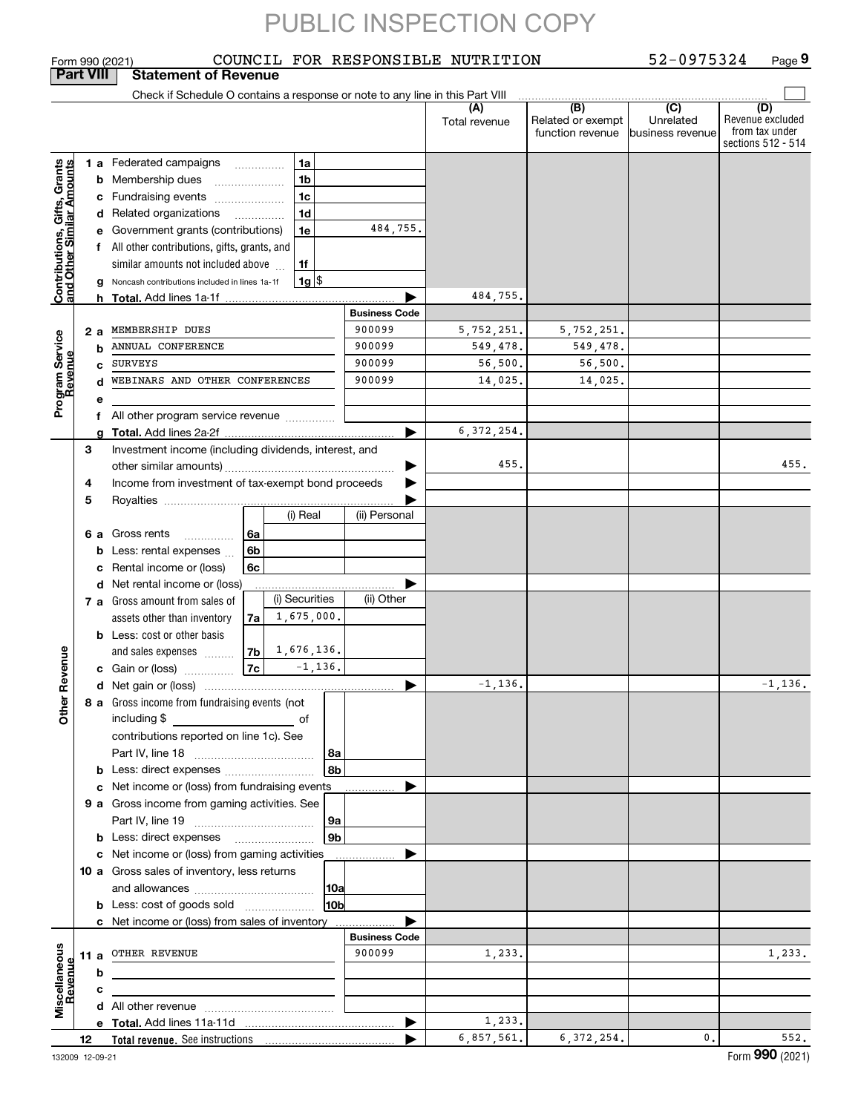|                                                           |             |     | COUNCIL FOR RESPONSIBLE NUTRITION<br>Form 990 (2021)                                                                                                                                                                                                                                                                                                                                                                                 |                                            |                        |                                              | 52-0975324                                       | Page 9                                                          |
|-----------------------------------------------------------|-------------|-----|--------------------------------------------------------------------------------------------------------------------------------------------------------------------------------------------------------------------------------------------------------------------------------------------------------------------------------------------------------------------------------------------------------------------------------------|--------------------------------------------|------------------------|----------------------------------------------|--------------------------------------------------|-----------------------------------------------------------------|
| <b>Part VIII</b>                                          |             |     | <b>Statement of Revenue</b>                                                                                                                                                                                                                                                                                                                                                                                                          |                                            |                        |                                              |                                                  |                                                                 |
|                                                           |             |     | Check if Schedule O contains a response or note to any line in this Part VIII                                                                                                                                                                                                                                                                                                                                                        |                                            | (A)<br>Total revenue   | (B)<br>Related or exempt<br>function revenue | $\overline{C}$<br>Unrelated<br>lbusiness revenue | (D)<br>Revenue excluded<br>from tax under<br>sections 512 - 514 |
| Contributions, Gifts, Grants<br>and Other Similar Amounts |             | 2 a | 1a<br><b>1 a</b> Federated campaigns<br>1 <sub>b</sub><br><b>b</b> Membership dues<br>$\ldots \ldots \ldots \ldots \ldots$<br>1c<br>c Fundraising events<br>1d<br>d Related organizations<br>.<br>e Government grants (contributions)<br>1e<br>f All other contributions, gifts, grants, and<br>similar amounts not included above<br>1f<br>$1g$ $\frac{1}{3}$<br>g Noncash contributions included in lines 1a-1f<br>MEMBERSHIP DUES | 484,755.<br><b>Business Code</b><br>900099 | 484,755.<br>5,752,251. | 5,752,251.                                   |                                                  |                                                                 |
| Program Service<br>Revenue                                |             | b   | ANNUAL CONFERENCE                                                                                                                                                                                                                                                                                                                                                                                                                    | 900099                                     | 549,478.               | 549,478.                                     |                                                  |                                                                 |
|                                                           |             | C.  | <b>SURVEYS</b>                                                                                                                                                                                                                                                                                                                                                                                                                       | 900099                                     | 56,500.                | 56,500.                                      |                                                  |                                                                 |
|                                                           |             | d   | WEBINARS AND OTHER CONFERENCES                                                                                                                                                                                                                                                                                                                                                                                                       | 900099                                     | 14,025.                | 14,025.                                      |                                                  |                                                                 |
|                                                           |             | е   |                                                                                                                                                                                                                                                                                                                                                                                                                                      |                                            |                        |                                              |                                                  |                                                                 |
|                                                           |             |     | f All other program service revenue                                                                                                                                                                                                                                                                                                                                                                                                  |                                            |                        |                                              |                                                  |                                                                 |
|                                                           |             | a   |                                                                                                                                                                                                                                                                                                                                                                                                                                      |                                            | 6, 372, 254.           |                                              |                                                  |                                                                 |
|                                                           | 3<br>4<br>5 |     | Investment income (including dividends, interest, and<br>Income from investment of tax-exempt bond proceeds                                                                                                                                                                                                                                                                                                                          | ▶                                          | 455.                   |                                              |                                                  | 455.                                                            |
|                                                           |             |     | (i) Real<br>6 a Gross rents<br>6a<br>6b<br><b>b</b> Less: rental expenses $\ldots$<br>c Rental income or (loss)<br>6с                                                                                                                                                                                                                                                                                                                | (ii) Personal                              |                        |                                              |                                                  |                                                                 |
|                                                           |             |     | d Net rental income or (loss)                                                                                                                                                                                                                                                                                                                                                                                                        |                                            |                        |                                              |                                                  |                                                                 |
|                                                           |             |     | (i) Securities<br>7 a Gross amount from sales of<br>1,675,000.<br>assets other than inventory<br>7a<br><b>b</b> Less: cost or other basis                                                                                                                                                                                                                                                                                            | (ii) Other                                 |                        |                                              |                                                  |                                                                 |
|                                                           |             |     | 1,676,136.<br>7 <sub>b</sub><br>and sales expenses                                                                                                                                                                                                                                                                                                                                                                                   |                                            |                        |                                              |                                                  |                                                                 |
| evenue                                                    |             |     | $-1, 136.$<br>7c<br>c Gain or (loss)                                                                                                                                                                                                                                                                                                                                                                                                 |                                            |                        |                                              |                                                  |                                                                 |
|                                                           |             |     |                                                                                                                                                                                                                                                                                                                                                                                                                                      |                                            | $-1, 136.$             |                                              |                                                  | $-1, 136.$                                                      |
| œ<br>Other                                                |             |     | 8 a Gross income from fundraising events (not<br>including \$<br>contributions reported on line 1c). See<br>  8a                                                                                                                                                                                                                                                                                                                     |                                            |                        |                                              |                                                  |                                                                 |
|                                                           |             |     | 8b                                                                                                                                                                                                                                                                                                                                                                                                                                   |                                            |                        |                                              |                                                  |                                                                 |
|                                                           |             |     | c Net income or (loss) from fundraising events                                                                                                                                                                                                                                                                                                                                                                                       |                                            |                        |                                              |                                                  |                                                                 |
|                                                           |             |     | 9 a Gross income from gaming activities. See                                                                                                                                                                                                                                                                                                                                                                                         |                                            |                        |                                              |                                                  |                                                                 |
|                                                           |             |     | 9a                                                                                                                                                                                                                                                                                                                                                                                                                                   |                                            |                        |                                              |                                                  |                                                                 |
|                                                           |             |     | 9b<br><b>b</b> Less: direct expenses <b>manually</b>                                                                                                                                                                                                                                                                                                                                                                                 |                                            |                        |                                              |                                                  |                                                                 |
|                                                           |             |     | c Net income or (loss) from gaming activities                                                                                                                                                                                                                                                                                                                                                                                        | .                                          |                        |                                              |                                                  |                                                                 |
|                                                           |             |     | 10 a Gross sales of inventory, less returns                                                                                                                                                                                                                                                                                                                                                                                          |                                            |                        |                                              |                                                  |                                                                 |
|                                                           |             |     | 10a                                                                                                                                                                                                                                                                                                                                                                                                                                  |                                            |                        |                                              |                                                  |                                                                 |
|                                                           |             |     | 10bl                                                                                                                                                                                                                                                                                                                                                                                                                                 |                                            |                        |                                              |                                                  |                                                                 |
|                                                           |             |     | <b>b</b> Less: cost of goods sold                                                                                                                                                                                                                                                                                                                                                                                                    |                                            |                        |                                              |                                                  |                                                                 |
|                                                           |             |     | <b>c</b> Net income or (loss) from sales of inventory                                                                                                                                                                                                                                                                                                                                                                                |                                            |                        |                                              |                                                  |                                                                 |
|                                                           |             |     |                                                                                                                                                                                                                                                                                                                                                                                                                                      | <b>Business Code</b>                       |                        |                                              |                                                  |                                                                 |
| Miscellaneous<br>Revenue                                  |             |     | 11 a OTHER REVENUE                                                                                                                                                                                                                                                                                                                                                                                                                   | 900099                                     | 1,233.                 |                                              |                                                  | 1,233.                                                          |
|                                                           |             | b   |                                                                                                                                                                                                                                                                                                                                                                                                                                      |                                            |                        |                                              |                                                  |                                                                 |
|                                                           |             | с   | the control of the control of the control of the control of the control of                                                                                                                                                                                                                                                                                                                                                           |                                            |                        |                                              |                                                  |                                                                 |
|                                                           |             |     |                                                                                                                                                                                                                                                                                                                                                                                                                                      |                                            |                        |                                              |                                                  |                                                                 |
|                                                           |             |     |                                                                                                                                                                                                                                                                                                                                                                                                                                      | ▶                                          | 1,233.                 |                                              |                                                  |                                                                 |
|                                                           | 12          |     |                                                                                                                                                                                                                                                                                                                                                                                                                                      |                                            | 6,857,561.             | 6, 372, 254.                                 | 0.                                               | 552.                                                            |
| 132009 12-09-21                                           |             |     |                                                                                                                                                                                                                                                                                                                                                                                                                                      |                                            |                        |                                              |                                                  | Form 990 (2021)                                                 |
|                                                           |             |     |                                                                                                                                                                                                                                                                                                                                                                                                                                      |                                            |                        |                                              |                                                  |                                                                 |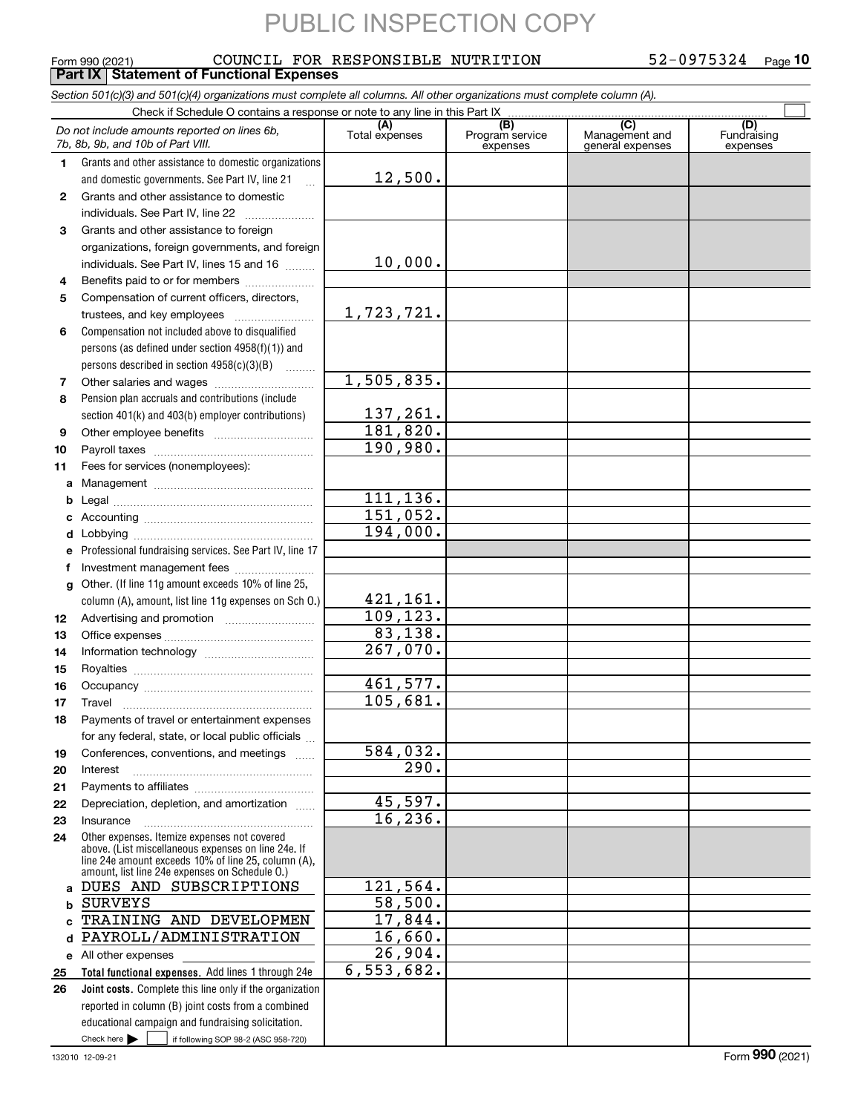#### **10** COUNCIL FOR RESPONSIBLE NUTRITION 52-0975324

### Form 990 (2021) Page **Part IX Statement of Functional Expenses**

*Section 501(c)(3) and 501(c)(4) organizations must complete all columns. All other organizations must complete column (A).*

|              | Do not include amounts reported on lines 6b,<br>7b, 8b, 9b, and 10b of Part VIII.                          | (A)<br>Total expenses  | $\overline{(B)}$<br>Program service<br>expenses | $\overline{C}$<br>Management and<br>general expenses | (D)<br>Fundraising<br>expenses |
|--------------|------------------------------------------------------------------------------------------------------------|------------------------|-------------------------------------------------|------------------------------------------------------|--------------------------------|
| 1.           | Grants and other assistance to domestic organizations                                                      |                        |                                                 |                                                      |                                |
|              | and domestic governments. See Part IV, line 21                                                             | 12,500.                |                                                 |                                                      |                                |
| $\mathbf{2}$ | Grants and other assistance to domestic                                                                    |                        |                                                 |                                                      |                                |
|              | individuals. See Part IV, line 22                                                                          |                        |                                                 |                                                      |                                |
| 3            | Grants and other assistance to foreign                                                                     |                        |                                                 |                                                      |                                |
|              | organizations, foreign governments, and foreign                                                            |                        |                                                 |                                                      |                                |
|              | individuals. See Part IV, lines 15 and 16                                                                  | 10,000.                |                                                 |                                                      |                                |
| 4            | Benefits paid to or for members                                                                            |                        |                                                 |                                                      |                                |
| 5            | Compensation of current officers, directors,                                                               |                        |                                                 |                                                      |                                |
|              |                                                                                                            | 1,723,721.             |                                                 |                                                      |                                |
| 6            | Compensation not included above to disqualified                                                            |                        |                                                 |                                                      |                                |
|              | persons (as defined under section $4958(f)(1)$ ) and                                                       |                        |                                                 |                                                      |                                |
|              | persons described in section 4958(c)(3)(B)                                                                 |                        |                                                 |                                                      |                                |
| 7            |                                                                                                            | 1,505,835.             |                                                 |                                                      |                                |
| 8            | Pension plan accruals and contributions (include                                                           | 137,261.               |                                                 |                                                      |                                |
|              | section 401(k) and 403(b) employer contributions)                                                          | 181,820.               |                                                 |                                                      |                                |
| 9<br>10      | Other employee benefits                                                                                    | 190,980.               |                                                 |                                                      |                                |
| 11           | Fees for services (nonemployees):                                                                          |                        |                                                 |                                                      |                                |
| а            |                                                                                                            |                        |                                                 |                                                      |                                |
| b            |                                                                                                            | 111,136.               |                                                 |                                                      |                                |
| c            |                                                                                                            | 151,052.               |                                                 |                                                      |                                |
| d            |                                                                                                            | 194,000.               |                                                 |                                                      |                                |
| е            | Professional fundraising services. See Part IV, line 17                                                    |                        |                                                 |                                                      |                                |
| f            | Investment management fees                                                                                 |                        |                                                 |                                                      |                                |
| g            | Other. (If line 11g amount exceeds 10% of line 25,                                                         |                        |                                                 |                                                      |                                |
|              | column (A), amount, list line 11g expenses on Sch O.)                                                      | 421, 161.              |                                                 |                                                      |                                |
| 12           |                                                                                                            | 109, 123.              |                                                 |                                                      |                                |
| 13           |                                                                                                            | 83,138.                |                                                 |                                                      |                                |
| 14           |                                                                                                            | $\overline{267,070}$ . |                                                 |                                                      |                                |
| 15           |                                                                                                            | 461,577.               |                                                 |                                                      |                                |
| 16           |                                                                                                            | 105,681.               |                                                 |                                                      |                                |
| 17           | Travel<br>Payments of travel or entertainment expenses                                                     |                        |                                                 |                                                      |                                |
| 18           | for any federal, state, or local public officials                                                          |                        |                                                 |                                                      |                                |
| 19           | Conferences, conventions, and meetings                                                                     | $\overline{584,032}$ . |                                                 |                                                      |                                |
| 20           | Interest                                                                                                   | $\overline{290}$ .     |                                                 |                                                      |                                |
| 21           |                                                                                                            |                        |                                                 |                                                      |                                |
| 22           | Depreciation, depletion, and amortization                                                                  | 45,597.                |                                                 |                                                      |                                |
| 23           | Insurance                                                                                                  | 16, 236.               |                                                 |                                                      |                                |
| 24           | Other expenses. Itemize expenses not covered                                                               |                        |                                                 |                                                      |                                |
|              | above. (List miscellaneous expenses on line 24e. If<br>line 24e amount exceeds 10% of line 25, column (A), |                        |                                                 |                                                      |                                |
|              | amount, list line 24e expenses on Schedule O.)                                                             |                        |                                                 |                                                      |                                |
| a            | DUES AND SUBSCRIPTIONS                                                                                     | 121,564.               |                                                 |                                                      |                                |
| b            | <b>SURVEYS</b>                                                                                             | 58,500.                |                                                 |                                                      |                                |
| c            | TRAINING AND DEVELOPMEN                                                                                    | 17,844.<br>16,660.     |                                                 |                                                      |                                |
| d            | PAYROLL/ADMINISTRATION                                                                                     | 26,904.                |                                                 |                                                      |                                |
| е<br>25      | All other expenses<br>Total functional expenses. Add lines 1 through 24e                                   | 6,553,682.             |                                                 |                                                      |                                |
| 26           | <b>Joint costs.</b> Complete this line only if the organization                                            |                        |                                                 |                                                      |                                |
|              | reported in column (B) joint costs from a combined                                                         |                        |                                                 |                                                      |                                |
|              | educational campaign and fundraising solicitation.                                                         |                        |                                                 |                                                      |                                |
|              | Check here $\blacktriangleright$<br>if following SOP 98-2 (ASC 958-720)                                    |                        |                                                 |                                                      |                                |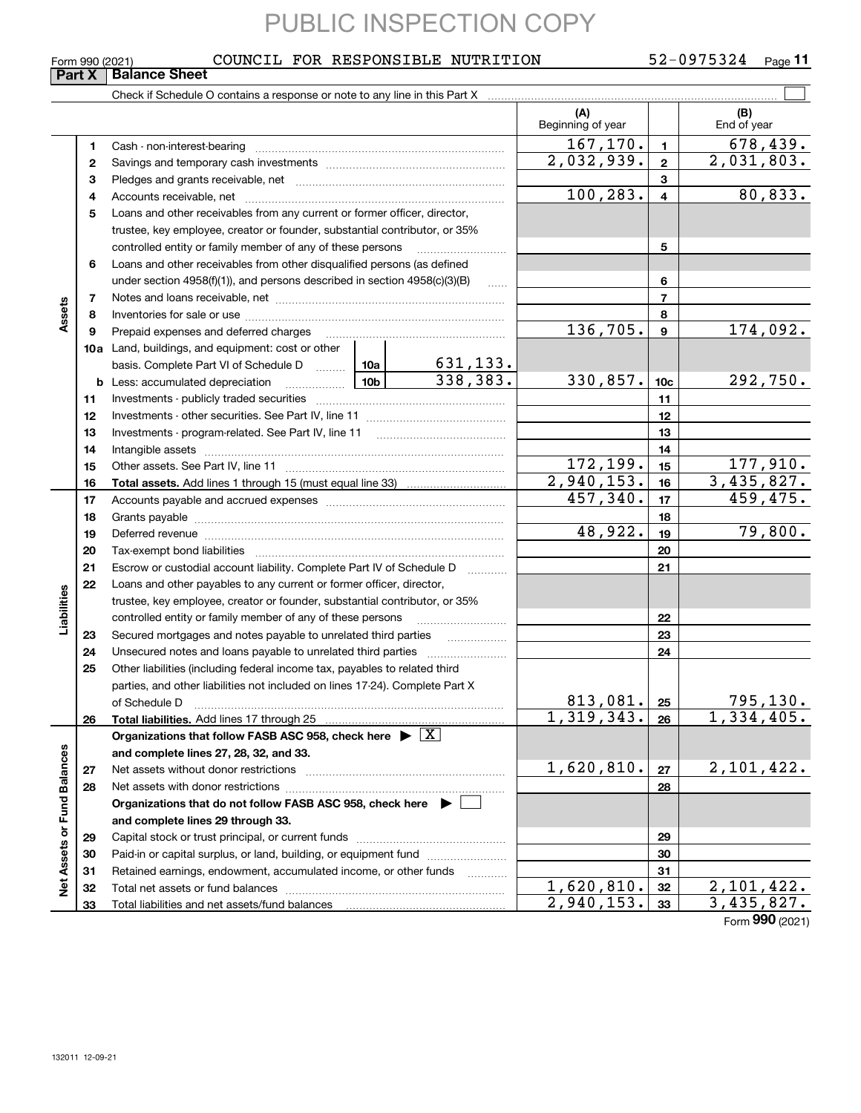### Form 990 (2021) Page COUNCIL FOR RESPONSIBLE NUTRITION 52-0975324

### **11**

|                             | Form 990 (2021) | COUNCIL FOR RESPONSIBLE NUTRITION                                                                                                                                                                                              |                                                                                                                                                         |                             |                           |                 | 52-0975324<br>$Page$ 11  |  |
|-----------------------------|-----------------|--------------------------------------------------------------------------------------------------------------------------------------------------------------------------------------------------------------------------------|---------------------------------------------------------------------------------------------------------------------------------------------------------|-----------------------------|---------------------------|-----------------|--------------------------|--|
|                             | Part X          | <b>Balance Sheet</b>                                                                                                                                                                                                           |                                                                                                                                                         |                             |                           |                 |                          |  |
|                             |                 |                                                                                                                                                                                                                                |                                                                                                                                                         |                             |                           |                 |                          |  |
|                             |                 |                                                                                                                                                                                                                                |                                                                                                                                                         |                             | (A)<br>Beginning of year  |                 | (B)<br>End of year       |  |
|                             | 1.              |                                                                                                                                                                                                                                |                                                                                                                                                         |                             | 167,170.                  | $\mathbf{1}$    | 678, 439.                |  |
|                             | 2               |                                                                                                                                                                                                                                | 2,032,939.                                                                                                                                              | $\mathbf{2}$                | 2,031,803.                |                 |                          |  |
|                             | з               |                                                                                                                                                                                                                                |                                                                                                                                                         |                             |                           | 3               |                          |  |
|                             | 4               |                                                                                                                                                                                                                                | 100, 283.                                                                                                                                               | $\overline{\mathbf{4}}$     | 80, 833.                  |                 |                          |  |
|                             | 5               |                                                                                                                                                                                                                                |                                                                                                                                                         |                             |                           |                 |                          |  |
|                             |                 |                                                                                                                                                                                                                                | Loans and other receivables from any current or former officer, director,<br>trustee, key employee, creator or founder, substantial contributor, or 35% |                             |                           |                 |                          |  |
|                             |                 | controlled entity or family member of any of these persons                                                                                                                                                                     |                                                                                                                                                         |                             |                           | 5               |                          |  |
|                             | 6               | Loans and other receivables from other disqualified persons (as defined                                                                                                                                                        |                                                                                                                                                         |                             |                           |                 |                          |  |
|                             |                 | under section $4958(f)(1)$ , and persons described in section $4958(c)(3)(B)$                                                                                                                                                  |                                                                                                                                                         |                             |                           | 6               |                          |  |
|                             | $\overline{7}$  |                                                                                                                                                                                                                                |                                                                                                                                                         |                             |                           | $\overline{7}$  |                          |  |
| Assets                      | 8               |                                                                                                                                                                                                                                |                                                                                                                                                         |                             |                           | 8               |                          |  |
|                             | 9               | Prepaid expenses and deferred charges                                                                                                                                                                                          |                                                                                                                                                         |                             | 136,705.                  | $\mathbf{9}$    | 174,092.                 |  |
|                             |                 | <b>10a</b> Land, buildings, and equipment: cost or other                                                                                                                                                                       |                                                                                                                                                         |                             |                           |                 |                          |  |
|                             |                 | basis. Complete Part VI of Schedule D  10a                                                                                                                                                                                     |                                                                                                                                                         |                             |                           |                 |                          |  |
|                             |                 | 10b<br><b>b</b> Less: accumulated depreciation                                                                                                                                                                                 |                                                                                                                                                         | $\frac{631,133.}{338,383.}$ | 330,857.                  | 10 <sub>c</sub> | 292,750.                 |  |
|                             | 11              |                                                                                                                                                                                                                                |                                                                                                                                                         |                             |                           | 11              |                          |  |
|                             | 12              |                                                                                                                                                                                                                                |                                                                                                                                                         |                             |                           | 12              |                          |  |
|                             | 13              |                                                                                                                                                                                                                                |                                                                                                                                                         |                             | 13                        |                 |                          |  |
|                             | 14              |                                                                                                                                                                                                                                |                                                                                                                                                         |                             | 14                        |                 |                          |  |
|                             | 15              |                                                                                                                                                                                                                                | <u> 172,199.</u>                                                                                                                                        | 15                          | 177,910.                  |                 |                          |  |
|                             | 16              |                                                                                                                                                                                                                                |                                                                                                                                                         |                             | 2,940,153.                | 16              | $\overline{3,435,827}$ . |  |
|                             | 17              |                                                                                                                                                                                                                                |                                                                                                                                                         |                             | 457,340.                  | 17              | 459,475.                 |  |
|                             | 18              |                                                                                                                                                                                                                                |                                                                                                                                                         | 18                          |                           |                 |                          |  |
|                             | 19              | Deferred revenue material contracts and a contract of the contract of the contract of the contract of the contract of the contract of the contract of the contract of the contract of the contract of the contract of the cont |                                                                                                                                                         |                             | 48,922.                   | 19              | 79,800.                  |  |
|                             | 20              |                                                                                                                                                                                                                                |                                                                                                                                                         |                             |                           | 20              |                          |  |
|                             | 21              | Escrow or custodial account liability. Complete Part IV of Schedule D                                                                                                                                                          |                                                                                                                                                         | 1.1.1.1.1.1.1.1.1           |                           | 21              |                          |  |
|                             | 22              | Loans and other payables to any current or former officer, director,                                                                                                                                                           |                                                                                                                                                         |                             |                           |                 |                          |  |
| Liabilities                 |                 | trustee, key employee, creator or founder, substantial contributor, or 35%                                                                                                                                                     |                                                                                                                                                         |                             |                           |                 |                          |  |
|                             |                 | controlled entity or family member of any of these persons                                                                                                                                                                     |                                                                                                                                                         |                             |                           | 22              |                          |  |
|                             | 23              |                                                                                                                                                                                                                                |                                                                                                                                                         |                             |                           | 23              |                          |  |
|                             | 24              |                                                                                                                                                                                                                                |                                                                                                                                                         |                             |                           | 24              |                          |  |
|                             | 25              | Other liabilities (including federal income tax, payables to related third                                                                                                                                                     |                                                                                                                                                         |                             |                           |                 |                          |  |
|                             |                 | parties, and other liabilities not included on lines 17-24). Complete Part X                                                                                                                                                   |                                                                                                                                                         |                             |                           |                 |                          |  |
|                             |                 | of Schedule D                                                                                                                                                                                                                  |                                                                                                                                                         |                             | 813,081.                  | 25              | <u>795,130.</u>          |  |
|                             | 26              | Total liabilities. Add lines 17 through 25                                                                                                                                                                                     |                                                                                                                                                         |                             | $\overline{1,319},343.$   | 26              | 1,334,405.               |  |
|                             |                 | Organizations that follow FASB ASC 958, check here $\blacktriangleright \boxed{X}$                                                                                                                                             |                                                                                                                                                         |                             |                           |                 |                          |  |
|                             |                 | and complete lines 27, 28, 32, and 33.                                                                                                                                                                                         |                                                                                                                                                         |                             |                           |                 |                          |  |
|                             | 27              | Net assets without donor restrictions                                                                                                                                                                                          |                                                                                                                                                         |                             | 1,620,810.                | 27              | 2,101,422.               |  |
|                             | 28              | Net assets with donor restrictions                                                                                                                                                                                             |                                                                                                                                                         |                             |                           | 28              |                          |  |
|                             |                 | Organizations that do not follow FASB ASC 958, check here $\blacktriangleright$                                                                                                                                                |                                                                                                                                                         |                             |                           |                 |                          |  |
|                             |                 | and complete lines 29 through 33.                                                                                                                                                                                              |                                                                                                                                                         |                             |                           |                 |                          |  |
|                             | 29              |                                                                                                                                                                                                                                |                                                                                                                                                         |                             |                           | 29              |                          |  |
|                             | 30              | Paid-in or capital surplus, or land, building, or equipment fund                                                                                                                                                               |                                                                                                                                                         |                             |                           | 30              |                          |  |
|                             | 31              | Retained earnings, endowment, accumulated income, or other funds                                                                                                                                                               |                                                                                                                                                         |                             |                           | 31              |                          |  |
| Net Assets or Fund Balances | 32              | Total net assets or fund balances                                                                                                                                                                                              |                                                                                                                                                         |                             | 1,620,810.                | 32              | 2,101,422.               |  |
|                             | 33              | Total liabilities and net assets/fund balances                                                                                                                                                                                 |                                                                                                                                                         |                             | $\overline{2,940}$ , 153. | 33              | $\overline{3,435,827}$ . |  |
|                             |                 |                                                                                                                                                                                                                                |                                                                                                                                                         |                             |                           |                 | Form 990 (2021)          |  |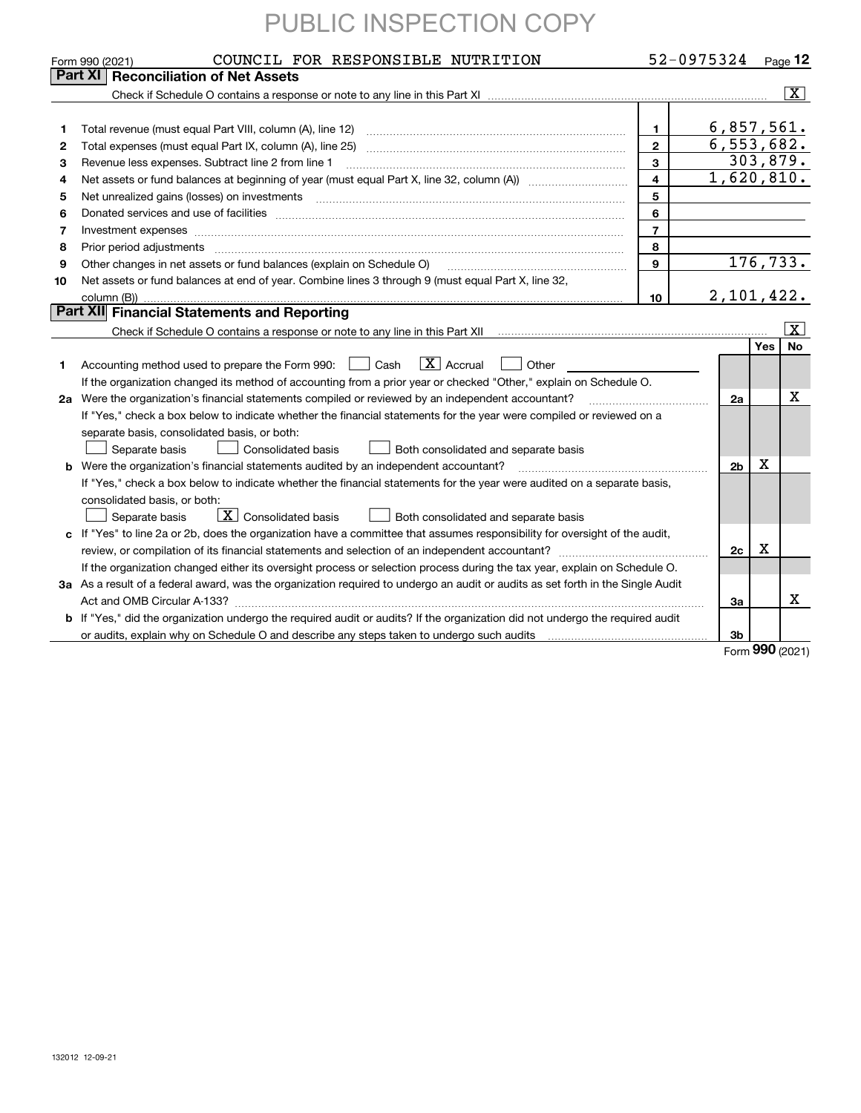|    | COUNCIL FOR RESPONSIBLE NUTRITION<br>Form 990 (2021)                                                                            | 52-0975324     |                |     | $Page$ 12               |  |  |  |  |
|----|---------------------------------------------------------------------------------------------------------------------------------|----------------|----------------|-----|-------------------------|--|--|--|--|
|    | Part XI<br><b>Reconciliation of Net Assets</b>                                                                                  |                |                |     |                         |  |  |  |  |
|    |                                                                                                                                 |                |                |     | $\overline{\mathbf{x}}$ |  |  |  |  |
| 1  | 6,857,561.<br>$\mathbf{1}$<br>Total revenue (must equal Part VIII, column (A), line 12)<br>$\overline{\mathbf{c}}$              |                |                |     |                         |  |  |  |  |
| 2  | Total expenses (must equal Part IX, column (A), line 25)                                                                        |                | 6,553,682.     |     |                         |  |  |  |  |
| з  | Revenue less expenses. Subtract line 2 from line 1                                                                              | 3              |                |     | 303,879.                |  |  |  |  |
| 4  |                                                                                                                                 | $\overline{4}$ | 1,620,810.     |     |                         |  |  |  |  |
| 5  |                                                                                                                                 | 5              |                |     |                         |  |  |  |  |
| 6  |                                                                                                                                 | 6              |                |     |                         |  |  |  |  |
| 7  | Investment expenses www.communication.com/www.communication.com/www.communication.com/www.com                                   | $\overline{7}$ |                |     |                         |  |  |  |  |
| 8  | Prior period adjustments                                                                                                        | 8              |                |     |                         |  |  |  |  |
| 9  | Other changes in net assets or fund balances (explain on Schedule O)                                                            | 9              |                |     | 176, 733.               |  |  |  |  |
| 10 | Net assets or fund balances at end of year. Combine lines 3 through 9 (must equal Part X, line 32,<br>column (B))               | 10             | 2,101,422.     |     |                         |  |  |  |  |
|    | Part XII Financial Statements and Reporting                                                                                     |                |                |     |                         |  |  |  |  |
|    |                                                                                                                                 |                |                |     | X                       |  |  |  |  |
|    |                                                                                                                                 |                |                | Yes | <b>No</b>               |  |  |  |  |
| 1. | $\boxed{\mathbf{X}}$ Accrual<br>Accounting method used to prepare the Form 990: <u>I</u> Cash<br>Other                          |                |                |     |                         |  |  |  |  |
|    | If the organization changed its method of accounting from a prior year or checked "Other," explain on Schedule O.               |                |                |     |                         |  |  |  |  |
|    | 2a Were the organization's financial statements compiled or reviewed by an independent accountant?                              |                | 2a             |     | x                       |  |  |  |  |
|    | If "Yes," check a box below to indicate whether the financial statements for the year were compiled or reviewed on a            |                |                |     |                         |  |  |  |  |
|    | separate basis, consolidated basis, or both:                                                                                    |                |                |     |                         |  |  |  |  |
|    | Separate basis<br><b>Consolidated basis</b><br>Both consolidated and separate basis                                             |                |                |     |                         |  |  |  |  |
| b  | Were the organization's financial statements audited by an independent accountant?                                              |                | 2 <sub>b</sub> | Х   |                         |  |  |  |  |
|    | If "Yes," check a box below to indicate whether the financial statements for the year were audited on a separate basis,         |                |                |     |                         |  |  |  |  |
|    | consolidated basis, or both:                                                                                                    |                |                |     |                         |  |  |  |  |
|    | $\boxed{\textbf{X}}$ Consolidated basis<br>Separate basis<br>Both consolidated and separate basis                               |                |                |     |                         |  |  |  |  |
| c  | If "Yes" to line 2a or 2b, does the organization have a committee that assumes responsibility for oversight of the audit,       |                |                |     |                         |  |  |  |  |
|    |                                                                                                                                 |                | 2c             | Х   |                         |  |  |  |  |
|    | If the organization changed either its oversight process or selection process during the tax year, explain on Schedule O.       |                |                |     |                         |  |  |  |  |
|    | 3a As a result of a federal award, was the organization required to undergo an audit or audits as set forth in the Single Audit |                |                |     |                         |  |  |  |  |
|    |                                                                                                                                 |                | Зa             |     | x                       |  |  |  |  |
|    | b If "Yes," did the organization undergo the required audit or audits? If the organization did not undergo the required audit   |                |                |     |                         |  |  |  |  |
|    |                                                                                                                                 |                | Зb             |     |                         |  |  |  |  |

Form (2021) **990**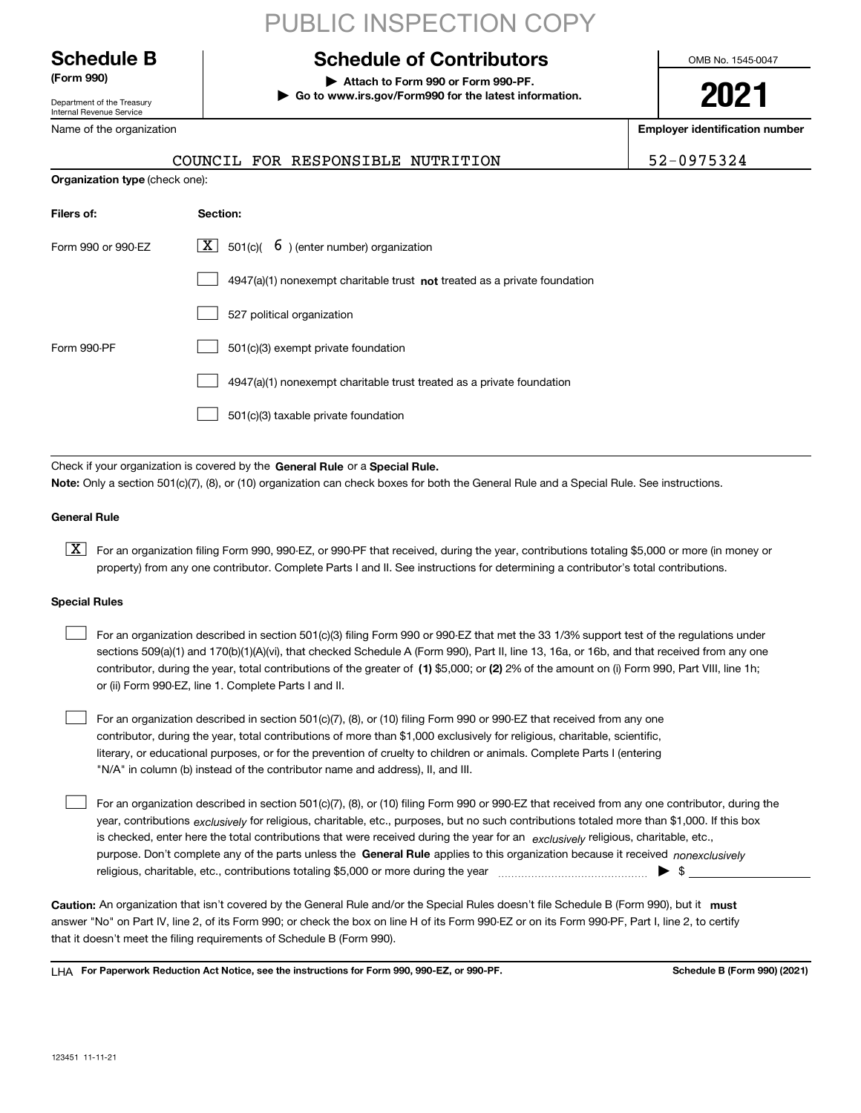Department of the Treasury Internal Revenue Service

Name of the organization

## PUBLIC INSPECTION COPY

### **Schedule B Schedule of Contributors**

**(Form 990) | Attach to Form 990 or Form 990-PF. | Go to www.irs.gov/Form990 for the latest information.** OMB No. 1545-0047

# **2021**

**Employer identification number**

|                                       |          | COUNCIL FOR RESPONSIBLE NUTRITION |  | 52-0975324 |
|---------------------------------------|----------|-----------------------------------|--|------------|
| <b>Organization type (check one):</b> |          |                                   |  |            |
| Filers of                             | Section. |                                   |  |            |

| Form 990 or 990-FZ | $\boxed{\mathbf{X}}$ 501(c)( 6) (enter number) organization                 |
|--------------------|-----------------------------------------------------------------------------|
|                    | $4947(a)(1)$ nonexempt charitable trust not treated as a private foundation |
|                    | 527 political organization                                                  |
| Form 990-PF        | 501(c)(3) exempt private foundation                                         |
|                    | 4947(a)(1) nonexempt charitable trust treated as a private foundation       |
|                    | 501(c)(3) taxable private foundation                                        |

Check if your organization is covered by the **General Rule** or a **Special Rule.**<br>Nota: Only a section 501(c)(7), (8), or (10) erganization can chock boxes for be **Note:**  Only a section 501(c)(7), (8), or (10) organization can check boxes for both the General Rule and a Special Rule. See instructions.

### **General Rule**

 $\boxed{\textbf{X}}$  For an organization filing Form 990, 990-EZ, or 990-PF that received, during the year, contributions totaling \$5,000 or more (in money or property) from any one contributor. Complete Parts I and II. See instructions for determining a contributor's total contributions.

### **Special Rules**

 $\Box$ 

| For an organization described in section 501(c)(3) filing Form 990 or 990-EZ that met the 33 1/3% support test of the regulations under       |
|-----------------------------------------------------------------------------------------------------------------------------------------------|
| sections 509(a)(1) and 170(b)(1)(A)(vi), that checked Schedule A (Form 990), Part II, line 13, 16a, or 16b, and that received from any one    |
| contributor, during the year, total contributions of the greater of (1) \$5,000; or (2) 2% of the amount on (i) Form 990, Part VIII, line 1h; |
| or (ii) Form 990-EZ, line 1. Complete Parts I and II.                                                                                         |

For an organization described in section 501(c)(7), (8), or (10) filing Form 990 or 990-EZ that received from any one contributor, during the year, total contributions of more than \$1,000 exclusively for religious, charitable, scientific, literary, or educational purposes, or for the prevention of cruelty to children or animals. Complete Parts I (entering "N/A" in column (b) instead of the contributor name and address), II, and III.  $\mathcal{L}^{\text{max}}$ 

purpose. Don't complete any of the parts unless the **General Rule** applies to this organization because it received *nonexclusively* year, contributions <sub>exclusively</sub> for religious, charitable, etc., purposes, but no such contributions totaled more than \$1,000. If this box is checked, enter here the total contributions that were received during the year for an  $\;$ exclusively religious, charitable, etc., For an organization described in section 501(c)(7), (8), or (10) filing Form 990 or 990-EZ that received from any one contributor, during the religious, charitable, etc., contributions totaling \$5,000 or more during the year  $\Box$ — $\Box$   $\Box$  $\mathcal{L}^{\text{max}}$ 

Caution: An organization that isn't covered by the General Rule and/or the Special Rules doesn't file Schedule B (Form 990), but it **must** answer "No" on Part IV, line 2, of its Form 990; or check the box on line H of its Form 990-EZ or on its Form 990-PF, Part I, line 2, to certify that it doesn't meet the filing requirements of Schedule B (Form 990).

LHA For Paperwork Reduction Act Notice, see the instructions for Form 990, 990-EZ, or 990-PF. **In the act and Schedule B** (Form 990) (2021)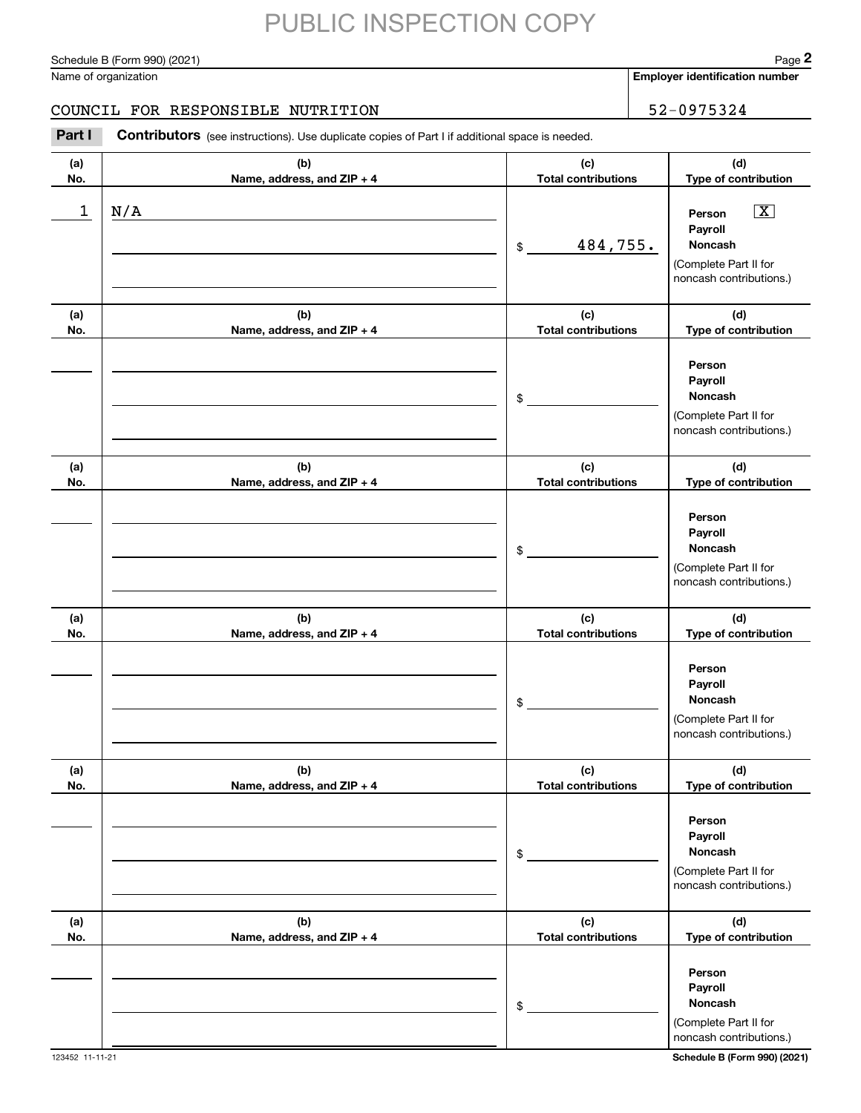Schedule B (Form 990) (2021) Page 2

Name of organization

**Employer identification number**

### COUNCIL FOR RESPONSIBLE NUTRITION 52-0975324

#### **(a)No.(b)Name, address, and ZIP + 4 (c)Total contributions (d)Type of contribution PersonPayrollNoncash(a)No.(b)Name, address, and ZIP + 4 (c)Total contributions (d)Type of contribution PersonPayrollNoncash(a)No.(b)Name, address, and ZIP + 4 (c)Total contributions (d)Type of contribution PersonPayrollNoncash(a) No.(b) Name, address, and ZIP + 4 (c) Total contributions (d) Type of contribution PersonPayrollNoncash(a) No.(b) Name, address, and ZIP + 4 (c) Total contributions (d) Type of contribution PersonPayrollNoncash(a) No.(b)Name, address, and ZIP + 4 (c) Total contributions (d) Type of contribution PersonPayrollNoncash**Contributors (see instructions). Use duplicate copies of Part I if additional space is needed. \$(Complete Part II for noncash contributions.) \$(Complete Part II for noncash contributions.) \$(Complete Part II for noncash contributions.) \$(Complete Part II for noncash contributions.) \$(Complete Part II for noncash contributions.) \$(Complete Part II for noncash contributions.) **2Page 2**<br>
Iame of organization<br> **200INCIL FOR RESPONSIBLE NUTRITION**<br> **Part I Contributors** (see instructions). Use duplicate copies of Part I if additional space is needed.  $1 \mid N/A$  Person  $\overline{X}$ 484,755. N/A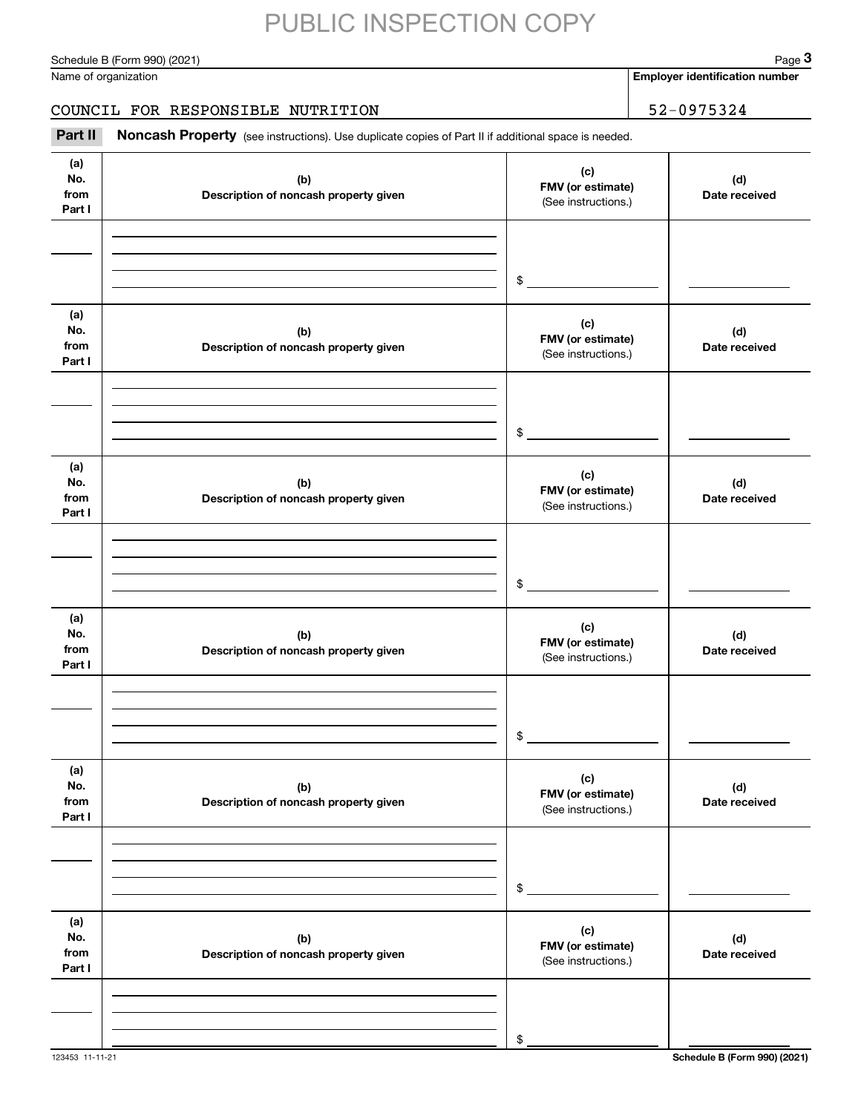Schedule B (Form 990) (2021) Page 3

### COUNCIL FOR RESPONSIBLE NUTRITION 52-0975324

|                              | Schedule B (Form 990) (2021)                                                                        |                                                 | Page 3                                |
|------------------------------|-----------------------------------------------------------------------------------------------------|-------------------------------------------------|---------------------------------------|
|                              | Name of organization                                                                                |                                                 | <b>Employer identification number</b> |
|                              | COUNCIL FOR RESPONSIBLE NUTRITION                                                                   |                                                 | 52-0975324                            |
| Part II                      | Noncash Property (see instructions). Use duplicate copies of Part II if additional space is needed. |                                                 |                                       |
| (a)<br>No.<br>from<br>Part I | (b)<br>Description of noncash property given                                                        | (c)<br>FMV (or estimate)<br>(See instructions.) | (d)<br>Date received                  |
|                              |                                                                                                     | \$                                              |                                       |
| (a)<br>No.<br>from<br>Part I | (b)<br>Description of noncash property given                                                        | (c)<br>FMV (or estimate)<br>(See instructions.) | (d)<br>Date received                  |
|                              |                                                                                                     | \$                                              |                                       |
| (a)<br>No.<br>from<br>Part I | (b)<br>Description of noncash property given                                                        | (c)<br>FMV (or estimate)<br>(See instructions.) | (d)<br>Date received                  |
|                              |                                                                                                     | \$                                              |                                       |
| (a)<br>No.<br>from<br>Part I | (b)<br>Description of noncash property given                                                        | (c)<br>FMV (or estimate)<br>(See instructions.) | (d)<br>Date received                  |
|                              |                                                                                                     | \$                                              |                                       |
| (a)<br>No.<br>from<br>Part I | (b)<br>Description of noncash property given                                                        | (c)<br>FMV (or estimate)<br>(See instructions.) | (d)<br>Date received                  |
|                              |                                                                                                     | \$                                              |                                       |
| (a)<br>No.<br>from<br>Part I | (b)<br>Description of noncash property given                                                        | (c)<br>FMV (or estimate)<br>(See instructions.) | (d)<br>Date received                  |
|                              |                                                                                                     | \$                                              |                                       |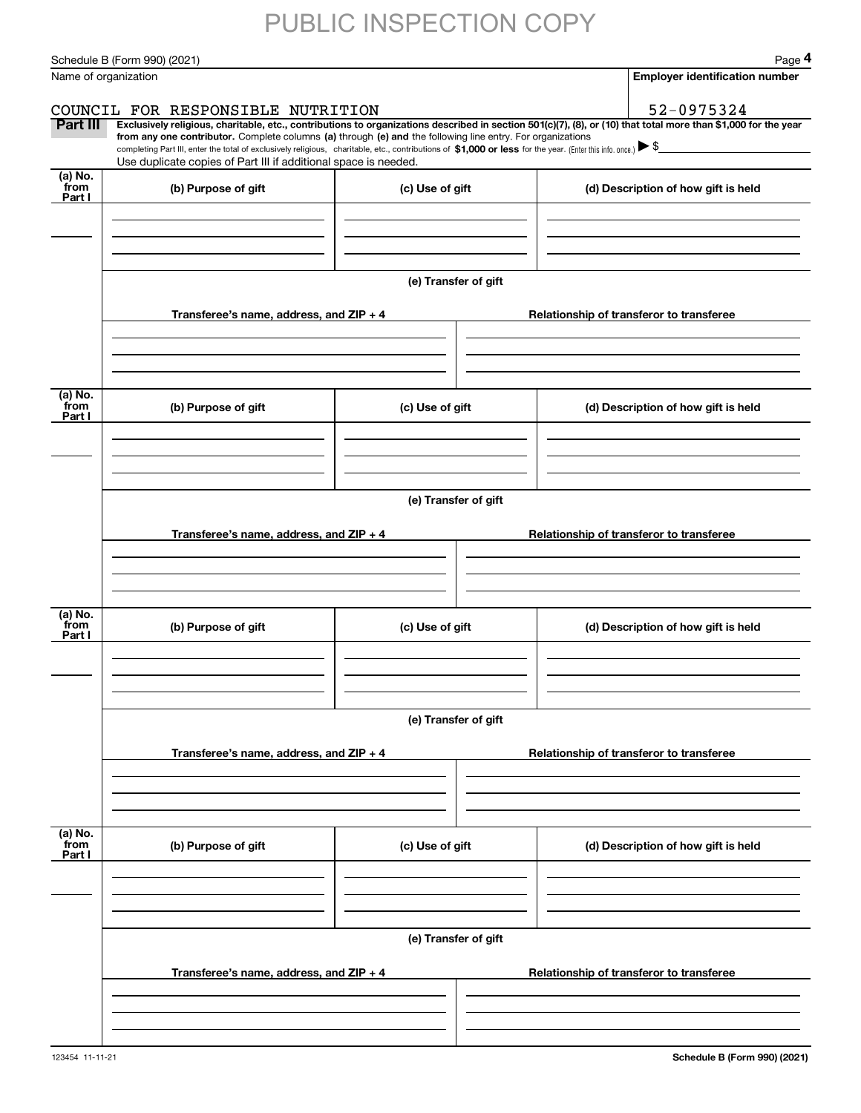Schedule B (Form 990) (2021) Page 4

|                           | Schedule B (Form 990) (2021)                                                                                                                                                                                                                         |                      | Page 4                                                                                                                                                         |  |  |  |  |  |
|---------------------------|------------------------------------------------------------------------------------------------------------------------------------------------------------------------------------------------------------------------------------------------------|----------------------|----------------------------------------------------------------------------------------------------------------------------------------------------------------|--|--|--|--|--|
| Name of organization      |                                                                                                                                                                                                                                                      |                      | <b>Employer identification number</b>                                                                                                                          |  |  |  |  |  |
|                           | COUNCIL FOR RESPONSIBLE NUTRITION                                                                                                                                                                                                                    |                      | 52-0975324                                                                                                                                                     |  |  |  |  |  |
| Part III                  | from any one contributor. Complete columns (a) through (e) and the following line entry. For organizations                                                                                                                                           |                      | Exclusively religious, charitable, etc., contributions to organizations described in section 501(c)(7), (8), or (10) that total more than \$1,000 for the year |  |  |  |  |  |
|                           | completing Part III, enter the total of exclusively religious, charitable, etc., contributions of \$1,000 or less for the year. (Enter this info. once.) $\blacktriangleright$ \$<br>Use duplicate copies of Part III if additional space is needed. |                      |                                                                                                                                                                |  |  |  |  |  |
| (a) No.                   |                                                                                                                                                                                                                                                      |                      |                                                                                                                                                                |  |  |  |  |  |
| from<br>Part I            | (b) Purpose of gift                                                                                                                                                                                                                                  | (c) Use of gift      | (d) Description of how gift is held                                                                                                                            |  |  |  |  |  |
|                           |                                                                                                                                                                                                                                                      |                      |                                                                                                                                                                |  |  |  |  |  |
|                           |                                                                                                                                                                                                                                                      |                      |                                                                                                                                                                |  |  |  |  |  |
|                           |                                                                                                                                                                                                                                                      |                      |                                                                                                                                                                |  |  |  |  |  |
|                           |                                                                                                                                                                                                                                                      | (e) Transfer of gift |                                                                                                                                                                |  |  |  |  |  |
|                           | Transferee's name, address, and ZIP + 4                                                                                                                                                                                                              |                      | Relationship of transferor to transferee                                                                                                                       |  |  |  |  |  |
|                           |                                                                                                                                                                                                                                                      |                      |                                                                                                                                                                |  |  |  |  |  |
|                           |                                                                                                                                                                                                                                                      |                      |                                                                                                                                                                |  |  |  |  |  |
|                           |                                                                                                                                                                                                                                                      |                      |                                                                                                                                                                |  |  |  |  |  |
| (a) No.<br>from<br>Part I | (b) Purpose of gift                                                                                                                                                                                                                                  | (c) Use of gift      | (d) Description of how gift is held                                                                                                                            |  |  |  |  |  |
|                           |                                                                                                                                                                                                                                                      |                      |                                                                                                                                                                |  |  |  |  |  |
|                           |                                                                                                                                                                                                                                                      |                      |                                                                                                                                                                |  |  |  |  |  |
|                           |                                                                                                                                                                                                                                                      |                      |                                                                                                                                                                |  |  |  |  |  |
|                           | (e) Transfer of gift                                                                                                                                                                                                                                 |                      |                                                                                                                                                                |  |  |  |  |  |
|                           | Transferee's name, address, and ZIP + 4                                                                                                                                                                                                              |                      | Relationship of transferor to transferee                                                                                                                       |  |  |  |  |  |
|                           |                                                                                                                                                                                                                                                      |                      |                                                                                                                                                                |  |  |  |  |  |
|                           |                                                                                                                                                                                                                                                      |                      |                                                                                                                                                                |  |  |  |  |  |
|                           |                                                                                                                                                                                                                                                      |                      |                                                                                                                                                                |  |  |  |  |  |
| (a) No.<br>from           | (b) Purpose of gift                                                                                                                                                                                                                                  | (c) Use of gift      | (d) Description of how gift is held                                                                                                                            |  |  |  |  |  |
| Part I                    |                                                                                                                                                                                                                                                      |                      |                                                                                                                                                                |  |  |  |  |  |
|                           |                                                                                                                                                                                                                                                      |                      |                                                                                                                                                                |  |  |  |  |  |
|                           |                                                                                                                                                                                                                                                      |                      |                                                                                                                                                                |  |  |  |  |  |
|                           |                                                                                                                                                                                                                                                      | (e) Transfer of gift |                                                                                                                                                                |  |  |  |  |  |
|                           | Transferee's name, address, and ZIP + 4                                                                                                                                                                                                              |                      | Relationship of transferor to transferee                                                                                                                       |  |  |  |  |  |
|                           |                                                                                                                                                                                                                                                      |                      |                                                                                                                                                                |  |  |  |  |  |
|                           |                                                                                                                                                                                                                                                      |                      |                                                                                                                                                                |  |  |  |  |  |
|                           |                                                                                                                                                                                                                                                      |                      |                                                                                                                                                                |  |  |  |  |  |
| (a) No.<br>from           | (b) Purpose of gift                                                                                                                                                                                                                                  | (c) Use of gift      | (d) Description of how gift is held                                                                                                                            |  |  |  |  |  |
| Part I                    |                                                                                                                                                                                                                                                      |                      |                                                                                                                                                                |  |  |  |  |  |
|                           |                                                                                                                                                                                                                                                      |                      |                                                                                                                                                                |  |  |  |  |  |
|                           |                                                                                                                                                                                                                                                      |                      |                                                                                                                                                                |  |  |  |  |  |
|                           |                                                                                                                                                                                                                                                      | (e) Transfer of gift |                                                                                                                                                                |  |  |  |  |  |
|                           |                                                                                                                                                                                                                                                      |                      |                                                                                                                                                                |  |  |  |  |  |
|                           | Transferee's name, address, and $ZIP + 4$                                                                                                                                                                                                            |                      | Relationship of transferor to transferee                                                                                                                       |  |  |  |  |  |
|                           |                                                                                                                                                                                                                                                      |                      |                                                                                                                                                                |  |  |  |  |  |
|                           |                                                                                                                                                                                                                                                      |                      |                                                                                                                                                                |  |  |  |  |  |
|                           |                                                                                                                                                                                                                                                      |                      |                                                                                                                                                                |  |  |  |  |  |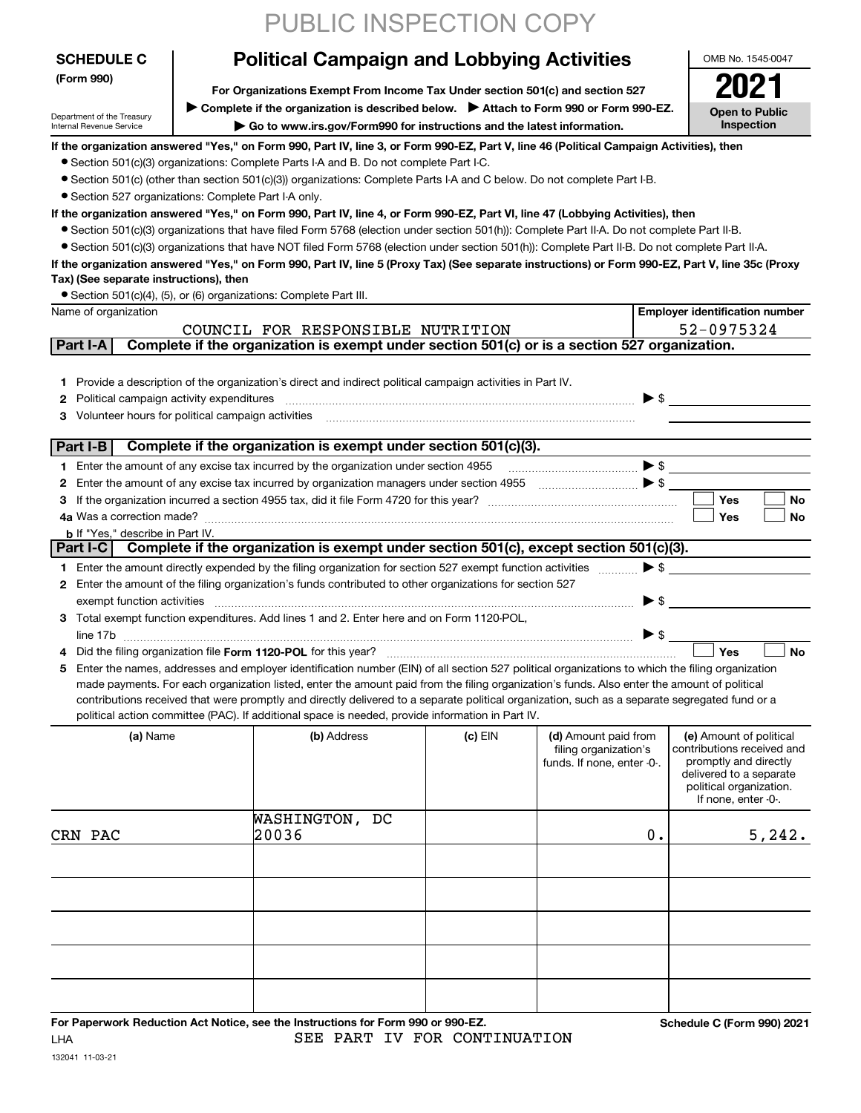|                                                      | PUBLIC INSPECTION COPY                                                                                                                                                                                                                                                                         |           |                            |                          |                                                  |
|------------------------------------------------------|------------------------------------------------------------------------------------------------------------------------------------------------------------------------------------------------------------------------------------------------------------------------------------------------|-----------|----------------------------|--------------------------|--------------------------------------------------|
| <b>SCHEDULE C</b>                                    | <b>Political Campaign and Lobbying Activities</b>                                                                                                                                                                                                                                              |           |                            |                          | OMB No. 1545-0047                                |
| (Form 990)                                           | For Organizations Exempt From Income Tax Under section 501(c) and section 527                                                                                                                                                                                                                  |           |                            |                          | 2021                                             |
| Department of the Treasury                           | Complete if the organization is described below. Attach to Form 990 or Form 990-EZ.<br>Go to www.irs.gov/Form990 for instructions and the latest information.                                                                                                                                  |           |                            |                          | <b>Open to Public</b>                            |
| Internal Revenue Service                             | <b>Inspection</b>                                                                                                                                                                                                                                                                              |           |                            |                          |                                                  |
|                                                      | If the organization answered "Yes," on Form 990, Part IV, line 3, or Form 990-EZ, Part V, line 46 (Political Campaign Activities), then<br>• Section 501(c)(3) organizations: Complete Parts I-A and B. Do not complete Part I-C.                                                              |           |                            |                          |                                                  |
|                                                      | • Section 501(c) (other than section 501(c)(3)) organizations: Complete Parts I-A and C below. Do not complete Part I-B.                                                                                                                                                                       |           |                            |                          |                                                  |
| • Section 527 organizations: Complete Part I-A only. |                                                                                                                                                                                                                                                                                                |           |                            |                          |                                                  |
|                                                      | If the organization answered "Yes," on Form 990, Part IV, line 4, or Form 990-EZ, Part VI, line 47 (Lobbying Activities), then                                                                                                                                                                 |           |                            |                          |                                                  |
|                                                      | ● Section 501(c)(3) organizations that have filed Form 5768 (election under section 501(h)): Complete Part II-A. Do not complete Part II-B.                                                                                                                                                    |           |                            |                          |                                                  |
|                                                      | • Section 501(c)(3) organizations that have NOT filed Form 5768 (election under section 501(h)): Complete Part II-B. Do not complete Part II-A.                                                                                                                                                |           |                            |                          |                                                  |
|                                                      | If the organization answered "Yes," on Form 990, Part IV, line 5 (Proxy Tax) (See separate instructions) or Form 990-EZ, Part V, line 35c (Proxy                                                                                                                                               |           |                            |                          |                                                  |
| Tax) (See separate instructions), then               |                                                                                                                                                                                                                                                                                                |           |                            |                          |                                                  |
|                                                      | • Section 501(c)(4), (5), or (6) organizations: Complete Part III.                                                                                                                                                                                                                             |           |                            |                          |                                                  |
| Name of organization                                 |                                                                                                                                                                                                                                                                                                |           |                            |                          | <b>Employer identification number</b>            |
|                                                      | COUNCIL FOR RESPONSIBLE NUTRITION                                                                                                                                                                                                                                                              |           |                            |                          | 52-0975324                                       |
| Part I-A                                             | Complete if the organization is exempt under section 501(c) or is a section 527 organization.                                                                                                                                                                                                  |           |                            |                          |                                                  |
|                                                      |                                                                                                                                                                                                                                                                                                |           |                            |                          |                                                  |
|                                                      | 1 Provide a description of the organization's direct and indirect political campaign activities in Part IV.                                                                                                                                                                                    |           |                            |                          |                                                  |
| Political campaign activity expenditures<br>2        |                                                                                                                                                                                                                                                                                                |           |                            |                          | $\triangleright$ \$                              |
|                                                      |                                                                                                                                                                                                                                                                                                |           |                            |                          |                                                  |
| Part I-B                                             | Complete if the organization is exempt under section 501(c)(3).                                                                                                                                                                                                                                |           |                            |                          |                                                  |
|                                                      | 1 Enter the amount of any excise tax incurred by the organization under section 4955                                                                                                                                                                                                           |           |                            |                          |                                                  |
| 2                                                    | Enter the amount of any excise tax incurred by organization managers under section 4955                                                                                                                                                                                                        |           |                            |                          |                                                  |
| 3                                                    |                                                                                                                                                                                                                                                                                                |           |                            |                          | Yes<br>No                                        |
|                                                      |                                                                                                                                                                                                                                                                                                |           |                            |                          | Yes<br>No                                        |
| <b>b</b> If "Yes," describe in Part IV.              |                                                                                                                                                                                                                                                                                                |           |                            |                          |                                                  |
| <b>Part I-C</b>                                      | Complete if the organization is exempt under section 501(c), except section 501(c)(3).                                                                                                                                                                                                         |           |                            |                          |                                                  |
|                                                      | 1 Enter the amount directly expended by the filing organization for section 527 exempt function activities                                                                                                                                                                                     |           |                            | $\blacktriangleright$ \$ |                                                  |
|                                                      | 2 Enter the amount of the filing organization's funds contributed to other organizations for section 527                                                                                                                                                                                       |           |                            |                          |                                                  |
| exempt function activities                           |                                                                                                                                                                                                                                                                                                |           |                            | $\triangleright$ \$      |                                                  |
|                                                      | 3 Total exempt function expenditures. Add lines 1 and 2. Enter here and on Form 1120-POL,                                                                                                                                                                                                      |           |                            |                          |                                                  |
| line 17b                                             |                                                                                                                                                                                                                                                                                                |           |                            | ▶ \$                     |                                                  |
| 4                                                    |                                                                                                                                                                                                                                                                                                |           |                            |                          | Yes<br>No                                        |
| 5.                                                   | Enter the names, addresses and employer identification number (EIN) of all section 527 political organizations to which the filing organization<br>made payments. For each organization listed, enter the amount paid from the filing organization's funds. Also enter the amount of political |           |                            |                          |                                                  |
|                                                      | contributions received that were promptly and directly delivered to a separate political organization, such as a separate segregated fund or a                                                                                                                                                 |           |                            |                          |                                                  |
|                                                      | political action committee (PAC). If additional space is needed, provide information in Part IV.                                                                                                                                                                                               |           |                            |                          |                                                  |
| (a) Name                                             | (b) Address                                                                                                                                                                                                                                                                                    | $(c)$ EIN | (d) Amount paid from       |                          | (e) Amount of political                          |
|                                                      |                                                                                                                                                                                                                                                                                                |           | filing organization's      |                          | contributions received and                       |
|                                                      |                                                                                                                                                                                                                                                                                                |           | funds. If none, enter -0-. |                          | promptly and directly<br>delivered to a separate |
|                                                      |                                                                                                                                                                                                                                                                                                |           |                            |                          | political organization.                          |
|                                                      |                                                                                                                                                                                                                                                                                                |           |                            |                          | If none, enter -0-.                              |
|                                                      | WASHINGTON, DC                                                                                                                                                                                                                                                                                 |           |                            |                          |                                                  |
| CRN PAC                                              | 20036                                                                                                                                                                                                                                                                                          |           |                            | 0.                       | 5,242.                                           |
|                                                      |                                                                                                                                                                                                                                                                                                |           |                            |                          |                                                  |
|                                                      |                                                                                                                                                                                                                                                                                                |           |                            |                          |                                                  |
|                                                      |                                                                                                                                                                                                                                                                                                |           |                            |                          |                                                  |
|                                                      |                                                                                                                                                                                                                                                                                                |           |                            |                          |                                                  |
|                                                      |                                                                                                                                                                                                                                                                                                |           |                            |                          |                                                  |
|                                                      |                                                                                                                                                                                                                                                                                                |           |                            |                          |                                                  |
|                                                      |                                                                                                                                                                                                                                                                                                |           |                            |                          |                                                  |
|                                                      |                                                                                                                                                                                                                                                                                                |           |                            |                          |                                                  |
|                                                      |                                                                                                                                                                                                                                                                                                |           |                            |                          |                                                  |
|                                                      | For Paperwork Reduction Act Notice, see the Instructions for Form 990 or 990-EZ.                                                                                                                                                                                                               |           |                            |                          | Schedule C (Form 990) 2021                       |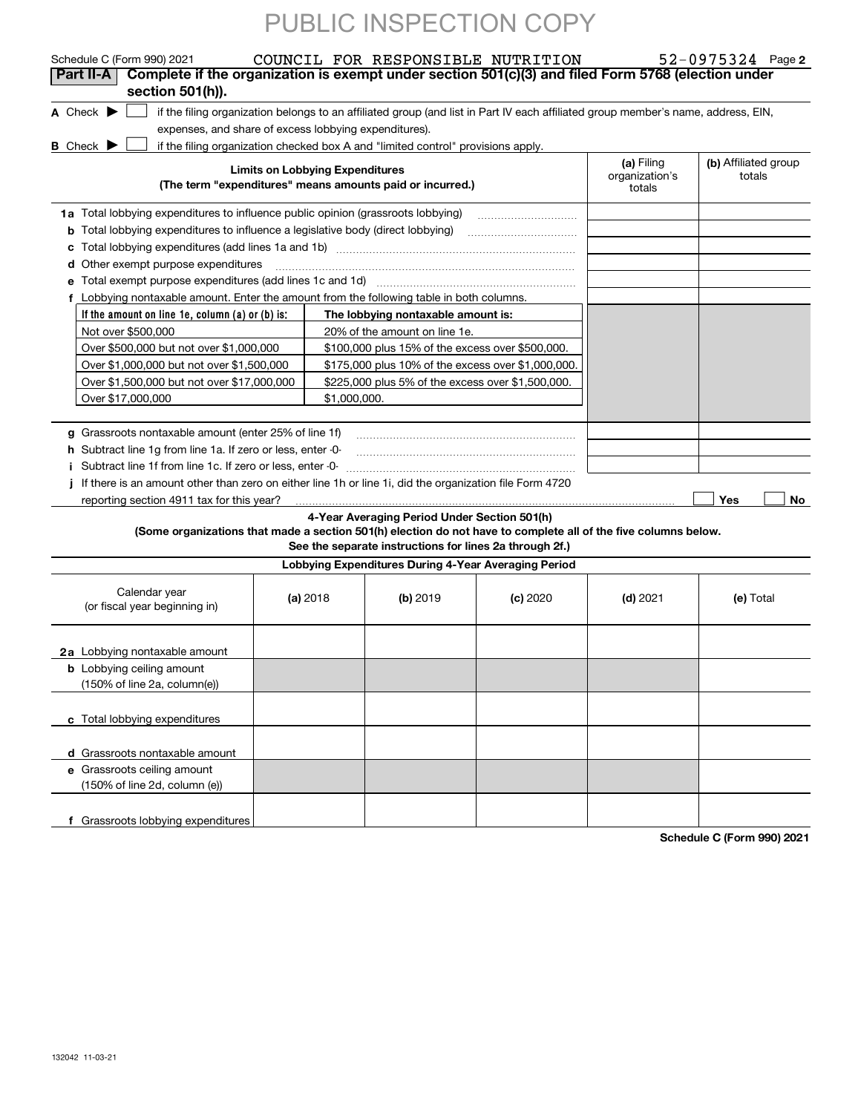| Schedule C (Form 990) 2021                                                                                      |                                        |                                                                                                                 | COUNCIL FOR RESPONSIBLE NUTRITION                                                                                                 |                                        | $52 - 0975324$ Page 2          |
|-----------------------------------------------------------------------------------------------------------------|----------------------------------------|-----------------------------------------------------------------------------------------------------------------|-----------------------------------------------------------------------------------------------------------------------------------|----------------------------------------|--------------------------------|
| Complete if the organization is exempt under section 501(c)(3) and filed Form 5768 (election under<br>Part II-A |                                        |                                                                                                                 |                                                                                                                                   |                                        |                                |
| section 501(h)).                                                                                                |                                        |                                                                                                                 |                                                                                                                                   |                                        |                                |
| A Check $\blacktriangleright$                                                                                   |                                        |                                                                                                                 | if the filing organization belongs to an affiliated group (and list in Part IV each affiliated group member's name, address, EIN, |                                        |                                |
| expenses, and share of excess lobbying expenditures).                                                           |                                        |                                                                                                                 |                                                                                                                                   |                                        |                                |
| <b>B</b> Check >                                                                                                |                                        | if the filing organization checked box A and "limited control" provisions apply.                                |                                                                                                                                   |                                        |                                |
|                                                                                                                 | <b>Limits on Lobbying Expenditures</b> | (The term "expenditures" means amounts paid or incurred.)                                                       |                                                                                                                                   | (a) Filing<br>organization's<br>totals | (b) Affiliated group<br>totals |
| 1a Total lobbying expenditures to influence public opinion (grassroots lobbying)                                |                                        |                                                                                                                 |                                                                                                                                   |                                        |                                |
| <b>b</b> Total lobbying expenditures to influence a legislative body (direct lobbying)                          |                                        |                                                                                                                 |                                                                                                                                   |                                        |                                |
|                                                                                                                 |                                        |                                                                                                                 |                                                                                                                                   |                                        |                                |
| <b>d</b> Other exempt purpose expenditures                                                                      |                                        |                                                                                                                 |                                                                                                                                   |                                        |                                |
| Total exempt purpose expenditures (add lines 1c and 1d)                                                         |                                        |                                                                                                                 |                                                                                                                                   |                                        |                                |
| f Lobbying nontaxable amount. Enter the amount from the following table in both columns.                        |                                        |                                                                                                                 |                                                                                                                                   |                                        |                                |
| If the amount on line 1e, column (a) or (b) is:                                                                 |                                        | The lobbying nontaxable amount is:                                                                              |                                                                                                                                   |                                        |                                |
| Not over \$500,000                                                                                              |                                        | 20% of the amount on line 1e.                                                                                   |                                                                                                                                   |                                        |                                |
| Over \$500,000 but not over \$1,000,000                                                                         |                                        | \$100,000 plus 15% of the excess over \$500,000.                                                                |                                                                                                                                   |                                        |                                |
| Over \$1,000,000 but not over \$1,500,000                                                                       |                                        | \$175,000 plus 10% of the excess over \$1,000,000.                                                              |                                                                                                                                   |                                        |                                |
| Over \$1,500,000 but not over \$17,000,000                                                                      |                                        | \$225,000 plus 5% of the excess over \$1,500,000.                                                               |                                                                                                                                   |                                        |                                |
| Over \$17,000,000                                                                                               | \$1,000,000.                           |                                                                                                                 |                                                                                                                                   |                                        |                                |
|                                                                                                                 |                                        |                                                                                                                 |                                                                                                                                   |                                        |                                |
| g Grassroots nontaxable amount (enter 25% of line 1f)                                                           |                                        |                                                                                                                 |                                                                                                                                   |                                        |                                |
| h Subtract line 1g from line 1a. If zero or less, enter -0-                                                     |                                        |                                                                                                                 |                                                                                                                                   |                                        |                                |
|                                                                                                                 |                                        |                                                                                                                 |                                                                                                                                   |                                        |                                |
|                                                                                                                 |                                        |                                                                                                                 |                                                                                                                                   |                                        |                                |
| If there is an amount other than zero on either line 1h or line 1i, did the organization file Form 4720         |                                        |                                                                                                                 |                                                                                                                                   |                                        |                                |
| reporting section 4911 tax for this year?                                                                       |                                        |                                                                                                                 |                                                                                                                                   |                                        | Yes<br>No                      |
| (Some organizations that made a section 501(h) election do not have to complete all of the five columns below.  |                                        | 4-Year Averaging Period Under Section 501(h)                                                                    |                                                                                                                                   |                                        |                                |
|                                                                                                                 |                                        | See the separate instructions for lines 2a through 2f.)<br>Lobbying Expenditures During 4-Year Averaging Period |                                                                                                                                   |                                        |                                |
|                                                                                                                 |                                        |                                                                                                                 |                                                                                                                                   |                                        |                                |
| Calendar year<br>(or fiscal year beginning in)                                                                  | (a) 2018                               | (b) 2019                                                                                                        | $(c)$ 2020                                                                                                                        | $(d)$ 2021                             | (e) Total                      |
| 2a Lobbying nontaxable amount                                                                                   |                                        |                                                                                                                 |                                                                                                                                   |                                        |                                |
| <b>b</b> Lobbying ceiling amount<br>(150% of line 2a, column(e))                                                |                                        |                                                                                                                 |                                                                                                                                   |                                        |                                |
| c Total lobbying expenditures                                                                                   |                                        |                                                                                                                 |                                                                                                                                   |                                        |                                |
| d Grassroots nontaxable amount                                                                                  |                                        |                                                                                                                 |                                                                                                                                   |                                        |                                |
| e Grassroots ceiling amount<br>(150% of line 2d, column (e))                                                    |                                        |                                                                                                                 |                                                                                                                                   |                                        |                                |
| f Grassroots lobbying expenditures                                                                              |                                        |                                                                                                                 |                                                                                                                                   |                                        | 0.001000                       |

**Schedule C (Form 990) 2021**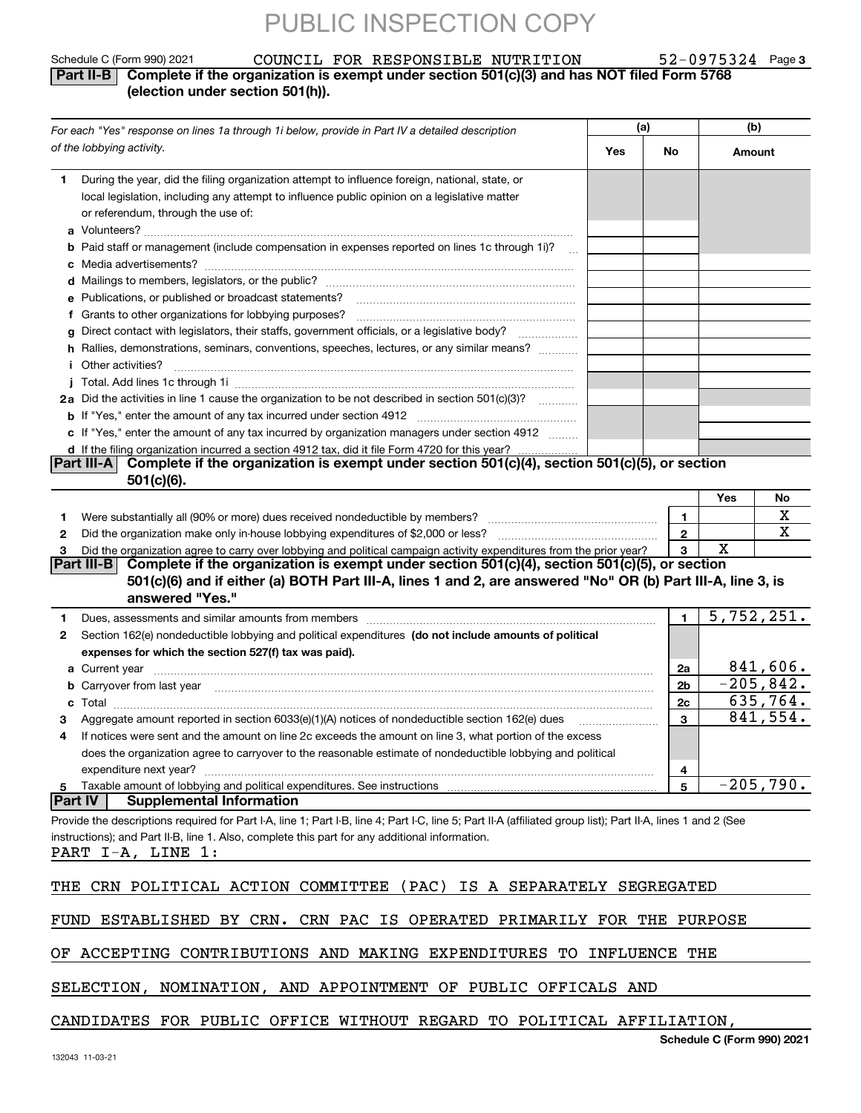**3**

#### Schedule C (Form 990) 2021 COUNCIL FOR RESPONSIBLE NUTRITION 52-0975324 Page **Part II-B Complete if the organization is exempt under section 501(c)(3) and has NOT filed Form 5768 (election under section 501(h)).** COUNCIL FOR RESPONSIBLE NUTRITION 52-0975324

| For each "Yes" response on lines 1a through 1i below, provide in Part IV a detailed description                                                                                                                                                                | (a) |                | (b)                        |             |  |
|----------------------------------------------------------------------------------------------------------------------------------------------------------------------------------------------------------------------------------------------------------------|-----|----------------|----------------------------|-------------|--|
| of the lobbying activity.                                                                                                                                                                                                                                      | Yes | No             | Amount                     |             |  |
| During the year, did the filing organization attempt to influence foreign, national, state, or<br>1.<br>local legislation, including any attempt to influence public opinion on a legislative matter<br>or referendum, through the use of:                     |     |                |                            |             |  |
| Paid staff or management (include compensation in expenses reported on lines 1c through 1i)?<br>$\sim$                                                                                                                                                         |     |                |                            |             |  |
|                                                                                                                                                                                                                                                                |     |                |                            |             |  |
|                                                                                                                                                                                                                                                                |     |                |                            |             |  |
| e Publications, or published or broadcast statements?                                                                                                                                                                                                          |     |                |                            |             |  |
| f Grants to other organizations for lobbying purposes?                                                                                                                                                                                                         |     |                |                            |             |  |
| g Direct contact with legislators, their staffs, government officials, or a legislative body?                                                                                                                                                                  |     |                |                            |             |  |
| h Rallies, demonstrations, seminars, conventions, speeches, lectures, or any similar means?                                                                                                                                                                    |     |                |                            |             |  |
| <i>i</i> Other activities?                                                                                                                                                                                                                                     |     |                |                            |             |  |
|                                                                                                                                                                                                                                                                |     |                |                            |             |  |
| 2a Did the activities in line 1 cause the organization to be not described in section 501(c)(3)?                                                                                                                                                               |     |                |                            |             |  |
| c If "Yes," enter the amount of any tax incurred by organization managers under section 4912                                                                                                                                                                   |     |                |                            |             |  |
| d If the filing organization incurred a section 4912 tax, did it file Form 4720 for this year?                                                                                                                                                                 |     |                |                            |             |  |
| Part III-A Complete if the organization is exempt under section $501(c)(4)$ , section $501(c)(5)$ , or section                                                                                                                                                 |     |                |                            |             |  |
| 501(c)(6).                                                                                                                                                                                                                                                     |     |                |                            |             |  |
|                                                                                                                                                                                                                                                                |     |                | Yes                        | No          |  |
| 1.                                                                                                                                                                                                                                                             |     | 1.             |                            | х           |  |
| 2                                                                                                                                                                                                                                                              |     | $\overline{2}$ |                            | х           |  |
| Did the organization agree to carry over lobbying and political campaign activity expenditures from the prior year?<br>З                                                                                                                                       |     | 3              | Χ                          |             |  |
| Part III-B Complete if the organization is exempt under section $501(c)(4)$ , section $501(c)(5)$ , or section                                                                                                                                                 |     |                |                            |             |  |
| 501(c)(6) and if either (a) BOTH Part III-A, lines 1 and 2, are answered "No" OR (b) Part III-A, line 3, is                                                                                                                                                    |     |                |                            |             |  |
| answered "Yes."                                                                                                                                                                                                                                                |     |                |                            |             |  |
| 1                                                                                                                                                                                                                                                              |     | $\mathbf{1}$   |                            | 5,752,251.  |  |
| Section 162(e) nondeductible lobbying and political expenditures (do not include amounts of political<br>2                                                                                                                                                     |     |                |                            |             |  |
| expenses for which the section 527(f) tax was paid).                                                                                                                                                                                                           |     |                |                            |             |  |
|                                                                                                                                                                                                                                                                |     | 2a             |                            | 841,606.    |  |
| b Carryover from last year manufactured and content to content the content of the content of the content of the content of the content of the content of the content of the content of the content of the content of the conte                                 |     | 2 <sub>b</sub> |                            | $-205,842.$ |  |
| с                                                                                                                                                                                                                                                              |     | 2c             |                            | 635,764.    |  |
| Aggregate amount reported in section 6033(e)(1)(A) notices of nondeductible section 162(e) dues                                                                                                                                                                |     | 3              |                            | 841,554.    |  |
| If notices were sent and the amount on line 2c exceeds the amount on line 3, what portion of the excess                                                                                                                                                        |     |                |                            |             |  |
| does the organization agree to carryover to the reasonable estimate of nondeductible lobbying and political                                                                                                                                                    |     |                |                            |             |  |
| expenditure next year?                                                                                                                                                                                                                                         |     | 4              |                            | $-205,790.$ |  |
| Taxable amount of lobbying and political expenditures. See instructions<br>5<br><b>Part IV</b><br><b>Supplemental Information</b>                                                                                                                              |     | 5              |                            |             |  |
|                                                                                                                                                                                                                                                                |     |                |                            |             |  |
| Provide the descriptions required for Part I-A, line 1; Part I-B, line 4; Part I-C, line 5; Part II-A (affiliated group list); Part II-A, lines 1 and 2 (See<br>instructions); and Part II-B, line 1. Also, complete this part for any additional information. |     |                |                            |             |  |
| PART I-A, LINE 1:                                                                                                                                                                                                                                              |     |                |                            |             |  |
|                                                                                                                                                                                                                                                                |     |                |                            |             |  |
| THE CRN POLITICAL ACTION COMMITTEE (PAC) IS A SEPARATELY SEGREGATED                                                                                                                                                                                            |     |                |                            |             |  |
| FUND ESTABLISHED BY CRN. CRN PAC IS OPERATED PRIMARILY FOR THE PURPOSE                                                                                                                                                                                         |     |                |                            |             |  |
| OF ACCEPTING CONTRIBUTIONS AND MAKING EXPENDITURES TO INFLUENCE THE                                                                                                                                                                                            |     |                |                            |             |  |
| SELECTION, NOMINATION, AND APPOINTMENT OF PUBLIC OFFICALS AND                                                                                                                                                                                                  |     |                |                            |             |  |
| CANDIDATES FOR PUBLIC OFFICE WITHOUT REGARD TO POLITICAL AFFILIATION,                                                                                                                                                                                          |     |                |                            |             |  |
|                                                                                                                                                                                                                                                                |     |                | Schedule C (Form 990) 2021 |             |  |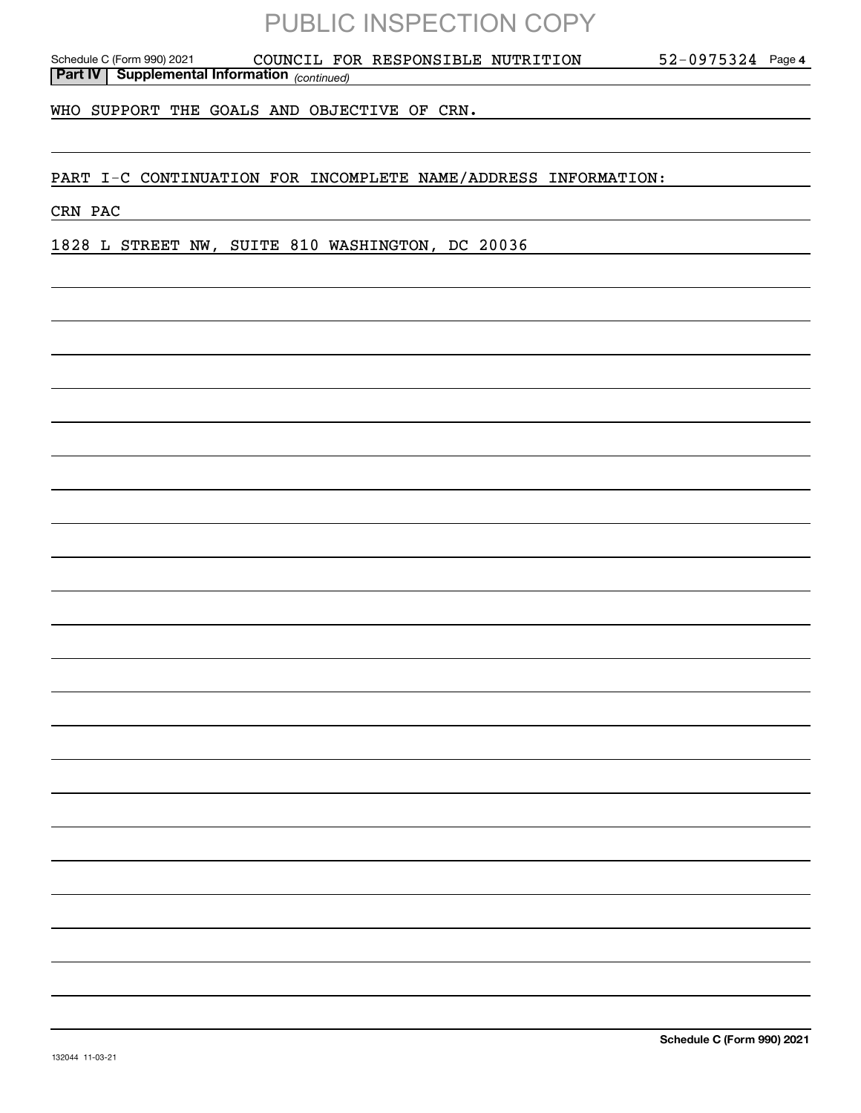*(continued)* **Part IV Supplemental Information**  Schedule C (Form 990) 2021 COUNCIL FOR RESPONSIBLE NUTRITION 52-0975324 Page

**4**

WHO SUPPORT THE GOALS AND OBJECTIVE OF CRN.

PART I-C CONTINUATION FOR INCOMPLETE NAME/ADDRESS INFORMATION:

CRN PAC

1828 L STREET NW, SUITE 810 WASHINGTON, DC 20036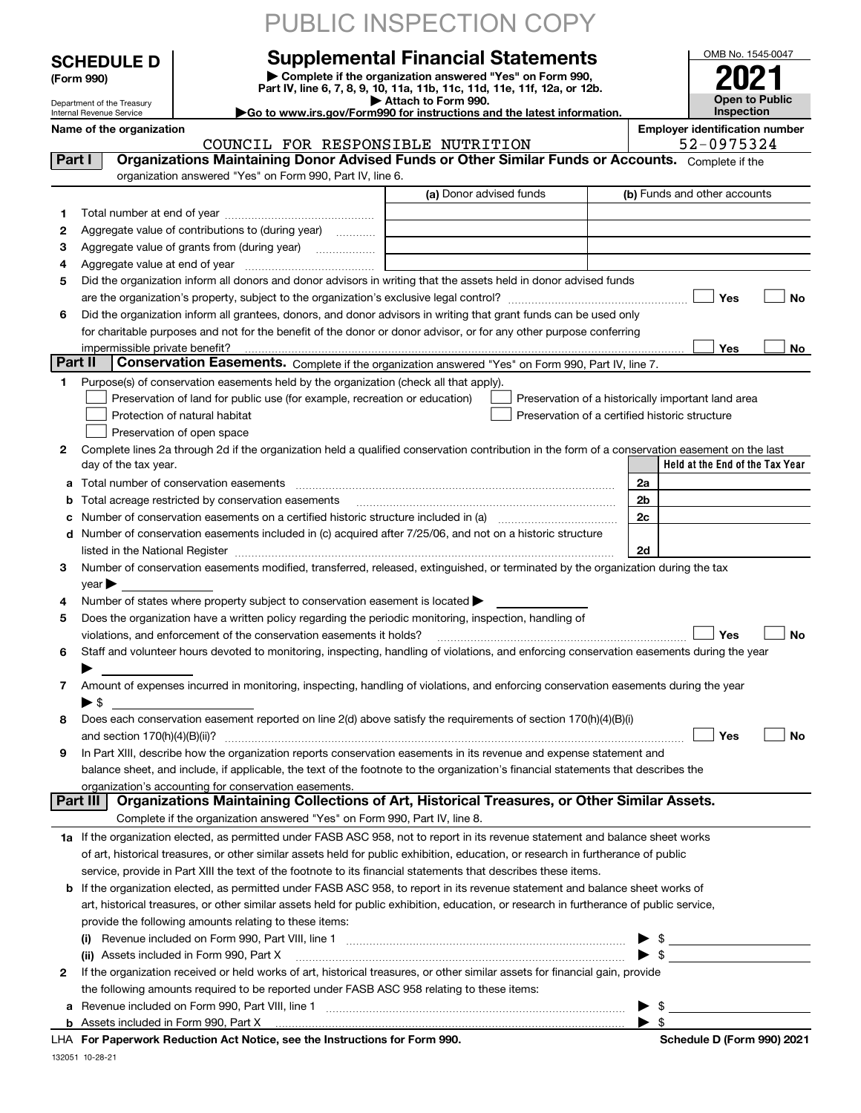|         |                                                               |                                                                                                        | PUBLIC INSPECTION COPY                                                                                                                                                                                                                                                            |                                                                                                                                                                                                                                                                                                                     |
|---------|---------------------------------------------------------------|--------------------------------------------------------------------------------------------------------|-----------------------------------------------------------------------------------------------------------------------------------------------------------------------------------------------------------------------------------------------------------------------------------|---------------------------------------------------------------------------------------------------------------------------------------------------------------------------------------------------------------------------------------------------------------------------------------------------------------------|
|         | <b>SCHEDULE D</b><br>(Form 990)<br>Department of the Treasury |                                                                                                        | <b>Supplemental Financial Statements</b><br>Complete if the organization answered "Yes" on Form 990,<br>Part IV, line 6, 7, 8, 9, 10, 11a, 11b, 11c, 11d, 11e, 11f, 12a, or 12b.<br>Attach to Form 990.<br>Go to www.irs.gov/Form990 for instructions and the latest information. | OMB No. 1545-0047<br><b>Open to Public</b>                                                                                                                                                                                                                                                                          |
|         | Internal Revenue Service                                      | <b>Inspection</b>                                                                                      |                                                                                                                                                                                                                                                                                   |                                                                                                                                                                                                                                                                                                                     |
|         | Name of the organization                                      |                                                                                                        |                                                                                                                                                                                                                                                                                   | <b>Employer identification number</b><br>52-0975324                                                                                                                                                                                                                                                                 |
| Part I  |                                                               | COUNCIL FOR RESPONSIBLE NUTRITION                                                                      | Organizations Maintaining Donor Advised Funds or Other Similar Funds or Accounts. Complete if the                                                                                                                                                                                 |                                                                                                                                                                                                                                                                                                                     |
|         |                                                               | organization answered "Yes" on Form 990, Part IV, line 6.                                              |                                                                                                                                                                                                                                                                                   |                                                                                                                                                                                                                                                                                                                     |
|         |                                                               |                                                                                                        | (a) Donor advised funds                                                                                                                                                                                                                                                           | (b) Funds and other accounts                                                                                                                                                                                                                                                                                        |
| 1       |                                                               |                                                                                                        |                                                                                                                                                                                                                                                                                   |                                                                                                                                                                                                                                                                                                                     |
| 2       |                                                               | Aggregate value of contributions to (during year)                                                      |                                                                                                                                                                                                                                                                                   |                                                                                                                                                                                                                                                                                                                     |
| З       |                                                               | Aggregate value of grants from (during year)                                                           |                                                                                                                                                                                                                                                                                   |                                                                                                                                                                                                                                                                                                                     |
| 4       |                                                               |                                                                                                        |                                                                                                                                                                                                                                                                                   |                                                                                                                                                                                                                                                                                                                     |
| 5       |                                                               |                                                                                                        | Did the organization inform all donors and donor advisors in writing that the assets held in donor advised funds                                                                                                                                                                  |                                                                                                                                                                                                                                                                                                                     |
|         |                                                               |                                                                                                        |                                                                                                                                                                                                                                                                                   | Yes<br>No                                                                                                                                                                                                                                                                                                           |
| 6       |                                                               |                                                                                                        | Did the organization inform all grantees, donors, and donor advisors in writing that grant funds can be used only                                                                                                                                                                 |                                                                                                                                                                                                                                                                                                                     |
|         |                                                               |                                                                                                        | for charitable purposes and not for the benefit of the donor or donor advisor, or for any other purpose conferring                                                                                                                                                                |                                                                                                                                                                                                                                                                                                                     |
| Part II | impermissible private benefit?                                |                                                                                                        | Conservation Easements. Complete if the organization answered "Yes" on Form 990, Part IV, line 7.                                                                                                                                                                                 | Yes<br>No.                                                                                                                                                                                                                                                                                                          |
| 1       |                                                               | Purpose(s) of conservation easements held by the organization (check all that apply).                  |                                                                                                                                                                                                                                                                                   |                                                                                                                                                                                                                                                                                                                     |
|         |                                                               | Preservation of land for public use (for example, recreation or education)                             |                                                                                                                                                                                                                                                                                   | Preservation of a historically important land area                                                                                                                                                                                                                                                                  |
|         |                                                               | Protection of natural habitat                                                                          | Preservation of a certified historic structure                                                                                                                                                                                                                                    |                                                                                                                                                                                                                                                                                                                     |
|         |                                                               | Preservation of open space                                                                             |                                                                                                                                                                                                                                                                                   |                                                                                                                                                                                                                                                                                                                     |
| 2       |                                                               |                                                                                                        | Complete lines 2a through 2d if the organization held a qualified conservation contribution in the form of a conservation easement on the last                                                                                                                                    |                                                                                                                                                                                                                                                                                                                     |
|         | day of the tax year.                                          |                                                                                                        |                                                                                                                                                                                                                                                                                   | Held at the End of the Tax Year                                                                                                                                                                                                                                                                                     |
| a       |                                                               | Total number of conservation easements                                                                 |                                                                                                                                                                                                                                                                                   | 2a                                                                                                                                                                                                                                                                                                                  |
| b       |                                                               | Total acreage restricted by conservation easements                                                     |                                                                                                                                                                                                                                                                                   | 2 <sub>b</sub>                                                                                                                                                                                                                                                                                                      |
|         |                                                               |                                                                                                        |                                                                                                                                                                                                                                                                                   | 2c                                                                                                                                                                                                                                                                                                                  |
| d       |                                                               |                                                                                                        | Number of conservation easements included in (c) acquired after 7/25/06, and not on a historic structure                                                                                                                                                                          |                                                                                                                                                                                                                                                                                                                     |
|         |                                                               |                                                                                                        | listed in the National Register [111] Marshall Register [11] Marshall Register [11] Marshall Register [11] Marshall Register [11] Marshall Register [11] Marshall Register [11] Marshall Register [11] Marshall Register [11]                                                     | 2d                                                                                                                                                                                                                                                                                                                  |
| З.      | year                                                          |                                                                                                        | Number of conservation easements modified, transferred, released, extinguished, or terminated by the organization during the tax                                                                                                                                                  |                                                                                                                                                                                                                                                                                                                     |
| 4       |                                                               | Number of states where property subject to conservation easement is located                            |                                                                                                                                                                                                                                                                                   |                                                                                                                                                                                                                                                                                                                     |
| 5       |                                                               | Does the organization have a written policy regarding the periodic monitoring, inspection, handling of |                                                                                                                                                                                                                                                                                   |                                                                                                                                                                                                                                                                                                                     |
|         |                                                               | violations, and enforcement of the conservation easements it holds?                                    |                                                                                                                                                                                                                                                                                   | Yes<br>No                                                                                                                                                                                                                                                                                                           |
| 6       |                                                               |                                                                                                        | Staff and volunteer hours devoted to monitoring, inspecting, handling of violations, and enforcing conservation easements during the year                                                                                                                                         |                                                                                                                                                                                                                                                                                                                     |
|         |                                                               |                                                                                                        |                                                                                                                                                                                                                                                                                   |                                                                                                                                                                                                                                                                                                                     |
| 7       |                                                               |                                                                                                        | Amount of expenses incurred in monitoring, inspecting, handling of violations, and enforcing conservation easements during the year                                                                                                                                               |                                                                                                                                                                                                                                                                                                                     |
|         | $\blacktriangleright$ \$                                      |                                                                                                        |                                                                                                                                                                                                                                                                                   |                                                                                                                                                                                                                                                                                                                     |
| 8       |                                                               |                                                                                                        | Does each conservation easement reported on line 2(d) above satisfy the requirements of section 170(h)(4)(B)(i)                                                                                                                                                                   |                                                                                                                                                                                                                                                                                                                     |
|         |                                                               |                                                                                                        |                                                                                                                                                                                                                                                                                   | Yes<br>No                                                                                                                                                                                                                                                                                                           |
| 9       |                                                               |                                                                                                        | In Part XIII, describe how the organization reports conservation easements in its revenue and expense statement and                                                                                                                                                               |                                                                                                                                                                                                                                                                                                                     |
|         |                                                               |                                                                                                        | balance sheet, and include, if applicable, the text of the footnote to the organization's financial statements that describes the                                                                                                                                                 |                                                                                                                                                                                                                                                                                                                     |
|         | Part III                                                      | organization's accounting for conservation easements.                                                  | Organizations Maintaining Collections of Art, Historical Treasures, or Other Similar Assets.                                                                                                                                                                                      |                                                                                                                                                                                                                                                                                                                     |
|         |                                                               | Complete if the organization answered "Yes" on Form 990, Part IV, line 8.                              |                                                                                                                                                                                                                                                                                   |                                                                                                                                                                                                                                                                                                                     |
|         |                                                               |                                                                                                        | 1a If the organization elected, as permitted under FASB ASC 958, not to report in its revenue statement and balance sheet works                                                                                                                                                   |                                                                                                                                                                                                                                                                                                                     |
|         |                                                               |                                                                                                        | of art, historical treasures, or other similar assets held for public exhibition, education, or research in furtherance of public                                                                                                                                                 |                                                                                                                                                                                                                                                                                                                     |
|         |                                                               |                                                                                                        | service, provide in Part XIII the text of the footnote to its financial statements that describes these items.                                                                                                                                                                    |                                                                                                                                                                                                                                                                                                                     |
| b       |                                                               |                                                                                                        | If the organization elected, as permitted under FASB ASC 958, to report in its revenue statement and balance sheet works of                                                                                                                                                       |                                                                                                                                                                                                                                                                                                                     |
|         |                                                               |                                                                                                        | art, historical treasures, or other similar assets held for public exhibition, education, or research in furtherance of public service,                                                                                                                                           |                                                                                                                                                                                                                                                                                                                     |
|         |                                                               | provide the following amounts relating to these items:                                                 |                                                                                                                                                                                                                                                                                   |                                                                                                                                                                                                                                                                                                                     |
|         | (i)                                                           |                                                                                                        |                                                                                                                                                                                                                                                                                   | $\frac{1}{2}$ $\frac{1}{2}$ $\frac{1}{2}$ $\frac{1}{2}$ $\frac{1}{2}$ $\frac{1}{2}$ $\frac{1}{2}$ $\frac{1}{2}$ $\frac{1}{2}$ $\frac{1}{2}$ $\frac{1}{2}$ $\frac{1}{2}$ $\frac{1}{2}$ $\frac{1}{2}$ $\frac{1}{2}$ $\frac{1}{2}$ $\frac{1}{2}$ $\frac{1}{2}$ $\frac{1}{2}$ $\frac{1}{2}$ $\frac{1}{2}$ $\frac{1}{2}$ |
|         |                                                               | (ii) Assets included in Form 990, Part X                                                               |                                                                                                                                                                                                                                                                                   | $\triangleright$ \$                                                                                                                                                                                                                                                                                                 |
| 2       |                                                               |                                                                                                        | If the organization received or held works of art, historical treasures, or other similar assets for financial gain, provide                                                                                                                                                      |                                                                                                                                                                                                                                                                                                                     |
|         |                                                               | the following amounts required to be reported under FASB ASC 958 relating to these items:              |                                                                                                                                                                                                                                                                                   |                                                                                                                                                                                                                                                                                                                     |
|         |                                                               | a Revenue included on Form 990, Part VIII, line 1                                                      |                                                                                                                                                                                                                                                                                   | $\blacktriangleright$ \$                                                                                                                                                                                                                                                                                            |

| <b>b</b> Assets included in Form 990. Part X |                                                                            |
|----------------------------------------------|----------------------------------------------------------------------------|
|                                              | LHA For Paperwork Reduction Act Notice, see the Instructions for Form 990. |

**a**Revenue included on Form 990, Part VIII, line 1 ~~~~~~~~~~~~~~~~~~~~~~~~~~~~~~

 $\blacktriangleright$  \$

132051 10-28-21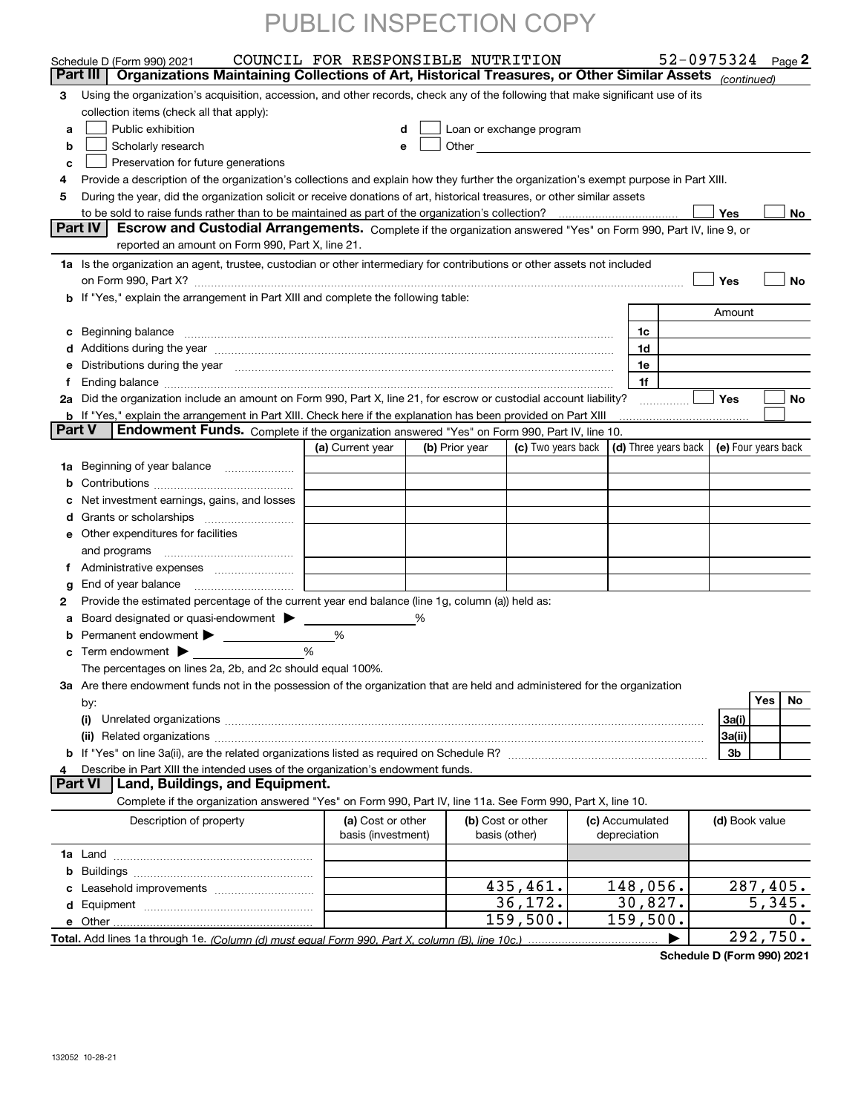|               | Schedule D (Form 990) 2021                                                                                                                                                                                                          | COUNCIL FOR RESPONSIBLE NUTRITION |   |                |                                                      |                     |                      | 52-0975324 Page 2   |              |
|---------------|-------------------------------------------------------------------------------------------------------------------------------------------------------------------------------------------------------------------------------------|-----------------------------------|---|----------------|------------------------------------------------------|---------------------|----------------------|---------------------|--------------|
|               | Organizations Maintaining Collections of Art, Historical Treasures, or Other Similar Assets (continued)<br>Part III                                                                                                                 |                                   |   |                |                                                      |                     |                      |                     |              |
| З.            | Using the organization's acquisition, accession, and other records, check any of the following that make significant use of its                                                                                                     |                                   |   |                |                                                      |                     |                      |                     |              |
|               | collection items (check all that apply):                                                                                                                                                                                            |                                   |   |                |                                                      |                     |                      |                     |              |
| a             | Public exhibition                                                                                                                                                                                                                   | d                                 |   |                | Loan or exchange program                             |                     |                      |                     |              |
| b             | Scholarly research                                                                                                                                                                                                                  | е                                 |   |                | Other <b>Committee Committee Committee Committee</b> |                     |                      |                     |              |
| c             | Preservation for future generations                                                                                                                                                                                                 |                                   |   |                |                                                      |                     |                      |                     |              |
| 4             | Provide a description of the organization's collections and explain how they further the organization's exempt purpose in Part XIII.                                                                                                |                                   |   |                |                                                      |                     |                      |                     |              |
| 5             | During the year, did the organization solicit or receive donations of art, historical treasures, or other similar assets                                                                                                            |                                   |   |                |                                                      |                     |                      | Yes                 |              |
|               | Part IV<br>Escrow and Custodial Arrangements. Complete if the organization answered "Yes" on Form 990, Part IV, line 9, or                                                                                                          |                                   |   |                |                                                      |                     |                      |                     | No           |
|               | reported an amount on Form 990, Part X, line 21.                                                                                                                                                                                    |                                   |   |                |                                                      |                     |                      |                     |              |
|               | 1a Is the organization an agent, trustee, custodian or other intermediary for contributions or other assets not included                                                                                                            |                                   |   |                |                                                      |                     |                      |                     |              |
|               |                                                                                                                                                                                                                                     |                                   |   |                |                                                      |                     |                      | Yes                 | <b>No</b>    |
|               | b If "Yes," explain the arrangement in Part XIII and complete the following table:                                                                                                                                                  |                                   |   |                |                                                      |                     |                      |                     |              |
|               |                                                                                                                                                                                                                                     |                                   |   |                |                                                      |                     |                      | Amount              |              |
|               | c Beginning balance measurements and the contract of the contract of the contract of the contract of the contract of the contract of the contract of the contract of the contract of the contract of the contract of the contr      |                                   |   |                |                                                      | 1c                  |                      |                     |              |
|               |                                                                                                                                                                                                                                     |                                   |   |                |                                                      | 1d                  |                      |                     |              |
| е             | Distributions during the year measurements are all the set of the set of the set of the set of the set of the set of the set of the set of the set of the set of the set of the set of the set of the set of the set of the se      |                                   |   |                |                                                      | 1e                  |                      |                     |              |
| f             |                                                                                                                                                                                                                                     |                                   |   |                |                                                      | 1f                  |                      |                     |              |
|               | 2a Did the organization include an amount on Form 990, Part X, line 21, for escrow or custodial account liability?                                                                                                                  |                                   |   |                |                                                      |                     |                      | Yes                 | No           |
|               | b If "Yes," explain the arrangement in Part XIII. Check here if the explanation has been provided on Part XIII                                                                                                                      |                                   |   |                |                                                      |                     |                      |                     |              |
| <b>Part V</b> | Endowment Funds. Complete if the organization answered "Yes" on Form 990, Part IV, line 10.                                                                                                                                         |                                   |   |                |                                                      |                     |                      |                     |              |
|               |                                                                                                                                                                                                                                     | (a) Current year                  |   | (b) Prior year | (c) Two years back                                   |                     | (d) Three years back | (e) Four years back |              |
|               | 1a Beginning of year balance                                                                                                                                                                                                        |                                   |   |                |                                                      |                     |                      |                     |              |
| b             |                                                                                                                                                                                                                                     |                                   |   |                |                                                      |                     |                      |                     |              |
| с             | Net investment earnings, gains, and losses                                                                                                                                                                                          |                                   |   |                |                                                      |                     |                      |                     |              |
| d             | Grants or scholarships                                                                                                                                                                                                              |                                   |   |                |                                                      |                     |                      |                     |              |
| е             | Other expenditures for facilities                                                                                                                                                                                                   |                                   |   |                |                                                      |                     |                      |                     |              |
|               | and programs                                                                                                                                                                                                                        |                                   |   |                |                                                      |                     |                      |                     |              |
| f             |                                                                                                                                                                                                                                     |                                   |   |                |                                                      |                     |                      |                     |              |
| g             |                                                                                                                                                                                                                                     |                                   |   |                |                                                      |                     |                      |                     |              |
| 2             | Provide the estimated percentage of the current year end balance (line 1g, column (a)) held as:                                                                                                                                     |                                   |   |                |                                                      |                     |                      |                     |              |
| a             | Board designated or quasi-endowment                                                                                                                                                                                                 |                                   | % |                |                                                      |                     |                      |                     |              |
| b             | Permanent endowment<br>$\mathcal{L}^{\text{max}}$ , where $\mathcal{L}^{\text{max}}$                                                                                                                                                | %                                 |   |                |                                                      |                     |                      |                     |              |
| c             | Term endowment $\blacktriangleright$<br><u> Liston de la componenta</u>                                                                                                                                                             | %                                 |   |                |                                                      |                     |                      |                     |              |
|               | The percentages on lines 2a, 2b, and 2c should equal 100%.                                                                                                                                                                          |                                   |   |                |                                                      |                     |                      |                     |              |
|               | 3a Are there endowment funds not in the possession of the organization that are held and administered for the organization                                                                                                          |                                   |   |                |                                                      |                     |                      |                     |              |
|               | by:                                                                                                                                                                                                                                 |                                   |   |                |                                                      |                     |                      |                     | Yes<br>No    |
|               | (i)                                                                                                                                                                                                                                 |                                   |   |                |                                                      |                     |                      | 3a(i)               |              |
|               | (ii) Related organizations <b>communications</b> and continuum contract and continuum contract and continuum contract and continuum contract and continuum contract and continuum contract and continuum contract and continuum con |                                   |   |                |                                                      |                     |                      | 3a(ii)              |              |
|               |                                                                                                                                                                                                                                     |                                   |   |                |                                                      |                     |                      | 3b                  |              |
| 4             | Describe in Part XIII the intended uses of the organization's endowment funds.                                                                                                                                                      |                                   |   |                |                                                      |                     |                      |                     |              |
|               | Land, Buildings, and Equipment.<br><b>Part VI</b>                                                                                                                                                                                   |                                   |   |                |                                                      |                     |                      |                     |              |
|               | Complete if the organization answered "Yes" on Form 990, Part IV, line 11a. See Form 990, Part X, line 10.                                                                                                                          |                                   |   |                |                                                      |                     |                      |                     |              |
|               | Description of property                                                                                                                                                                                                             | (a) Cost or other                 |   |                | (b) Cost or other                                    | (c) Accumulated     |                      | (d) Book value      |              |
|               |                                                                                                                                                                                                                                     | basis (investment)                |   | basis (other)  |                                                      | depreciation        |                      |                     |              |
|               |                                                                                                                                                                                                                                     |                                   |   |                |                                                      |                     |                      |                     |              |
|               |                                                                                                                                                                                                                                     |                                   |   |                |                                                      |                     |                      |                     |              |
|               | Leasehold improvements                                                                                                                                                                                                              |                                   |   |                | 435,461.                                             | 148,056.            |                      |                     | 287,405.     |
| d             |                                                                                                                                                                                                                                     |                                   |   |                | 36,172.<br>159,500.                                  | 30,827.<br>159,500. |                      |                     | 5,345.<br>0. |
|               | e Other                                                                                                                                                                                                                             |                                   |   |                |                                                      |                     |                      |                     | 292,750.     |
|               |                                                                                                                                                                                                                                     |                                   |   |                |                                                      |                     |                      |                     |              |

**Schedule D (Form 990) 2021**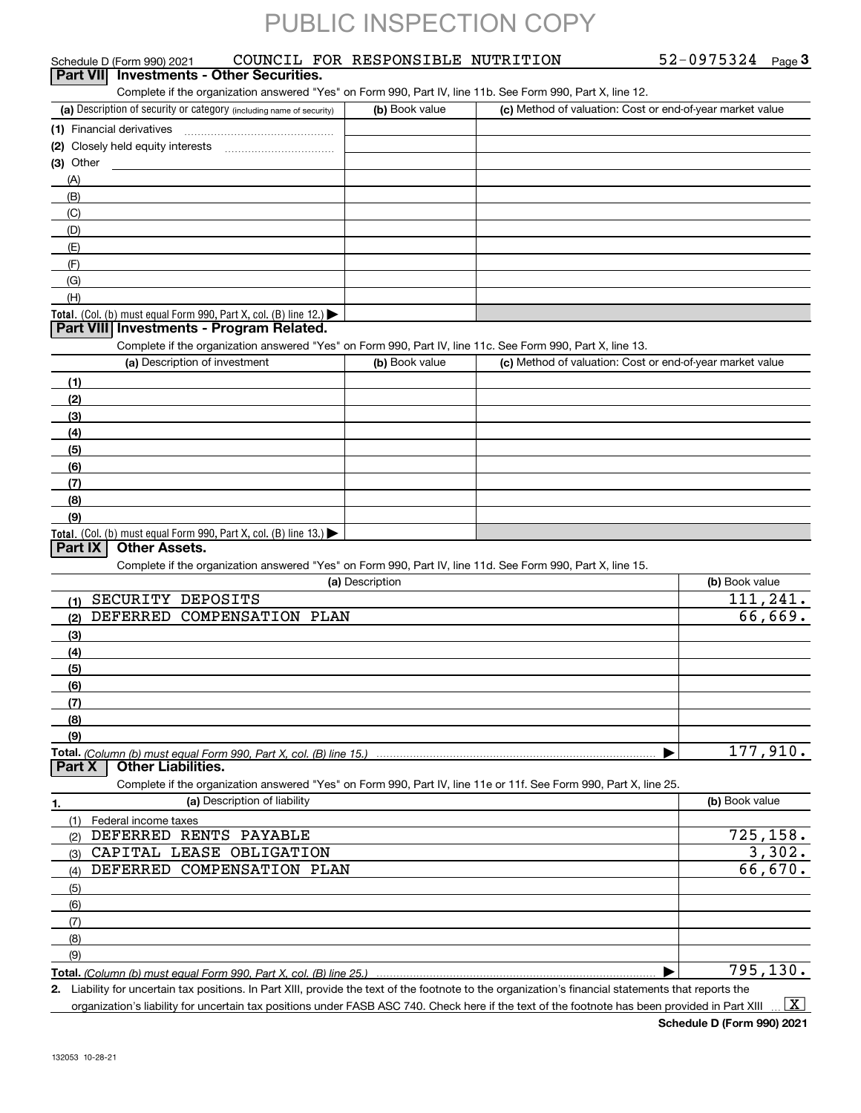| 52-0975324<br>Page $3$ |
|------------------------|
|------------------------|

| Schedule D (Form 990) 2021                                                                                                                           | COUNCIL FOR RESPONSIBLE NUTRITION |                                                           | 52-0975324<br>Page $3$ |
|------------------------------------------------------------------------------------------------------------------------------------------------------|-----------------------------------|-----------------------------------------------------------|------------------------|
| <b>Investments - Other Securities.</b><br><b>Part VII</b>                                                                                            |                                   |                                                           |                        |
| Complete if the organization answered "Yes" on Form 990, Part IV, line 11b. See Form 990, Part X, line 12.                                           |                                   |                                                           |                        |
| (a) Description of security or category (including name of security)                                                                                 | (b) Book value                    | (c) Method of valuation: Cost or end-of-year market value |                        |
|                                                                                                                                                      |                                   |                                                           |                        |
| (2) Closely held equity interests                                                                                                                    |                                   |                                                           |                        |
| (3) Other                                                                                                                                            |                                   |                                                           |                        |
| (A)                                                                                                                                                  |                                   |                                                           |                        |
| (B)                                                                                                                                                  |                                   |                                                           |                        |
| (C)                                                                                                                                                  |                                   |                                                           |                        |
| (D)                                                                                                                                                  |                                   |                                                           |                        |
| (E)                                                                                                                                                  |                                   |                                                           |                        |
| (F)                                                                                                                                                  |                                   |                                                           |                        |
| (G)<br>(H)                                                                                                                                           |                                   |                                                           |                        |
| Total. (Col. (b) must equal Form 990, Part X, col. (B) line 12.)                                                                                     |                                   |                                                           |                        |
| Part VIII Investments - Program Related.                                                                                                             |                                   |                                                           |                        |
| Complete if the organization answered "Yes" on Form 990, Part IV, line 11c. See Form 990, Part X, line 13.                                           |                                   |                                                           |                        |
| (a) Description of investment                                                                                                                        | (b) Book value                    | (c) Method of valuation: Cost or end-of-year market value |                        |
| (1)                                                                                                                                                  |                                   |                                                           |                        |
| (2)                                                                                                                                                  |                                   |                                                           |                        |
| (3)                                                                                                                                                  |                                   |                                                           |                        |
| (4)                                                                                                                                                  |                                   |                                                           |                        |
| (5)                                                                                                                                                  |                                   |                                                           |                        |
| (6)                                                                                                                                                  |                                   |                                                           |                        |
| (7)                                                                                                                                                  |                                   |                                                           |                        |
| (8)                                                                                                                                                  |                                   |                                                           |                        |
| (9)                                                                                                                                                  |                                   |                                                           |                        |
| <b>Total.</b> (Col. (b) must equal Form 990, Part X, col. (B) line 13.)                                                                              |                                   |                                                           |                        |
| <b>Part IX</b><br><b>Other Assets.</b>                                                                                                               |                                   |                                                           |                        |
| Complete if the organization answered "Yes" on Form 990, Part IV, line 11d. See Form 990, Part X, line 15.                                           |                                   |                                                           |                        |
|                                                                                                                                                      | (a) Description                   |                                                           | (b) Book value         |
| SECURITY DEPOSITS<br>(1)                                                                                                                             |                                   |                                                           | 111,241.               |
| <b>DEFERRED</b><br>COMPENSATION PLAN<br>(2)                                                                                                          |                                   |                                                           | 66,669.                |
| (3)                                                                                                                                                  |                                   |                                                           |                        |
| (4)                                                                                                                                                  |                                   |                                                           |                        |
| (5)                                                                                                                                                  |                                   |                                                           |                        |
| (6)                                                                                                                                                  |                                   |                                                           |                        |
| (7)                                                                                                                                                  |                                   |                                                           |                        |
| (8)<br>(9)                                                                                                                                           |                                   |                                                           |                        |
|                                                                                                                                                      |                                   |                                                           | 177,910.               |
| <b>Other Liabilities.</b><br><b>Part X</b>                                                                                                           |                                   |                                                           |                        |
| Complete if the organization answered "Yes" on Form 990, Part IV, line 11e or 11f. See Form 990, Part X, line 25.                                    |                                   |                                                           |                        |
| (a) Description of liability<br>1.                                                                                                                   |                                   |                                                           | (b) Book value         |
| Federal income taxes<br>(1)                                                                                                                          |                                   |                                                           |                        |
| DEFERRED RENTS PAYABLE<br>(2)                                                                                                                        |                                   |                                                           | 725, 158.              |
| CAPITAL LEASE OBLIGATION<br>(3)                                                                                                                      |                                   |                                                           | 3,302.                 |
| DEFERRED COMPENSATION PLAN<br>(4)                                                                                                                    |                                   |                                                           | 66,670.                |
| (5)                                                                                                                                                  |                                   |                                                           |                        |
| (6)                                                                                                                                                  |                                   |                                                           |                        |
| (7)                                                                                                                                                  |                                   |                                                           |                        |
| (8)                                                                                                                                                  |                                   |                                                           |                        |
| (9)                                                                                                                                                  |                                   |                                                           |                        |
| Total. (Column (b) must equal Form 990. Part X, col. (B) line 25.)                                                                                   |                                   |                                                           | 795, 130.              |
| 2. Liability for uncertain tax positions. In Part XIII, provide the text of the footnote to the organization's financial statements that reports the |                                   |                                                           |                        |

organization's liability for uncertain tax positions under FASB ASC 740. Check here if the text of the footnote has been provided in Part XIII  $\boxed{\text{X}}$ 

**Schedule D (Form 990) 2021**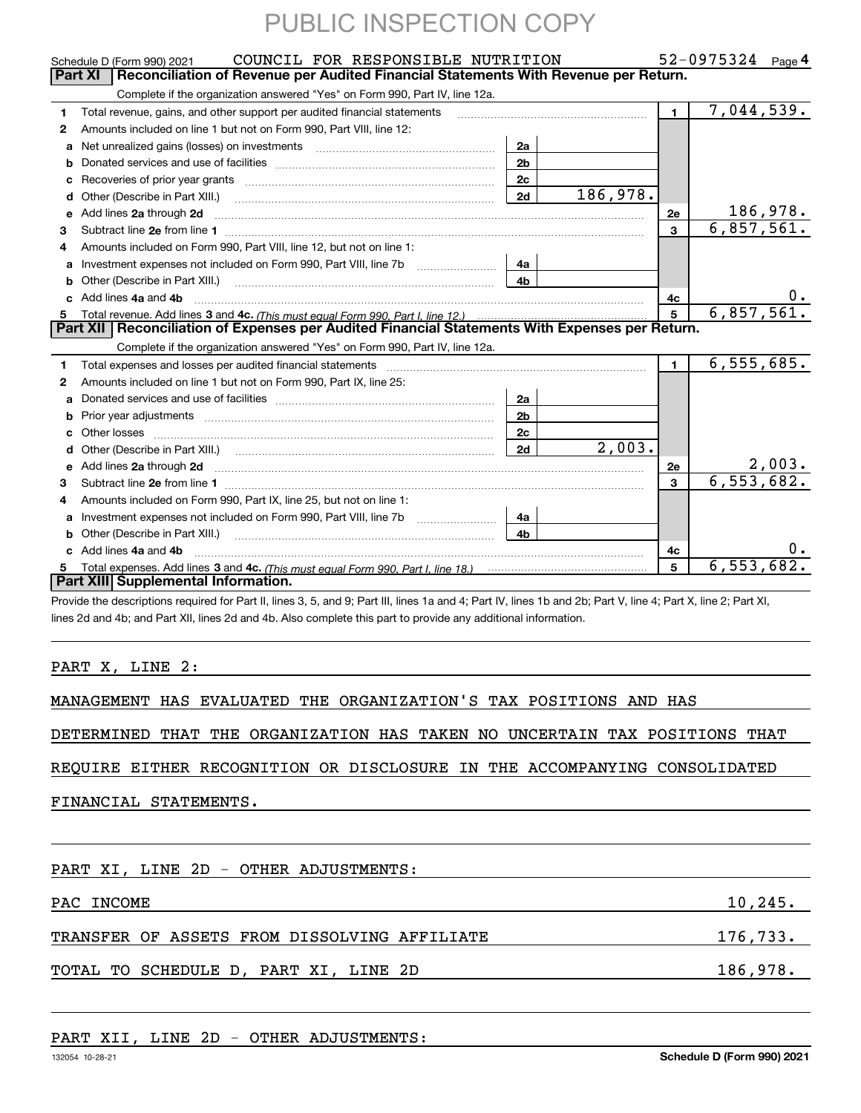|    | COUNCIL FOR RESPONSIBLE NUTRITION<br>Schedule D (Form 990) 2021                                                                                                                                                                     |                |          |                | $52 - 0975324$ Page 4       |
|----|-------------------------------------------------------------------------------------------------------------------------------------------------------------------------------------------------------------------------------------|----------------|----------|----------------|-----------------------------|
|    | Reconciliation of Revenue per Audited Financial Statements With Revenue per Return.<br><b>Part XI</b>                                                                                                                               |                |          |                |                             |
|    | Complete if the organization answered "Yes" on Form 990, Part IV, line 12a.                                                                                                                                                         |                |          |                |                             |
| 1. | Total revenue, gains, and other support per audited financial statements                                                                                                                                                            |                |          | $\blacksquare$ | 7,044,539.                  |
| 2  | Amounts included on line 1 but not on Form 990, Part VIII, line 12:                                                                                                                                                                 |                |          |                |                             |
| a  |                                                                                                                                                                                                                                     | 2a             |          |                |                             |
| b  |                                                                                                                                                                                                                                     | 2 <sub>b</sub> |          |                |                             |
| c  |                                                                                                                                                                                                                                     | 2c             |          |                |                             |
| d  | Other (Describe in Part XIII.)                                                                                                                                                                                                      | $\vert$ 2d     | 186,978. |                |                             |
| е  | Add lines 2a through 2d                                                                                                                                                                                                             |                |          | 2e             | 186, 978.                   |
| 3  |                                                                                                                                                                                                                                     |                |          | 3              | 6,857,561.                  |
| 4  | Amounts included on Form 990, Part VIII, line 12, but not on line 1:                                                                                                                                                                |                |          |                |                             |
| a  | Investment expenses not included on Form 990, Part VIII, line 7b [11, 111, 111, 111]                                                                                                                                                | 4а             |          |                |                             |
| b  | Other (Describe in Part XIII.) <b>Construction Contract Construction</b> Construction Construction Construction Construction Construction Construction Construction Construction Construction Construction Construction Constructio | 4 <sub>b</sub> |          |                |                             |
| c. | Add lines 4a and 4b                                                                                                                                                                                                                 |                |          | 4с             |                             |
|    |                                                                                                                                                                                                                                     |                |          | 5              | 6,857,561.                  |
|    | Part XII   Reconciliation of Expenses per Audited Financial Statements With Expenses per Return.                                                                                                                                    |                |          |                |                             |
|    | Complete if the organization answered "Yes" on Form 990, Part IV, line 12a.                                                                                                                                                         |                |          |                |                             |
| 1  |                                                                                                                                                                                                                                     |                |          | $\mathbf{1}$   | 6, 555, 685.                |
| 2  | Amounts included on line 1 but not on Form 990, Part IX, line 25:                                                                                                                                                                   |                |          |                |                             |
| a  |                                                                                                                                                                                                                                     | 2a             |          |                |                             |
| b  |                                                                                                                                                                                                                                     | 2 <sub>b</sub> |          |                |                             |
| c  | Other losses                                                                                                                                                                                                                        | 2c             |          |                |                             |
| d  |                                                                                                                                                                                                                                     | $\vert$ 2d     | 2,003.   |                |                             |
| e  | Add lines 2a through 2d                                                                                                                                                                                                             |                |          | 2e             | $\frac{2,003.}{6,553,682.}$ |
| 3  |                                                                                                                                                                                                                                     |                |          | 3              |                             |
| 4  | Amounts included on Form 990, Part IX, line 25, but not on line 1:                                                                                                                                                                  |                |          |                |                             |
|    |                                                                                                                                                                                                                                     |                |          |                |                             |
| a  |                                                                                                                                                                                                                                     | 4a             |          |                |                             |
|    | Other (Describe in Part XIII.) <b>Construction Contract Construction</b> Construction Construction Construction Constr                                                                                                              | 4 <sub>h</sub> |          |                |                             |
|    | c Add lines 4a and 4b                                                                                                                                                                                                               |                |          | 4c             | 0.                          |
| 5  |                                                                                                                                                                                                                                     |                |          | 5              | 6, 553, 682.                |
|    | Part XIII Supplemental Information.                                                                                                                                                                                                 |                |          |                |                             |

lines 2d and 4b; and Part XII, lines 2d and 4b. Also complete this part to provide any additional information.

### PART X, LINE 2:

MANAGEMENT HAS EVALUATED THE ORGANIZATION'S TAX POSITIONS AND HAS

DETERMINED THAT THE ORGANIZATION HAS TAKEN NO UNCERTAIN TAX POSITIONS THAT

REQUIRE EITHER RECOGNITION OR DISCLOSURE IN THE ACCOMPANYING CONSOLIDATED

FINANCIAL STATEMENTS.

| PART XI, LINE 2D - OTHER ADJUSTMENTS:        |          |  |  |  |  |  |
|----------------------------------------------|----------|--|--|--|--|--|
| 10, 245.<br>PAC INCOME                       |          |  |  |  |  |  |
| TRANSFER OF ASSETS FROM DISSOLVING AFFILIATE | 176,733. |  |  |  |  |  |
| TOTAL TO SCHEDULE D, PART XI, LINE 2D        | 186,978. |  |  |  |  |  |

### PART XII, LINE 2D - OTHER ADJUSTMENTS: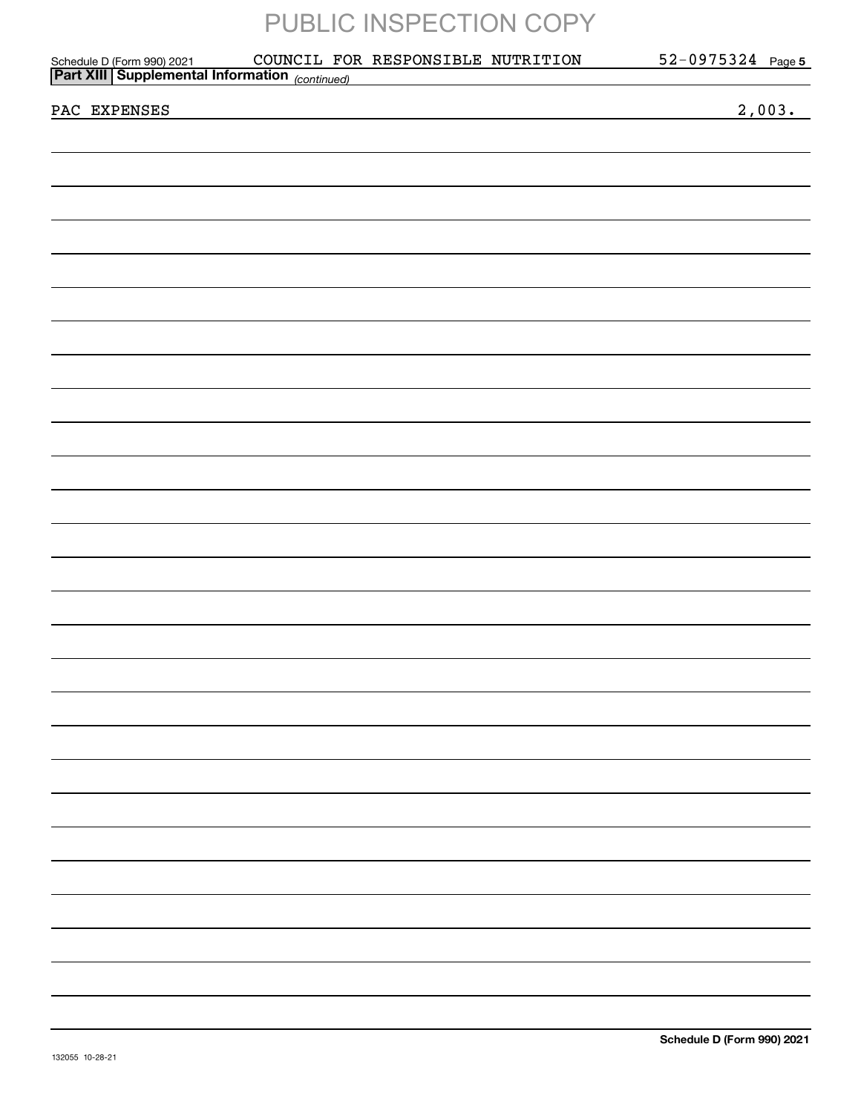| Schedule D (Form 990) 2021 COUNCIL FOI<br>the control of the control of the control of the control of the control of the control of<br>2,003.<br>PAC EXPENSES |  |  | COUNCIL FOR RESPONSIBLE NUTRITION |  | 52-0975324 Page 5 |  |
|---------------------------------------------------------------------------------------------------------------------------------------------------------------|--|--|-----------------------------------|--|-------------------|--|
|                                                                                                                                                               |  |  |                                   |  |                   |  |
|                                                                                                                                                               |  |  |                                   |  |                   |  |
|                                                                                                                                                               |  |  |                                   |  |                   |  |
|                                                                                                                                                               |  |  |                                   |  |                   |  |
|                                                                                                                                                               |  |  |                                   |  |                   |  |
|                                                                                                                                                               |  |  |                                   |  |                   |  |
|                                                                                                                                                               |  |  |                                   |  |                   |  |
|                                                                                                                                                               |  |  |                                   |  |                   |  |
|                                                                                                                                                               |  |  |                                   |  |                   |  |
|                                                                                                                                                               |  |  |                                   |  |                   |  |
|                                                                                                                                                               |  |  |                                   |  |                   |  |
|                                                                                                                                                               |  |  |                                   |  |                   |  |
|                                                                                                                                                               |  |  |                                   |  |                   |  |
|                                                                                                                                                               |  |  |                                   |  |                   |  |
|                                                                                                                                                               |  |  |                                   |  |                   |  |
|                                                                                                                                                               |  |  |                                   |  |                   |  |
|                                                                                                                                                               |  |  |                                   |  |                   |  |
|                                                                                                                                                               |  |  |                                   |  |                   |  |
|                                                                                                                                                               |  |  |                                   |  |                   |  |
|                                                                                                                                                               |  |  |                                   |  |                   |  |
|                                                                                                                                                               |  |  |                                   |  |                   |  |
|                                                                                                                                                               |  |  |                                   |  |                   |  |
|                                                                                                                                                               |  |  |                                   |  |                   |  |
|                                                                                                                                                               |  |  |                                   |  |                   |  |
|                                                                                                                                                               |  |  |                                   |  |                   |  |
|                                                                                                                                                               |  |  |                                   |  |                   |  |
|                                                                                                                                                               |  |  |                                   |  |                   |  |
|                                                                                                                                                               |  |  |                                   |  |                   |  |
|                                                                                                                                                               |  |  |                                   |  |                   |  |
|                                                                                                                                                               |  |  |                                   |  |                   |  |
|                                                                                                                                                               |  |  |                                   |  |                   |  |
|                                                                                                                                                               |  |  |                                   |  |                   |  |
|                                                                                                                                                               |  |  |                                   |  |                   |  |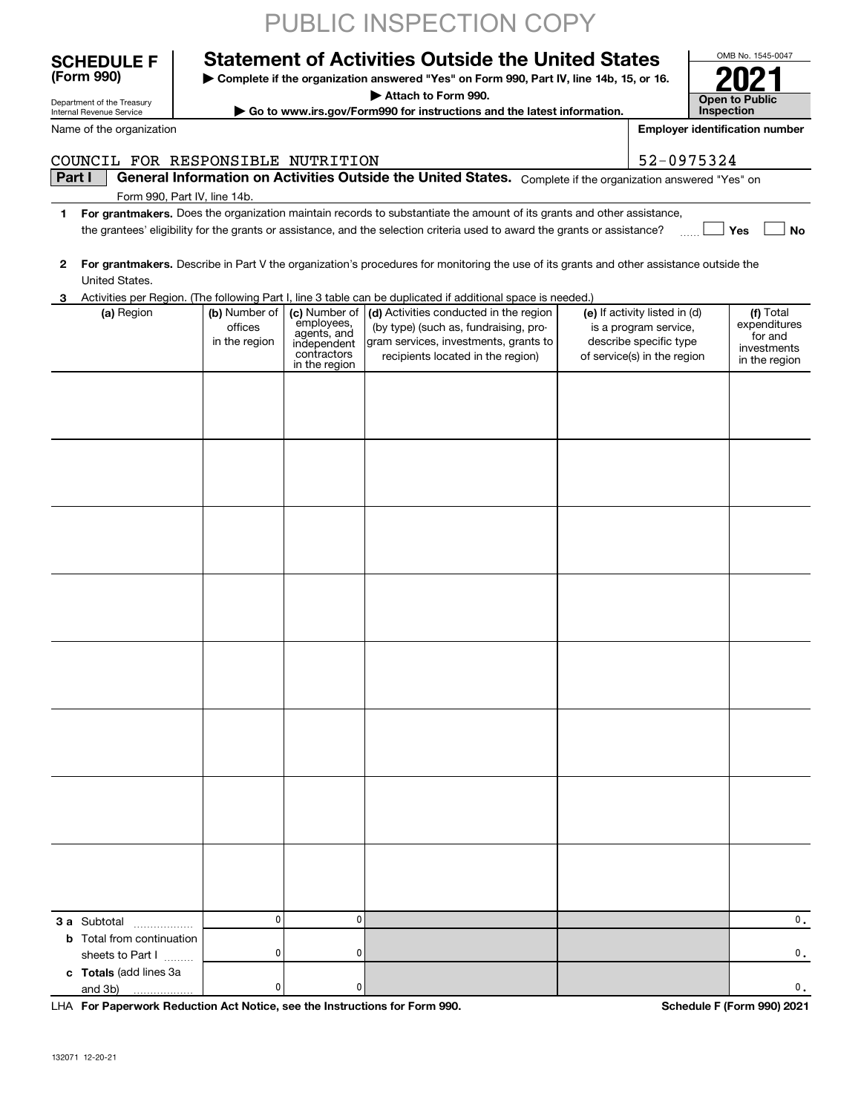|              | Department of the Treasury<br>Internal Revenue Service                                |                                           |                                                                                           | Go to www.irs.gov/Form990 for instructions and the latest information.                                                                                        |                                                                                                                 | Inspection                                                           |
|--------------|---------------------------------------------------------------------------------------|-------------------------------------------|-------------------------------------------------------------------------------------------|---------------------------------------------------------------------------------------------------------------------------------------------------------------|-----------------------------------------------------------------------------------------------------------------|----------------------------------------------------------------------|
|              | Name of the organization                                                              |                                           |                                                                                           |                                                                                                                                                               |                                                                                                                 | <b>Employer identification number</b>                                |
|              | COUNCIL FOR RESPONSIBLE NUTRITION                                                     |                                           |                                                                                           |                                                                                                                                                               | 52-0975324                                                                                                      |                                                                      |
| Part I       |                                                                                       |                                           |                                                                                           | General Information on Activities Outside the United States. Complete if the organization answered "Yes" on                                                   |                                                                                                                 |                                                                      |
|              | Form 990, Part IV, line 14b.                                                          |                                           |                                                                                           |                                                                                                                                                               |                                                                                                                 |                                                                      |
| 1            |                                                                                       |                                           |                                                                                           | For grantmakers. Does the organization maintain records to substantiate the amount of its grants and other assistance,                                        |                                                                                                                 |                                                                      |
|              |                                                                                       |                                           |                                                                                           | the grantees' eligibility for the grants or assistance, and the selection criteria used to award the grants or assistance?                                    |                                                                                                                 | Yes<br>No                                                            |
| $\mathbf{2}$ | United States.                                                                        |                                           |                                                                                           | For grantmakers. Describe in Part V the organization's procedures for monitoring the use of its grants and other assistance outside the                       |                                                                                                                 |                                                                      |
| З            |                                                                                       |                                           |                                                                                           | Activities per Region. (The following Part I, line 3 table can be duplicated if additional space is needed.)                                                  |                                                                                                                 |                                                                      |
|              | (a) Region                                                                            | (b) Number of<br>offices<br>in the region | (c) Number of<br>employees,<br>agents, and<br>independent<br>contractors<br>in the region | (d) Activities conducted in the region<br>(by type) (such as, fundraising, pro-<br>gram services, investments, grants to<br>recipients located in the region) | (e) If activity listed in (d)<br>is a program service,<br>describe specific type<br>of service(s) in the region | (f) Total<br>expenditures<br>for and<br>investments<br>in the region |
|              |                                                                                       |                                           |                                                                                           |                                                                                                                                                               |                                                                                                                 |                                                                      |
|              |                                                                                       |                                           |                                                                                           |                                                                                                                                                               |                                                                                                                 |                                                                      |
|              |                                                                                       |                                           |                                                                                           |                                                                                                                                                               |                                                                                                                 |                                                                      |
|              |                                                                                       |                                           |                                                                                           |                                                                                                                                                               |                                                                                                                 |                                                                      |
|              |                                                                                       |                                           |                                                                                           |                                                                                                                                                               |                                                                                                                 |                                                                      |
|              |                                                                                       |                                           |                                                                                           |                                                                                                                                                               |                                                                                                                 |                                                                      |
|              |                                                                                       |                                           |                                                                                           |                                                                                                                                                               |                                                                                                                 |                                                                      |
|              |                                                                                       |                                           |                                                                                           |                                                                                                                                                               |                                                                                                                 |                                                                      |
|              |                                                                                       |                                           |                                                                                           |                                                                                                                                                               |                                                                                                                 |                                                                      |
|              |                                                                                       |                                           |                                                                                           |                                                                                                                                                               |                                                                                                                 |                                                                      |
| b            | 3 a Subtotal<br>.<br>Total from continuation                                          | $\mathbf{0}$                              | 0                                                                                         |                                                                                                                                                               |                                                                                                                 | 0.                                                                   |
|              | sheets to Part I<br>c Totals (add lines 3a                                            | 0<br>$\mathbf{0}$                         | 0<br>0                                                                                    |                                                                                                                                                               |                                                                                                                 | 0.<br>0.                                                             |
|              | and 3b)<br>LHA For Paperwork Reduction Act Notice, see the Instructions for Form 990. |                                           |                                                                                           |                                                                                                                                                               |                                                                                                                 | Schedule F (Form 990) 2021                                           |

OMB No. 1545-0047

**2021**

**Open to Public** 

Department of the Treasury

**(Form 990)**

## PUBLIC INSPECTION COPY

**| Complete if the organization answered "Yes" on Form 990, Part IV, line 14b, 15, or 16. | Attach to Form 990.**

**Statement of Activities Outside the United States**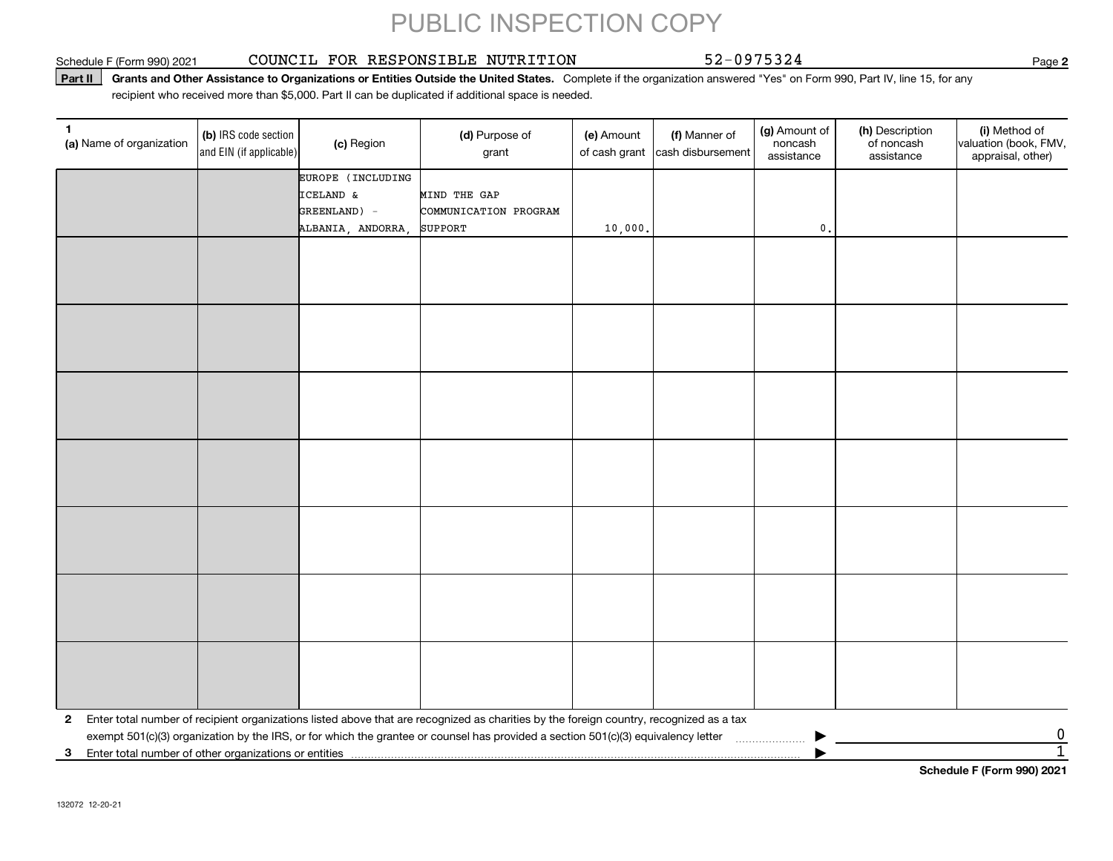#### Schedule F (Form 990) 2021 COUNCIL FOR RESPONSIBLE NUTRITION 52-0 9 7 5 3 2 4 Page

**2**

**Part II** Grants and Other Assistance to Organizations or Entities Outside the United States. Complete if the organization answered "Yes" on Form 990, Part IV, line 15, for any<br>recisiont who received more than \$5,000. Part recipient who received more than \$5,000. Part II can be duplicated if additional space is needed.

| 1<br>(a) Name of organization                              | (b) IRS code section<br>and EIN (if applicable) | (c) Region        | (d) Purpose of<br>grant                                                                                                                 | (e) Amount<br>of cash grant | (f) Manner of<br>cash disbursement | (g) Amount of<br>noncash<br>assistance | (h) Description<br>of noncash<br>assistance | (i) Method of<br>valuation (book, FMV,<br>appraisal, other) |
|------------------------------------------------------------|-------------------------------------------------|-------------------|-----------------------------------------------------------------------------------------------------------------------------------------|-----------------------------|------------------------------------|----------------------------------------|---------------------------------------------|-------------------------------------------------------------|
|                                                            |                                                 | EUROPE (INCLUDING |                                                                                                                                         |                             |                                    |                                        |                                             |                                                             |
|                                                            |                                                 | ICELAND &         | MIND THE GAP                                                                                                                            |                             |                                    |                                        |                                             |                                                             |
|                                                            |                                                 | GREENLAND) -      | COMMUNICATION PROGRAM                                                                                                                   |                             |                                    |                                        |                                             |                                                             |
|                                                            |                                                 | ALBANIA, ANDORRA, | <b>SUPPORT</b>                                                                                                                          | 10,000.                     |                                    | $\mathfrak o$ .                        |                                             |                                                             |
|                                                            |                                                 |                   |                                                                                                                                         |                             |                                    |                                        |                                             |                                                             |
|                                                            |                                                 |                   |                                                                                                                                         |                             |                                    |                                        |                                             |                                                             |
|                                                            |                                                 |                   |                                                                                                                                         |                             |                                    |                                        |                                             |                                                             |
|                                                            |                                                 |                   |                                                                                                                                         |                             |                                    |                                        |                                             |                                                             |
|                                                            |                                                 |                   |                                                                                                                                         |                             |                                    |                                        |                                             |                                                             |
|                                                            |                                                 |                   |                                                                                                                                         |                             |                                    |                                        |                                             |                                                             |
|                                                            |                                                 |                   |                                                                                                                                         |                             |                                    |                                        |                                             |                                                             |
|                                                            |                                                 |                   |                                                                                                                                         |                             |                                    |                                        |                                             |                                                             |
|                                                            |                                                 |                   |                                                                                                                                         |                             |                                    |                                        |                                             |                                                             |
|                                                            |                                                 |                   |                                                                                                                                         |                             |                                    |                                        |                                             |                                                             |
|                                                            |                                                 |                   |                                                                                                                                         |                             |                                    |                                        |                                             |                                                             |
|                                                            |                                                 |                   |                                                                                                                                         |                             |                                    |                                        |                                             |                                                             |
|                                                            |                                                 |                   |                                                                                                                                         |                             |                                    |                                        |                                             |                                                             |
|                                                            |                                                 |                   |                                                                                                                                         |                             |                                    |                                        |                                             |                                                             |
|                                                            |                                                 |                   |                                                                                                                                         |                             |                                    |                                        |                                             |                                                             |
|                                                            |                                                 |                   |                                                                                                                                         |                             |                                    |                                        |                                             |                                                             |
|                                                            |                                                 |                   |                                                                                                                                         |                             |                                    |                                        |                                             |                                                             |
|                                                            |                                                 |                   |                                                                                                                                         |                             |                                    |                                        |                                             |                                                             |
|                                                            |                                                 |                   |                                                                                                                                         |                             |                                    |                                        |                                             |                                                             |
|                                                            |                                                 |                   |                                                                                                                                         |                             |                                    |                                        |                                             |                                                             |
|                                                            |                                                 |                   |                                                                                                                                         |                             |                                    |                                        |                                             |                                                             |
|                                                            |                                                 |                   |                                                                                                                                         |                             |                                    |                                        |                                             |                                                             |
|                                                            |                                                 |                   |                                                                                                                                         |                             |                                    |                                        |                                             |                                                             |
|                                                            |                                                 |                   |                                                                                                                                         |                             |                                    |                                        |                                             |                                                             |
| $\mathbf{2}$                                               |                                                 |                   | Enter total number of recipient organizations listed above that are recognized as charities by the foreign country, recognized as a tax |                             |                                    |                                        |                                             |                                                             |
|                                                            |                                                 |                   | exempt 501(c)(3) organization by the IRS, or for which the grantee or counsel has provided a section 501(c)(3) equivalency letter       |                             |                                    |                                        |                                             | $\overline{0}$                                              |
| Enter total number of other organizations or entities<br>3 |                                                 |                   |                                                                                                                                         |                             |                                    |                                        |                                             | $\overline{1}$                                              |
|                                                            |                                                 |                   |                                                                                                                                         |                             |                                    |                                        |                                             | Cahadula E (Fauna 000) 0004                                 |

**Schedule F (Form 990) 2021**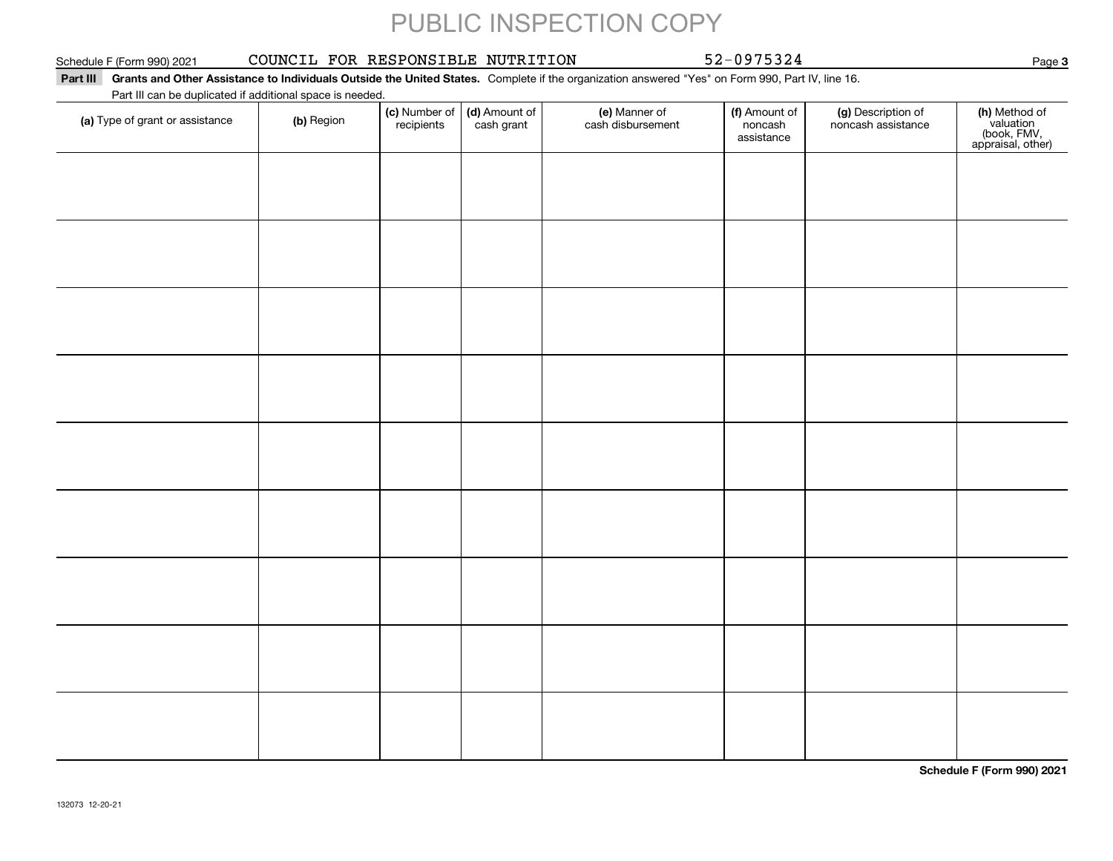#### Schedule F (Form 990) 2021 COUNCIL FOR RESPONSIBLE NUTRITION 52-0 9 7 5 3 2 4 Page

#### **Part III Grants and Other Assistance to Individuals Outside the United States.**  Complete if the organization answered "Yes" on Form 990, Part IV, line 16. Part III can be duplicated if additional space is needed.

| Part in can be duplicated if additional space is needed.<br>(a) Type of grant or assistance | (b) Region | (c) Number of<br>recipients | (d) Amount of<br>cash grant | (e) Manner of<br>cash disbursement | (f) Amount of<br>noncash<br>assistance | (g) Description of<br>noncash assistance | (h) Method of<br>valuation<br>(book, FMV,<br>appraisal, other) |
|---------------------------------------------------------------------------------------------|------------|-----------------------------|-----------------------------|------------------------------------|----------------------------------------|------------------------------------------|----------------------------------------------------------------|
|                                                                                             |            |                             |                             |                                    |                                        |                                          |                                                                |
|                                                                                             |            |                             |                             |                                    |                                        |                                          |                                                                |
|                                                                                             |            |                             |                             |                                    |                                        |                                          |                                                                |
|                                                                                             |            |                             |                             |                                    |                                        |                                          |                                                                |
|                                                                                             |            |                             |                             |                                    |                                        |                                          |                                                                |
|                                                                                             |            |                             |                             |                                    |                                        |                                          |                                                                |
|                                                                                             |            |                             |                             |                                    |                                        |                                          |                                                                |
|                                                                                             |            |                             |                             |                                    |                                        |                                          |                                                                |
|                                                                                             |            |                             |                             |                                    |                                        |                                          |                                                                |
|                                                                                             |            |                             |                             |                                    |                                        |                                          |                                                                |

**Schedule F (Form 990) 2021**

Page 3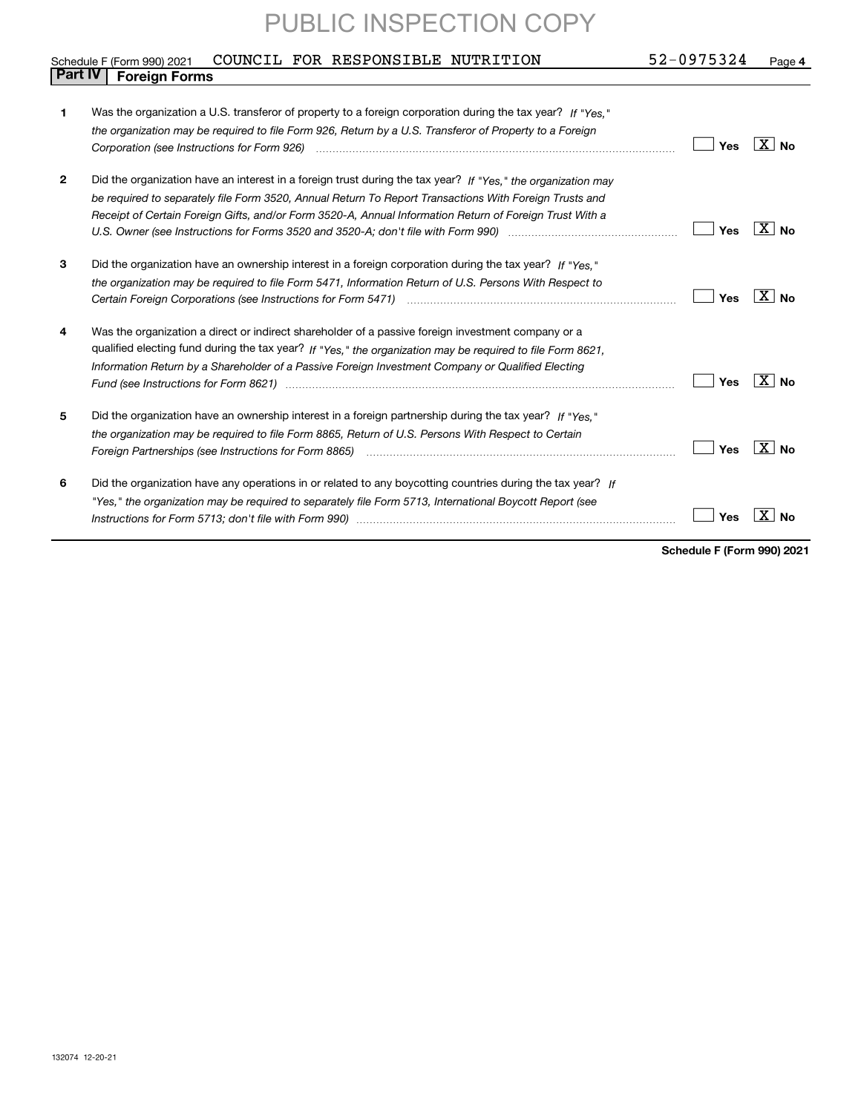| 52-0975324<br>COUNCIL FOR RESPONSIBLE NUTRITION<br>Schedule F (Form 990) 2021<br>Page 4 |                                                                                                                |     |                      |  |  |  |  |  |
|-----------------------------------------------------------------------------------------|----------------------------------------------------------------------------------------------------------------|-----|----------------------|--|--|--|--|--|
| <b>Part IV</b>                                                                          | <b>Foreign Forms</b>                                                                                           |     |                      |  |  |  |  |  |
|                                                                                         |                                                                                                                |     |                      |  |  |  |  |  |
| 1                                                                                       | Was the organization a U.S. transferor of property to a foreign corporation during the tax year? If "Yes."     |     |                      |  |  |  |  |  |
|                                                                                         | the organization may be required to file Form 926, Return by a U.S. Transferor of Property to a Foreign        |     |                      |  |  |  |  |  |
|                                                                                         |                                                                                                                | Yes | $\vert$ X $\vert$ No |  |  |  |  |  |
| $\mathbf{2}$                                                                            | Did the organization have an interest in a foreign trust during the tax year? If "Yes," the organization may   |     |                      |  |  |  |  |  |
|                                                                                         | be required to separately file Form 3520, Annual Return To Report Transactions With Foreign Trusts and         |     |                      |  |  |  |  |  |
|                                                                                         | Receipt of Certain Foreign Gifts, and/or Form 3520-A, Annual Information Return of Foreign Trust With a        |     |                      |  |  |  |  |  |
|                                                                                         |                                                                                                                | Yes | ∣X∣No                |  |  |  |  |  |
| 3                                                                                       | Did the organization have an ownership interest in a foreign corporation during the tax year? If "Yes."        |     |                      |  |  |  |  |  |
|                                                                                         | the organization may be required to file Form 5471, Information Return of U.S. Persons With Respect to         |     |                      |  |  |  |  |  |
|                                                                                         |                                                                                                                | Yes | ∣X∣no                |  |  |  |  |  |
| 4                                                                                       | Was the organization a direct or indirect shareholder of a passive foreign investment company or a             |     |                      |  |  |  |  |  |
|                                                                                         | qualified electing fund during the tax year? If "Yes," the organization may be required to file Form 8621,     |     |                      |  |  |  |  |  |
|                                                                                         | Information Return by a Shareholder of a Passive Foreign Investment Company or Qualified Electing              |     |                      |  |  |  |  |  |
|                                                                                         | Fund (see Instructions for Form 8621) manufactured control to the control of the control of the control of the | Yes | $\overline{X}$   No  |  |  |  |  |  |
| 5                                                                                       | Did the organization have an ownership interest in a foreign partnership during the tax year? If "Yes."        |     |                      |  |  |  |  |  |
|                                                                                         | the organization may be required to file Form 8865, Return of U.S. Persons With Respect to Certain             |     |                      |  |  |  |  |  |
|                                                                                         | Foreign Partnerships (see Instructions for Form 8865) manufactured content content content for the content of  | Yes | ∣X∣ No               |  |  |  |  |  |
| 6                                                                                       | Did the organization have any operations in or related to any boycotting countries during the tax year? If     |     |                      |  |  |  |  |  |
|                                                                                         | "Yes," the organization may be reguired to separately file Form 5713, International Boycott Report (see        |     |                      |  |  |  |  |  |
|                                                                                         |                                                                                                                | Yes |                      |  |  |  |  |  |
|                                                                                         |                                                                                                                |     |                      |  |  |  |  |  |

**Schedule F (Form 990) 2021**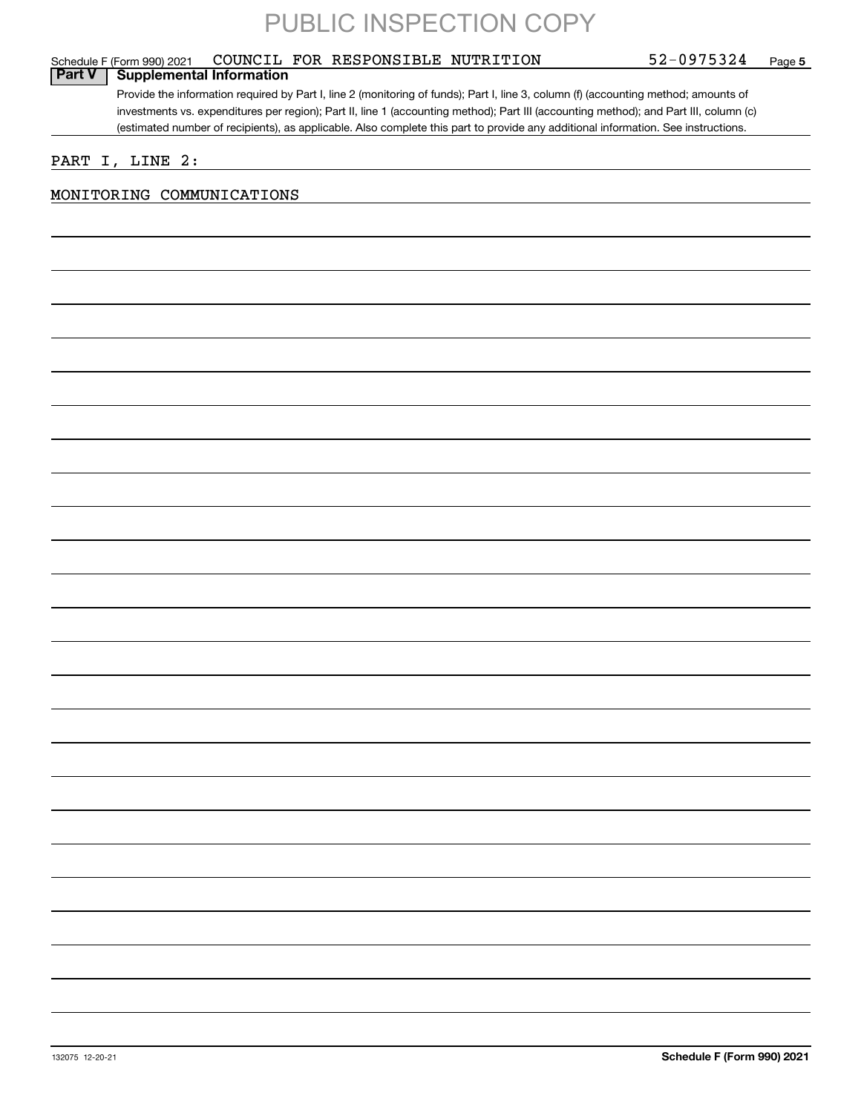### Provide the information required by Part I, line 2 (monitoring of funds); Part I, line 3, column (f) (accounting method; amounts of investments vs. expenditures per region); Part II, line 1 (accounting method); Part III (accounting method); and Part III, column (c) (estimated number of recipients), as applicable. Also complete this part to provide any additional information. See instructions. **Part V Supplemental Information**

PART I, LINE 2:

### MONITORING COMMUNICATIONS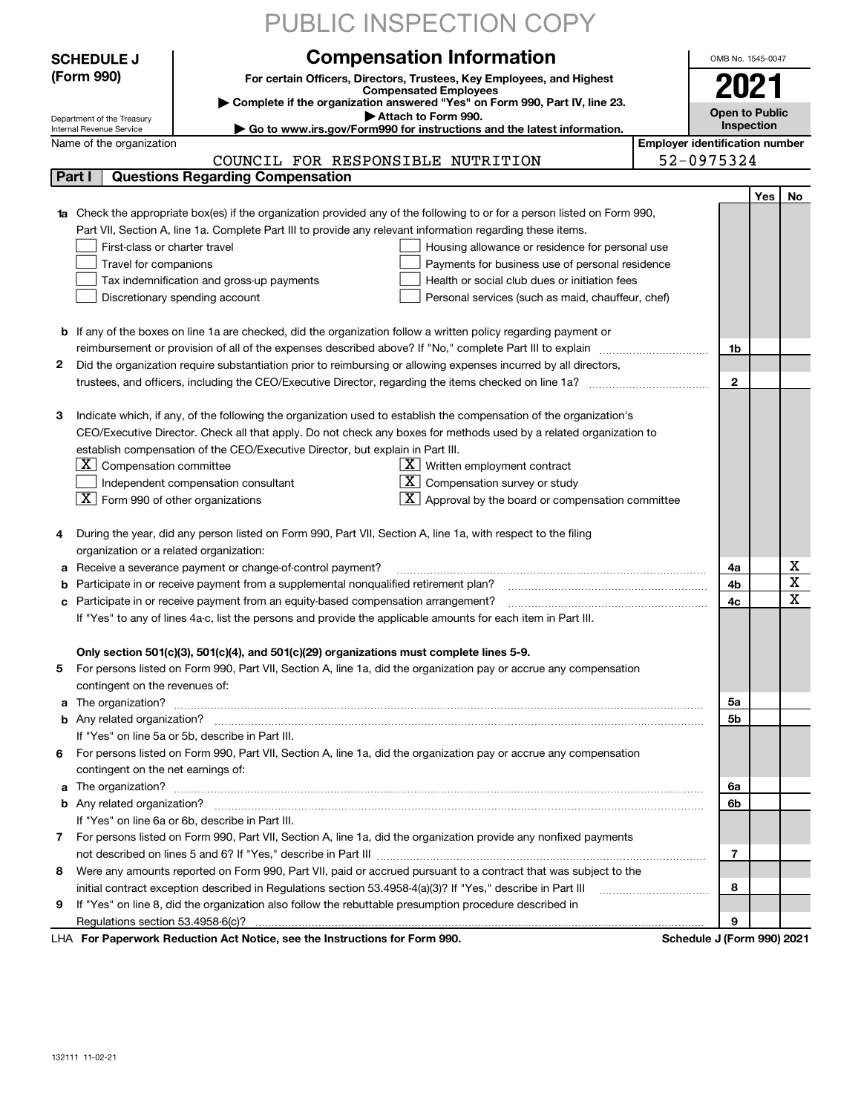|   |                                                                          | PUBLIC INSPECTION COPY                                                                                                           |                                       |                            |     |                         |  |
|---|--------------------------------------------------------------------------|----------------------------------------------------------------------------------------------------------------------------------|---------------------------------------|----------------------------|-----|-------------------------|--|
|   | <b>SCHEDULE J</b>                                                        | <b>Compensation Information</b>                                                                                                  |                                       | OMB No. 1545-0047          |     |                         |  |
|   | (Form 990)                                                               | For certain Officers, Directors, Trustees, Key Employees, and Highest                                                            |                                       |                            |     |                         |  |
|   |                                                                          | <b>Compensated Employees</b>                                                                                                     |                                       |                            |     |                         |  |
|   |                                                                          | Complete if the organization answered "Yes" on Form 990, Part IV, line 23.<br>Attach to Form 990.                                |                                       | <b>Open to Public</b>      |     |                         |  |
|   | Department of the Treasury<br>Internal Revenue Service                   | Go to www.irs.gov/Form990 for instructions and the latest information.                                                           |                                       | Inspection                 |     |                         |  |
|   | Name of the organization                                                 |                                                                                                                                  | <b>Employer identification number</b> |                            |     |                         |  |
|   |                                                                          | COUNCIL FOR RESPONSIBLE NUTRITION                                                                                                |                                       | 52-0975324                 |     |                         |  |
|   | Part I                                                                   | <b>Questions Regarding Compensation</b>                                                                                          |                                       |                            |     |                         |  |
|   |                                                                          |                                                                                                                                  |                                       |                            | Yes | No                      |  |
|   |                                                                          | <b>1a</b> Check the appropriate box(es) if the organization provided any of the following to or for a person listed on Form 990, |                                       |                            |     |                         |  |
|   |                                                                          | Part VII, Section A, line 1a. Complete Part III to provide any relevant information regarding these items.                       |                                       |                            |     |                         |  |
|   | First-class or charter travel                                            | Housing allowance or residence for personal use                                                                                  |                                       |                            |     |                         |  |
|   | Travel for companions<br>Payments for business use of personal residence |                                                                                                                                  |                                       |                            |     |                         |  |
|   |                                                                          | Tax indemnification and gross-up payments<br>Health or social club dues or initiation fees                                       |                                       |                            |     |                         |  |
|   |                                                                          | Discretionary spending account<br>Personal services (such as maid, chauffeur, chef)                                              |                                       |                            |     |                         |  |
|   |                                                                          |                                                                                                                                  |                                       |                            |     |                         |  |
|   |                                                                          | <b>b</b> If any of the boxes on line 1a are checked, did the organization follow a written policy regarding payment or           |                                       |                            |     |                         |  |
|   |                                                                          | reimbursement or provision of all of the expenses described above? If "No," complete Part III to explain                         |                                       | 1b                         |     |                         |  |
| 2 |                                                                          | Did the organization require substantiation prior to reimbursing or allowing expenses incurred by all directors,                 |                                       |                            |     |                         |  |
|   |                                                                          | trustees, and officers, including the CEO/Executive Director, regarding the items checked on line 1a?                            |                                       | $\mathbf{2}$               |     |                         |  |
|   |                                                                          |                                                                                                                                  |                                       |                            |     |                         |  |
| з |                                                                          | Indicate which, if any, of the following the organization used to establish the compensation of the organization's               |                                       |                            |     |                         |  |
|   |                                                                          | CEO/Executive Director. Check all that apply. Do not check any boxes for methods used by a related organization to               |                                       |                            |     |                         |  |
|   |                                                                          | establish compensation of the CEO/Executive Director, but explain in Part III.                                                   |                                       |                            |     |                         |  |
|   | $ \mathbf{X} $ Compensation committee                                    | $\lfloor x \rfloor$ Written employment contract                                                                                  |                                       |                            |     |                         |  |
|   |                                                                          | $\lfloor \underline{X} \rfloor$ Compensation survey or study<br>Independent compensation consultant                              |                                       |                            |     |                         |  |
|   | $\boxed{\textbf{X}}$ Form 990 of other organizations                     | $X$ Approval by the board or compensation committee                                                                              |                                       |                            |     |                         |  |
| 4 |                                                                          | During the year, did any person listed on Form 990, Part VII, Section A, line 1a, with respect to the filing                     |                                       |                            |     |                         |  |
|   | organization or a related organization:                                  |                                                                                                                                  |                                       |                            |     |                         |  |
|   |                                                                          | Receive a severance payment or change-of-control payment?                                                                        |                                       | 4a                         |     | х                       |  |
| b |                                                                          | Participate in or receive payment from a supplemental nonqualified retirement plan?                                              |                                       | 4b                         |     | $\overline{\textbf{X}}$ |  |
| c |                                                                          | Participate in or receive payment from an equity-based compensation arrangement?                                                 |                                       | 4c                         |     | $\mathbf x$             |  |
|   |                                                                          | If "Yes" to any of lines 4a-c, list the persons and provide the applicable amounts for each item in Part III.                    |                                       |                            |     |                         |  |
|   |                                                                          |                                                                                                                                  |                                       |                            |     |                         |  |
|   |                                                                          | Only section 501(c)(3), 501(c)(4), and 501(c)(29) organizations must complete lines 5-9.                                         |                                       |                            |     |                         |  |
| 5 |                                                                          | For persons listed on Form 990, Part VII, Section A, line 1a, did the organization pay or accrue any compensation                |                                       |                            |     |                         |  |
|   | contingent on the revenues of:                                           |                                                                                                                                  |                                       |                            |     |                         |  |
| a |                                                                          | The organization? <b>With the organization? With the organization?</b>                                                           |                                       | 5a                         |     |                         |  |
| b |                                                                          |                                                                                                                                  |                                       | 5b                         |     |                         |  |
|   |                                                                          | If "Yes" on line 5a or 5b, describe in Part III.                                                                                 |                                       |                            |     |                         |  |
| 6 |                                                                          | For persons listed on Form 990, Part VII, Section A, line 1a, did the organization pay or accrue any compensation                |                                       |                            |     |                         |  |
|   | contingent on the net earnings of:                                       |                                                                                                                                  |                                       |                            |     |                         |  |
| a |                                                                          |                                                                                                                                  |                                       |                            |     |                         |  |
|   |                                                                          |                                                                                                                                  |                                       |                            |     |                         |  |
|   | If "Yes" on line 6a or 6b, describe in Part III.                         |                                                                                                                                  |                                       |                            |     |                         |  |
|   |                                                                          | 7 For persons listed on Form 990, Part VII, Section A, line 1a, did the organization provide any nonfixed payments               |                                       |                            |     |                         |  |
|   |                                                                          |                                                                                                                                  |                                       | 7                          |     |                         |  |
| 8 |                                                                          | Were any amounts reported on Form 990, Part VII, paid or accrued pursuant to a contract that was subject to the                  |                                       |                            |     |                         |  |
|   |                                                                          | initial contract exception described in Regulations section 53.4958-4(a)(3)? If "Yes," describe in Part III                      |                                       | 8                          |     |                         |  |
| 9 |                                                                          | If "Yes" on line 8, did the organization also follow the rebuttable presumption procedure described in                           |                                       |                            |     |                         |  |
|   |                                                                          |                                                                                                                                  |                                       | 9                          |     |                         |  |
|   |                                                                          | LHA For Paperwork Reduction Act Notice, see the Instructions for Form 990.                                                       |                                       | Schedule J (Form 990) 2021 |     |                         |  |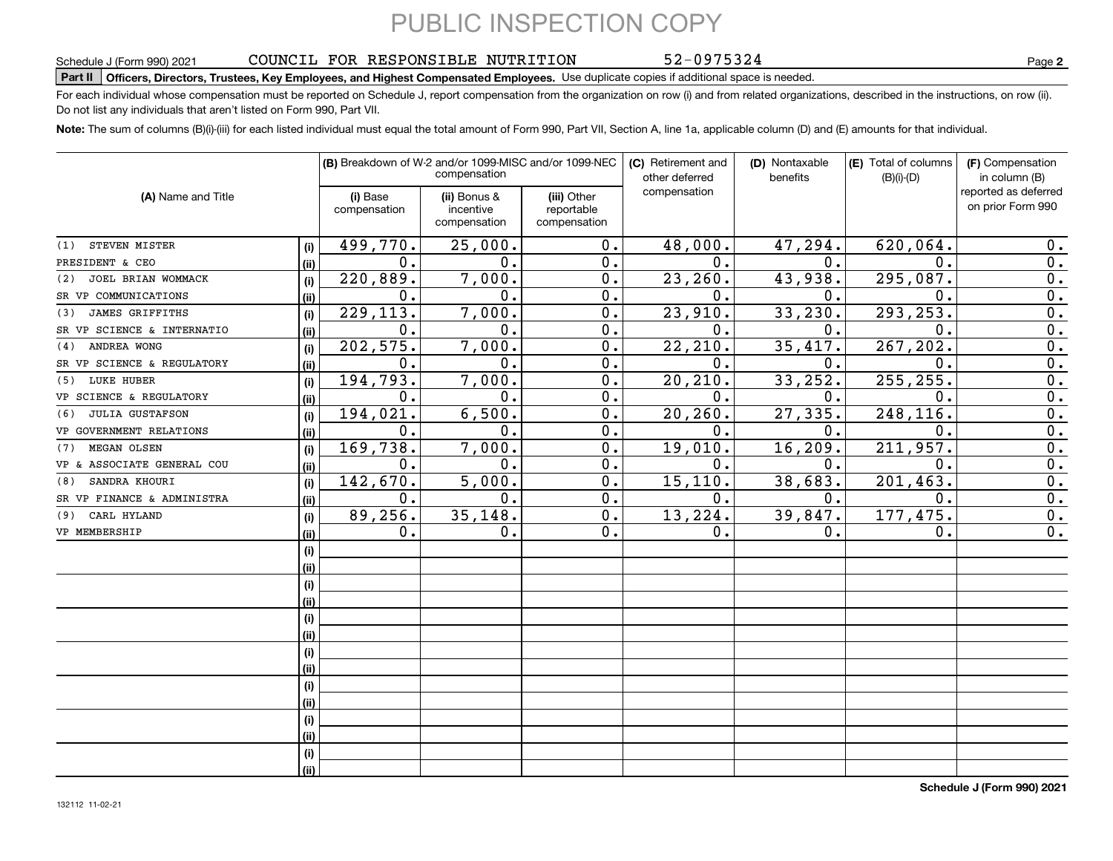### COUNCIL FOR RESPONSIBLE NUTRITION

52-0975324

**2**

### Schedule J (Form 990) 2021 COUNCILI FOR RESPONSIBLE NUTRITION Page<br>Part II │Officers, Directors, Trustees, Key Employees, and Highest Compensated Employees. Use duplicate copies if additio

For each individual whose compensation must be reported on Schedule J, report compensation from the organization on row (i) and from related organizations, described in the instructions, on row (ii). Do not list any individuals that aren't listed on Form 990, Part VII.

**Note:**  The sum of columns (B)(i)-(iii) for each listed individual must equal the total amount of Form 990, Part VII, Section A, line 1a, applicable column (D) and (E) amounts for that individual.

|                               |      |                          | (B) Breakdown of W-2 and/or 1099-MISC and/or 1099-NEC<br>compensation |                                           | (C) Retirement and<br>other deferred | (D) Nontaxable<br>benefits | (E) Total of columns<br>$(B)(i)-(D)$ | (F) Compensation<br>in column (B)         |
|-------------------------------|------|--------------------------|-----------------------------------------------------------------------|-------------------------------------------|--------------------------------------|----------------------------|--------------------------------------|-------------------------------------------|
| (A) Name and Title            |      | (i) Base<br>compensation | (ii) Bonus &<br>incentive<br>compensation                             | (iii) Other<br>reportable<br>compensation | compensation                         |                            |                                      | reported as deferred<br>on prior Form 990 |
| STEVEN MISTER<br>(1)          | (i)  | 499,770.                 | 25,000.                                                               | 0.                                        | 48,000.                              | 47,294.                    | 620,064.                             | 0.                                        |
| PRESIDENT & CEO               | (ii) | $\mathbf{0}$ .           | 0.                                                                    | 0.                                        | $\mathbf{0}$ .                       | 0.                         | $\Omega$ .                           | 0.                                        |
| JOEL BRIAN WOMMACK<br>(2)     | (i)  | 220,889.                 | 7,000.                                                                | 0.                                        | 23, 260.                             | 43,938.                    | 295,087.                             | 0.                                        |
| SR VP COMMUNICATIONS          | (ii) | $\mathbf{0}$ .           | 0.                                                                    | 0.                                        | 0.                                   | 0.                         | 0.                                   | 0.                                        |
| <b>JAMES GRIFFITHS</b><br>(3) | (i)  | 229, 113.                | 7,000.                                                                | 0.                                        | 23,910.                              | 33, 230.                   | 293, 253.                            | 0.                                        |
| SR VP SCIENCE & INTERNATIO    | (ii) | $\mathbf 0$ .            | 0.                                                                    | 0.                                        | 0.                                   | 0.                         | 0.                                   | 0.                                        |
| ANDREA WONG<br>(4)            | (i)  | 202,575.                 | 7,000.                                                                | 0.                                        | 22,210.                              | 35,417.                    | 267,202.                             | 0.                                        |
| SR VP SCIENCE & REGULATORY    | (ii) | $\mathbf{0}$ .           | 0.                                                                    | 0.                                        | $\mathbf{0}$ .                       | 0.                         | $\mathbf 0$ .                        | 0.                                        |
| LUKE HUBER<br>(5)             | (i)  | 194,793.                 | 7,000.                                                                | $\overline{0}$ .                          | 20, 210.                             | 33,252.                    | 255, 255.                            | 0.                                        |
| VP SCIENCE & REGULATORY       | (i)  | $\mathbf 0$ .            | 0.                                                                    | 0.                                        | $\mathbf{0}$ .                       | 0.                         | 0.                                   | 0.                                        |
| <b>JULIA GUSTAFSON</b><br>(6) | (i)  | 194,021.                 | 6,500.                                                                | 0.                                        | 20, 260.                             | 27,335.                    | 248,116.                             | 0.                                        |
| VP GOVERNMENT RELATIONS       | (i)  | 0.                       | 0.                                                                    | 0.                                        | 0.                                   | 0.                         | 0.                                   | 0.                                        |
| MEGAN OLSEN<br>(7)            | (i)  | 169,738.                 | 7,000.                                                                | 0.                                        | 19,010.                              | 16, 209.                   | 211,957.                             | 0.                                        |
| VP & ASSOCIATE GENERAL COU    | (i)  | 0.                       | $\mathbf 0$ .                                                         | 0.                                        | $\mathbf 0$ .                        | 0.                         | 0.                                   | 0.                                        |
| SANDRA KHOURI<br>(8)          | (i)  | 142,670.                 | 5,000.                                                                | $\overline{0}$ .                          | 15, 110.                             | 38,683.                    | 201,463                              | $\overline{0}$ .                          |
| SR VP FINANCE & ADMINISTRA    | (ii) | $\mathbf 0$ .            | $\mathbf 0$ .                                                         | 0.                                        | 0.                                   | 0.                         | $\mathbf 0$ .                        | $\overline{0}$ .                          |
| CARL HYLAND<br>(9)            | (i)  | 89,256.                  | 35, 148.                                                              | 0.                                        | 13,224.                              | 39,847.                    | 177,475.                             | 0.                                        |
| VP MEMBERSHIP                 | (ii) | 0.                       | 0.                                                                    | 0.                                        | 0.                                   | 0.                         | $\mathbf 0$ .                        | 0.                                        |
|                               | (i)  |                          |                                                                       |                                           |                                      |                            |                                      |                                           |
|                               | (i)  |                          |                                                                       |                                           |                                      |                            |                                      |                                           |
|                               | (i)  |                          |                                                                       |                                           |                                      |                            |                                      |                                           |
|                               | (i)  |                          |                                                                       |                                           |                                      |                            |                                      |                                           |
|                               | (i)  |                          |                                                                       |                                           |                                      |                            |                                      |                                           |
|                               | (i)  |                          |                                                                       |                                           |                                      |                            |                                      |                                           |
|                               | (i)  |                          |                                                                       |                                           |                                      |                            |                                      |                                           |
|                               | (ii) |                          |                                                                       |                                           |                                      |                            |                                      |                                           |
|                               | (i)  |                          |                                                                       |                                           |                                      |                            |                                      |                                           |
|                               | (ii) |                          |                                                                       |                                           |                                      |                            |                                      |                                           |
|                               | (i)  |                          |                                                                       |                                           |                                      |                            |                                      |                                           |
|                               | (i)  |                          |                                                                       |                                           |                                      |                            |                                      |                                           |
|                               | (i)  |                          |                                                                       |                                           |                                      |                            |                                      |                                           |
|                               | (ii) |                          |                                                                       |                                           |                                      |                            |                                      |                                           |

**Schedule J (Form 990) 2021**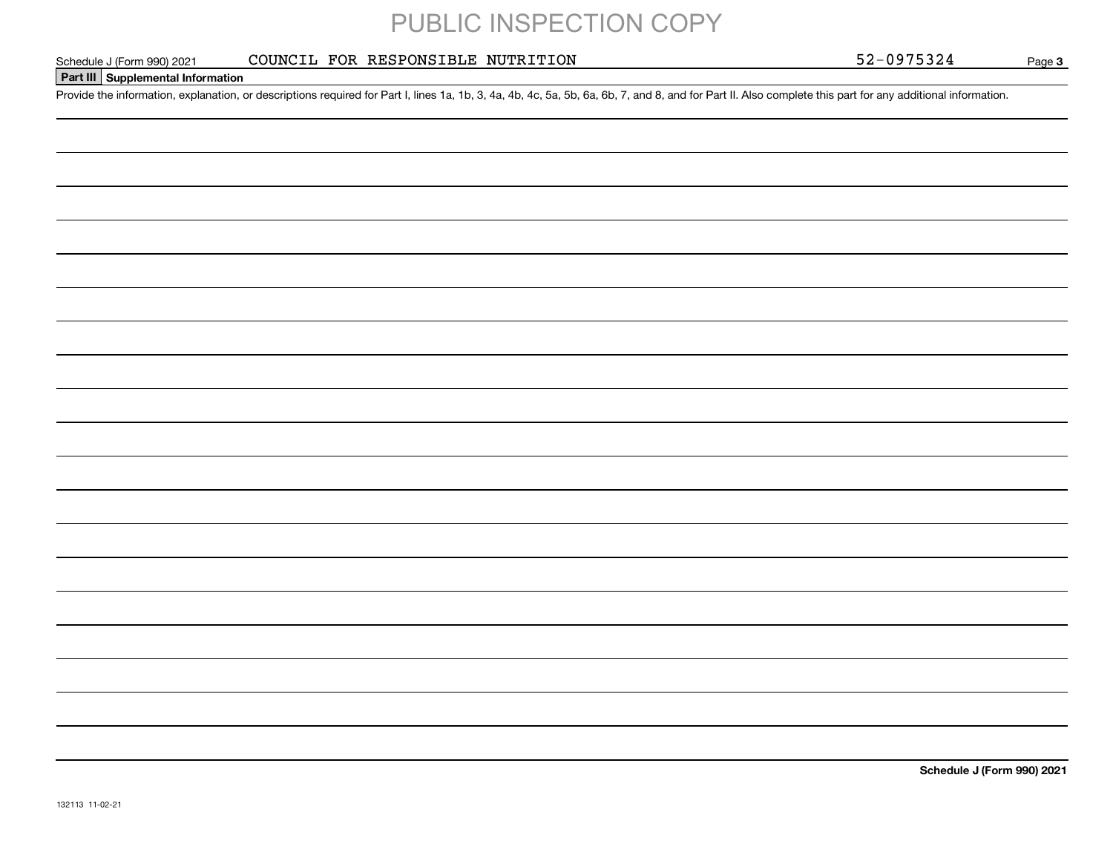COUNCIL FOR RESPONSIBLE NUTRITION

Page 3

### **Part III Supplemental Information**

Schedule J (Form 990) 2021 COUNCIL FOR RESPONSIBLE NUTRITION 52-0975324<br>Part III Supplemental Information<br>Provide the information, explanation, or descriptions required for Part I, lines 1a, 1b, 3, 4a, 4b, 4c, 5a, 5b, 6a,

**Schedule J (Form 990) 2021**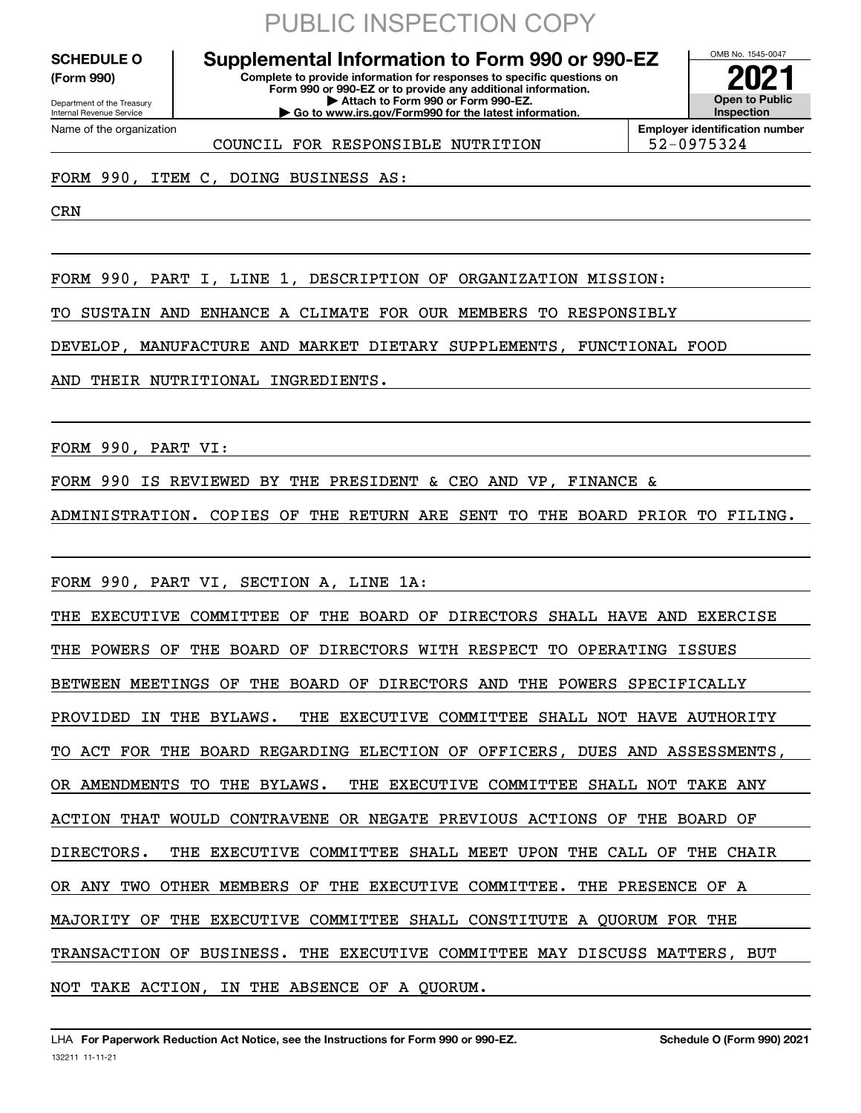**(Form 990)**

Department of the Treasury Internal Revenue Service Name of the organization

## PUBLIC INSPECTION COPY

#### **Complete to provide information for responses to specific questions on Form 990 or 990-EZ or to provide any additional information. | Attach to Form 990 or Form 990-EZ. | Go to www.irs.gov/Form990 for the latest information. SCHEDULE O Supplemental Information to Form 990 or 990-EZ**



COUNCIL FOR RESPONSIBLE NUTRITION 52-0975324

### FORM 990, ITEM C, DOING BUSINESS AS:

CRN

FORM 990, PART I, LINE 1, DESCRIPTION OF ORGANIZATION MISSION:

TO SUSTAIN AND ENHANCE A CLIMATE FOR OUR MEMBERS TO RESPONSIBLY

DEVELOP, MANUFACTURE AND MARKET DIETARY SUPPLEMENTS, FUNCTIONAL FOOD

AND THEIR NUTRITIONAL INGREDIENTS.

FORM 990, PART VI:

FORM 990 IS REVIEWED BY THE PRESIDENT & CEO AND VP, FINANCE &

ADMINISTRATION. COPIES OF THE RETURN ARE SENT TO THE BOARD PRIOR TO FILING.

FORM 990, PART VI, SECTION A, LINE 1A:

THE EXECUTIVE COMMITTEE OF THE BOARD OF DIRECTORS SHALL HAVE AND EXERCISE THE POWERS OF THE BOARD OF DIRECTORS WITH RESPECT TO OPERATING ISSUES BETWEEN MEETINGS OF THE BOARD OF DIRECTORS AND THE POWERS SPECIFICALLY PROVIDED IN THE BYLAWS. THE EXECUTIVE COMMITTEE SHALL NOT HAVE AUTHORITY TO ACT FOR THE BOARD REGARDING ELECTION OF OFFICERS, DUES AND ASSESSMENTS, OR AMENDMENTS TO THE BYLAWS. THE EXECUTIVE COMMITTEE SHALL NOT TAKE ANY ACTION THAT WOULD CONTRAVENE OR NEGATE PREVIOUS ACTIONS OF THE BOARD OF DIRECTORS. THE EXECUTIVE COMMITTEE SHALL MEET UPON THE CALL OF THE CHAIR OR ANY TWO OTHER MEMBERS OF THE EXECUTIVE COMMITTEE. THE PRESENCE OF A MAJORITY OF THE EXECUTIVE COMMITTEE SHALL CONSTITUTE A QUORUM FOR THE TRANSACTION OF BUSINESS. THE EXECUTIVE COMMITTEE MAY DISCUSS MATTERS, BUT NOT TAKE ACTION, IN THE ABSENCE OF A QUORUM.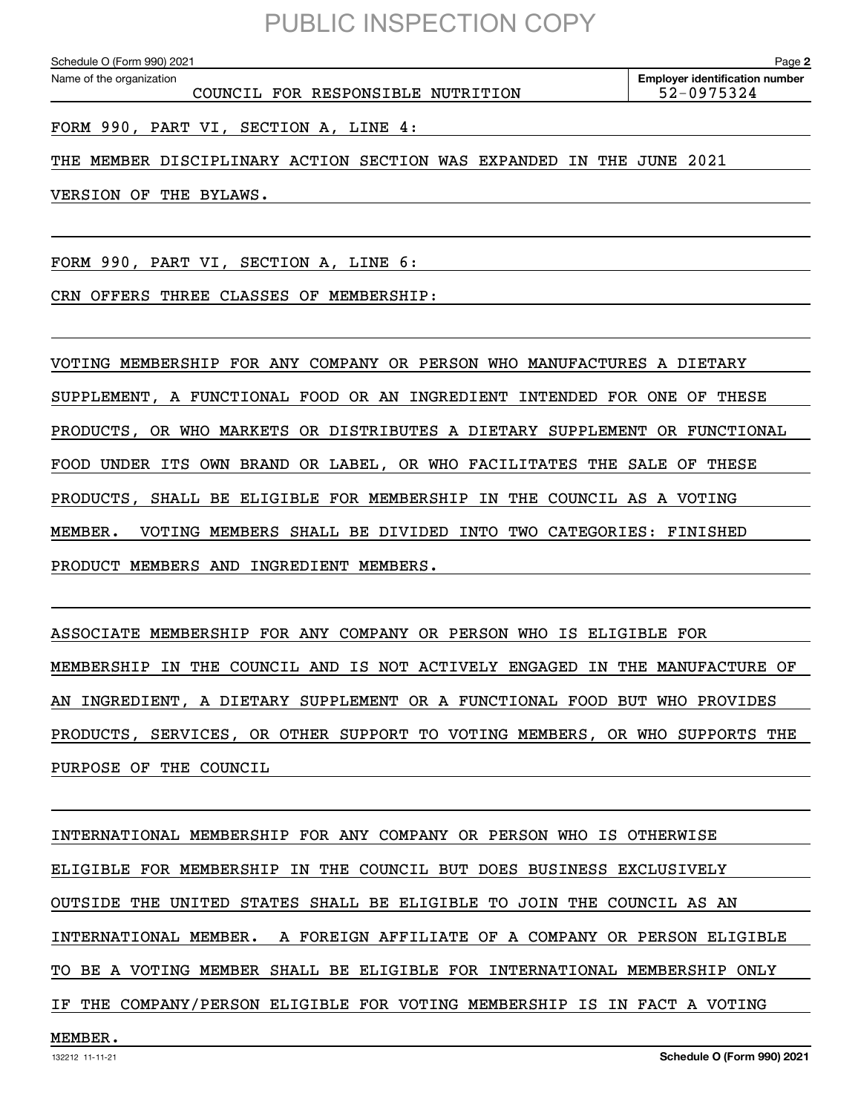COUNCIL FOR RESPONSIBLE NUTRITION 52-0975324

FORM 990, PART VI, SECTION A, LINE 4:

THE MEMBER DISCIPLINARY ACTION SECTION WAS EXPANDED IN THE JUNE 2021

VERSION OF THE BYLAWS.

FORM 990, PART VI, SECTION A, LINE 6:

CRN OFFERS THREE CLASSES OF MEMBERSHIP:

VOTING MEMBERSHIP FOR ANY COMPANY OR PERSON WHO MANUFACTURES A DIETARY SUPPLEMENT, A FUNCTIONAL FOOD OR AN INGREDIENT INTENDED FOR ONE OF THESE PRODUCTS, OR WHO MARKETS OR DISTRIBUTES A DIETARY SUPPLEMENT OR FUNCTIONAL FOOD UNDER ITS OWN BRAND OR LABEL, OR WHO FACILITATES THE SALE OF THESE PRODUCTS, SHALL BE ELIGIBLE FOR MEMBERSHIP IN THE COUNCIL AS A VOTING MEMBER. VOTING MEMBERS SHALL BE DIVIDED INTO TWO CATEGORIES: FINISHED PRODUCT MEMBERS AND INGREDIENT MEMBERS.

ASSOCIATE MEMBERSHIP FOR ANY COMPANY OR PERSON WHO IS ELIGIBLE FOR MEMBERSHIP IN THE COUNCIL AND IS NOT ACTIVELY ENGAGED IN THE MANUFACTURE OF AN INGREDIENT, A DIETARY SUPPLEMENT OR A FUNCTIONAL FOOD BUT WHO PROVIDES PRODUCTS, SERVICES, OR OTHER SUPPORT TO VOTING MEMBERS, OR WHO SUPPORTS THE PURPOSE OF THE COUNCIL

INTERNATIONAL MEMBERSHIP FOR ANY COMPANY OR PERSON WHO IS OTHERWISE ELIGIBLE FOR MEMBERSHIP IN THE COUNCIL BUT DOES BUSINESS EXCLUSIVELY OUTSIDE THE UNITED STATES SHALL BE ELIGIBLE TO JOIN THE COUNCIL AS AN INTERNATIONAL MEMBER. A FOREIGN AFFILIATE OF A COMPANY OR PERSON ELIGIBLE TO BE A VOTING MEMBER SHALL BE ELIGIBLE FOR INTERNATIONAL MEMBERSHIP ONLY IF THE COMPANY/PERSON ELIGIBLE FOR VOTING MEMBERSHIP IS IN FACT A VOTING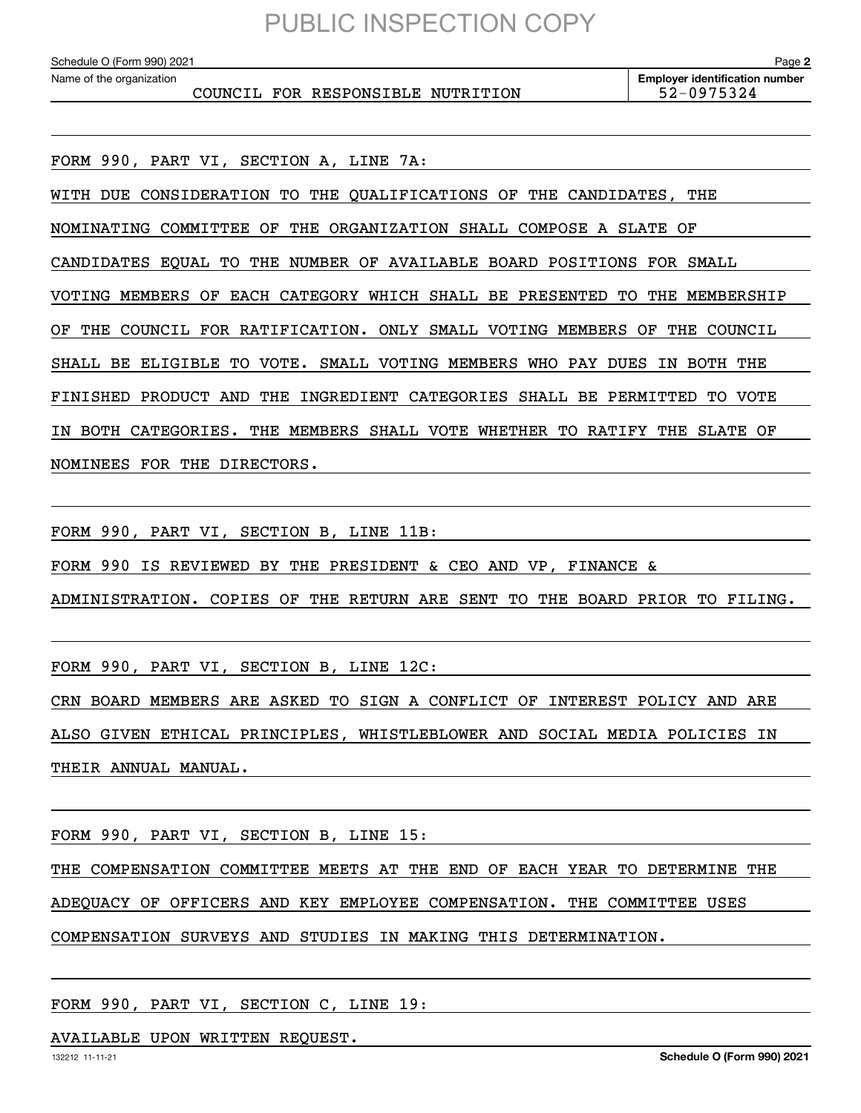COUNCIL FOR RESPONSIBLE NUTRITION 52-0975324

FORM 990, PART VI, SECTION A, LINE 7A:

WITH DUE CONSIDERATION TO THE QUALIFICATIONS OF THE CANDIDATES, THE

NOMINATING COMMITTEE OF THE ORGANIZATION SHALL COMPOSE A SLATE OF

CANDIDATES EQUAL TO THE NUMBER OF AVAILABLE BOARD POSITIONS FOR SMALL

VOTING MEMBERS OF EACH CATEGORY WHICH SHALL BE PRESENTED TO THE MEMBERSHIP

OF THE COUNCIL FOR RATIFICATION. ONLY SMALL VOTING MEMBERS OF THE COUNCIL

SHALL BE ELIGIBLE TO VOTE. SMALL VOTING MEMBERS WHO PAY DUES IN BOTH THE

FINISHED PRODUCT AND THE INGREDIENT CATEGORIES SHALL BE PERMITTED TO VOTE

IN BOTH CATEGORIES. THE MEMBERS SHALL VOTE WHETHER TO RATIFY THE SLATE OF

NOMINEES FOR THE DIRECTORS.

FORM 990, PART VI, SECTION B, LINE 11B:

FORM 990 IS REVIEWED BY THE PRESIDENT & CEO AND VP, FINANCE &

ADMINISTRATION. COPIES OF THE RETURN ARE SENT TO THE BOARD PRIOR TO FILING.

FORM 990, PART VI, SECTION B, LINE 12C:

CRN BOARD MEMBERS ARE ASKED TO SIGN A CONFLICT OF INTEREST POLICY AND ARE ALSO GIVEN ETHICAL PRINCIPLES, WHISTLEBLOWER AND SOCIAL MEDIA POLICIES IN THEIR ANNUAL MANUAL.

FORM 990, PART VI, SECTION B, LINE 15:

THE COMPENSATION COMMITTEE MEETS AT THE END OF EACH YEAR TO DETERMINE THE

ADEQUACY OF OFFICERS AND KEY EMPLOYEE COMPENSATION. THE COMMITTEE USES

COMPENSATION SURVEYS AND STUDIES IN MAKING THIS DETERMINATION.

FORM 990, PART VI, SECTION C, LINE 19:

AVAILABLE UPON WRITTEN REQUEST.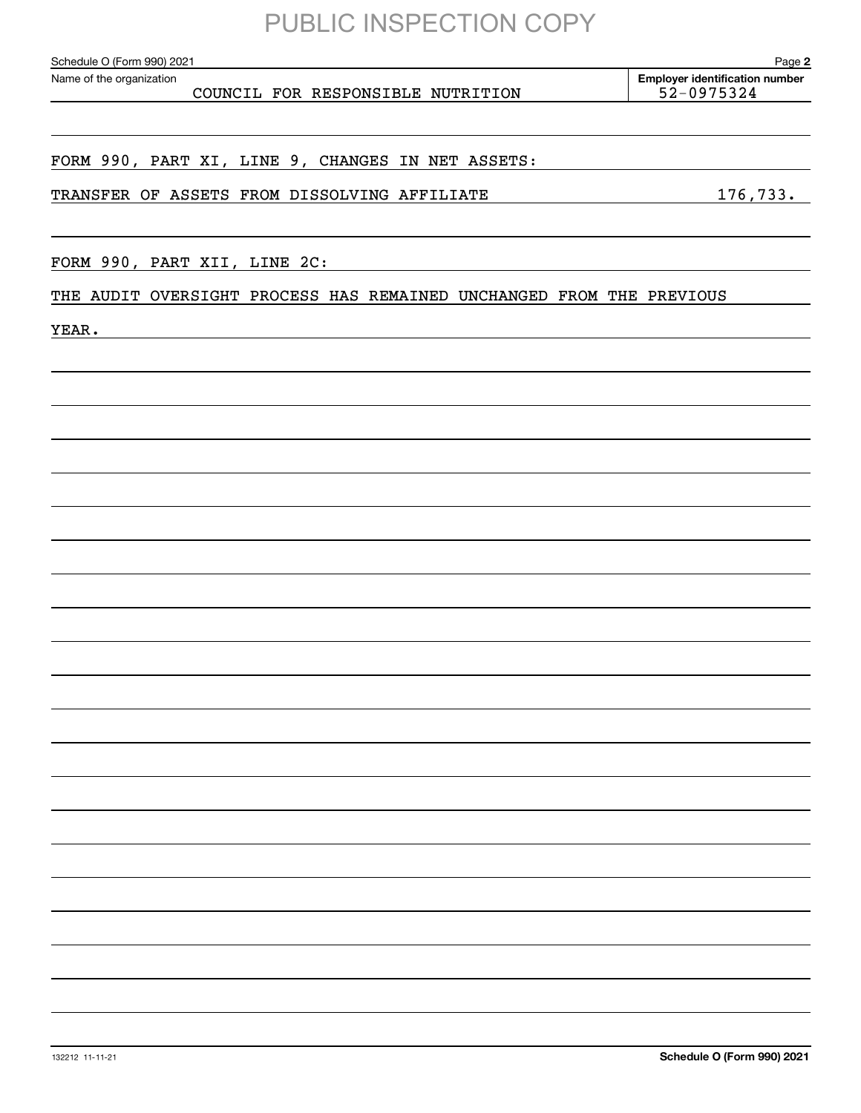COUNCIL FOR RESPONSIBLE NUTRITION 52-0975324

**2 Employer identification number** Schedule O (Form 990) 2021 Page Name of the organization

FORM 990, PART XI, LINE 9, CHANGES IN NET ASSETS:

TRANSFER OF ASSETS FROM DISSOLVING AFFILIATE 176,733.

FORM 990, PART XII, LINE 2C:

THE AUDIT OVERSIGHT PROCESS HAS REMAINED UNCHANGED FROM THE PREVIOUS

YEAR.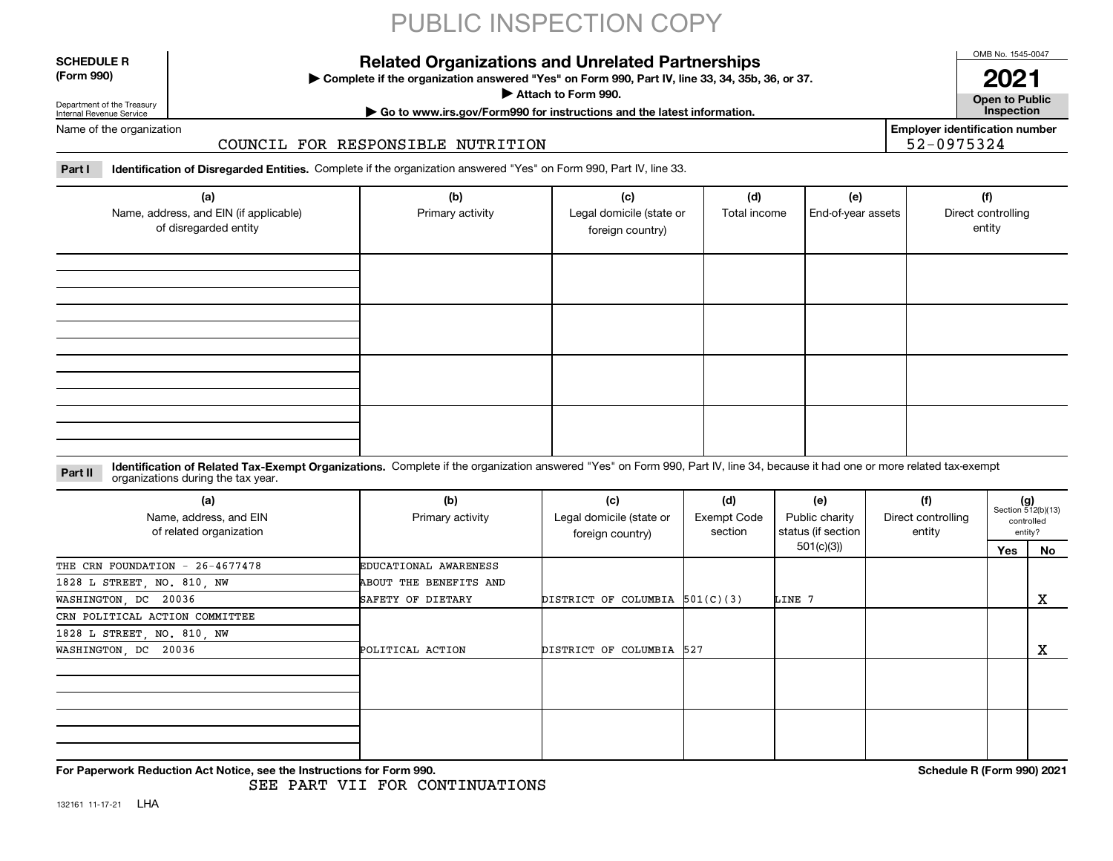#### **SCHEDULE R (Form 990)**

### **Related Organizations and Unrelated Partnerships**

**Complete if the organization answered "Yes" on Form 990, Part IV, line 33, 34, 35b, 36, or 37.** |

**Attach to Form 990.**  |

OMB No. 1545-0047 **2021**

**Open to Public | Go to www.irs.gov/Form990 for instructions and the latest information. Inspection**

**Employer identification number**

52-0975324

Department of the Treasury Internal Revenue Service Name of the organization

### COUNCIL FOR RESPONSIBLE NUTRITION

**Part I Identification of Disregarded Entities.**  Complete if the organization answered "Yes" on Form 990, Part IV, line 33.

| (a)<br>Name, address, and EIN (if applicable)<br>of disregarded entity | (b)<br>Primary activity | (c)<br>Legal domicile (state or<br>foreign country) | (d)<br>Total income | (e)<br>End-of-year assets | (f)<br>Direct controlling<br>entity |
|------------------------------------------------------------------------|-------------------------|-----------------------------------------------------|---------------------|---------------------------|-------------------------------------|
|                                                                        |                         |                                                     |                     |                           |                                     |
|                                                                        |                         |                                                     |                     |                           |                                     |
|                                                                        |                         |                                                     |                     |                           |                                     |
|                                                                        |                         |                                                     |                     |                           |                                     |

#### **Identification of Related Tax-Exempt Organizations.** Complete if the organization answered "Yes" on Form 990, Part IV, line 34, because it had one or more related tax-exempt **Part II** organizations during the tax year.

| (a)<br>Name, address, and EIN<br>of related organization | (b)<br>Primary activity | (c)<br>Legal domicile (state or<br>foreign country) | (d)<br><b>Exempt Code</b><br>section | (e)<br>Public charity<br>status (if section | (f)<br>Direct controlling<br>entity |     | $(g)$<br>Section 512(b)(13)<br>controlled<br>entity? |
|----------------------------------------------------------|-------------------------|-----------------------------------------------------|--------------------------------------|---------------------------------------------|-------------------------------------|-----|------------------------------------------------------|
|                                                          |                         |                                                     |                                      | 501(c)(3))                                  |                                     | Yes | No                                                   |
| THE CRN FOUNDATION - 26-4677478                          | EDUCATIONAL AWARENESS   |                                                     |                                      |                                             |                                     |     |                                                      |
| 1828 L STREET, NO. 810, NW                               | ABOUT THE BENEFITS AND  |                                                     |                                      |                                             |                                     |     |                                                      |
| WASHINGTON, DC 20036                                     | SAFETY OF DIETARY       | DISTRICT OF COLUMBIA $501(C)(3)$                    |                                      | LINE 7                                      |                                     |     | x                                                    |
| CRN POLITICAL ACTION COMMITTEE                           |                         |                                                     |                                      |                                             |                                     |     |                                                      |
| 1828 L STREET, NO. 810, NW                               |                         |                                                     |                                      |                                             |                                     |     |                                                      |
| WASHINGTON, DC 20036                                     | POLITICAL ACTION        | DISTRICT OF COLUMBIA 527                            |                                      |                                             |                                     |     | х                                                    |
|                                                          |                         |                                                     |                                      |                                             |                                     |     |                                                      |
|                                                          |                         |                                                     |                                      |                                             |                                     |     |                                                      |
|                                                          |                         |                                                     |                                      |                                             |                                     |     |                                                      |
|                                                          |                         |                                                     |                                      |                                             |                                     |     |                                                      |

**For Paperwork Reduction Act Notice, see the Instructions for Form 990. Schedule R (Form 990) 2021**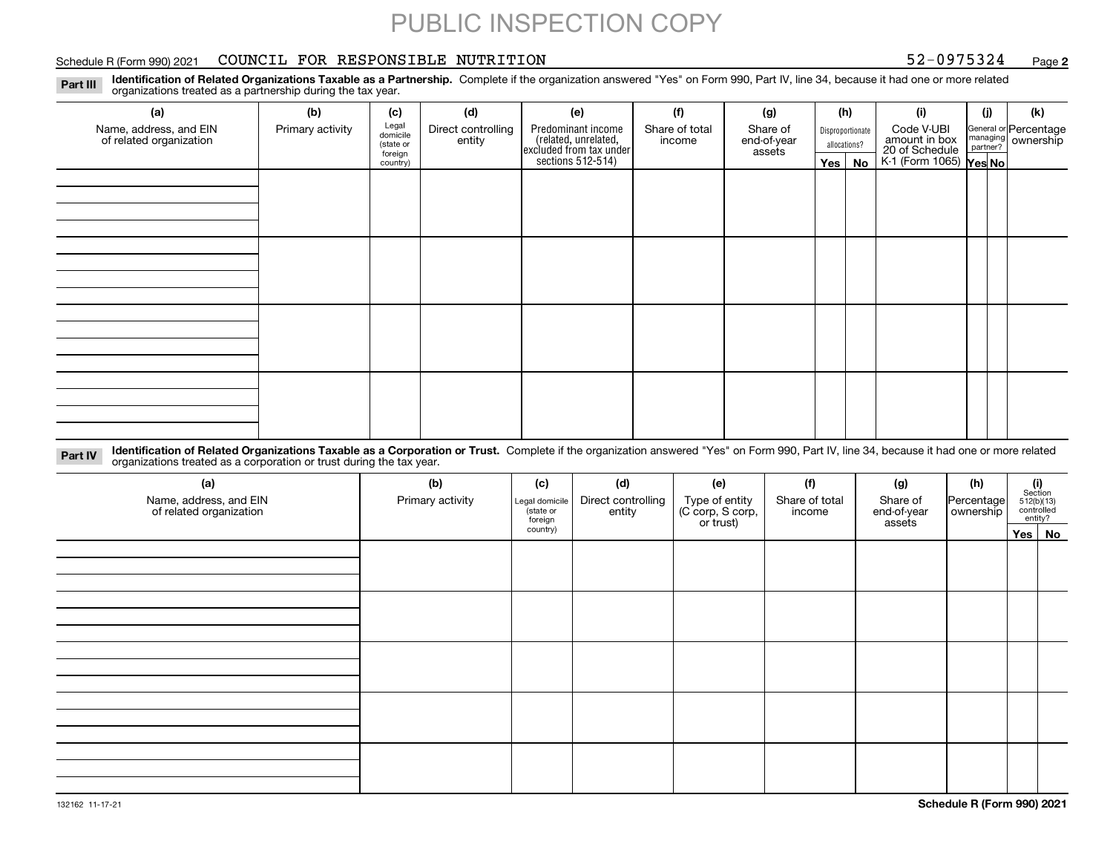### Schedule R (Form 990) 2021 COUNCIL FOR RESPONSIBLE NUTRITION 52-0975324 <sub>Page</sub>

**2**

**Identification of Related Organizations Taxable as a Partnership.** Complete if the organization answered "Yes" on Form 990, Part IV, line 34, because it had one or more related **Part III** organizations treated as a partnership during the tax year.

| (a)                                               | (b)              | (c)                  | (d)                          | (e)                                                                 | (f)                      | (g)                     |  | (h)              | (i)                                                       | (j) | (k)                                                     |
|---------------------------------------------------|------------------|----------------------|------------------------------|---------------------------------------------------------------------|--------------------------|-------------------------|--|------------------|-----------------------------------------------------------|-----|---------------------------------------------------------|
| Name, address, and EIN<br>of related organization | Primary activity | Legal<br>domicile    | Direct controlling<br>entity | Predominant income                                                  | Share of total<br>income | Share of<br>end-of-year |  | Disproportionate | Code V-UBI                                                |     | General or Percentage<br>managing ownership<br>partner? |
|                                                   |                  | (state or<br>foreign |                              |                                                                     |                          | assets                  |  | allocations?     |                                                           |     |                                                         |
|                                                   |                  | country)             |                              | related, unrelated,<br>excluded from tax under<br>sections 512-514) |                          |                         |  | Yes   No         | amount in box<br>20 of Schedule<br>K-1 (Form 1065) Yes No |     |                                                         |
|                                                   |                  |                      |                              |                                                                     |                          |                         |  |                  |                                                           |     |                                                         |
|                                                   |                  |                      |                              |                                                                     |                          |                         |  |                  |                                                           |     |                                                         |
|                                                   |                  |                      |                              |                                                                     |                          |                         |  |                  |                                                           |     |                                                         |
|                                                   |                  |                      |                              |                                                                     |                          |                         |  |                  |                                                           |     |                                                         |
|                                                   |                  |                      |                              |                                                                     |                          |                         |  |                  |                                                           |     |                                                         |
|                                                   |                  |                      |                              |                                                                     |                          |                         |  |                  |                                                           |     |                                                         |
|                                                   |                  |                      |                              |                                                                     |                          |                         |  |                  |                                                           |     |                                                         |
|                                                   |                  |                      |                              |                                                                     |                          |                         |  |                  |                                                           |     |                                                         |
|                                                   |                  |                      |                              |                                                                     |                          |                         |  |                  |                                                           |     |                                                         |
|                                                   |                  |                      |                              |                                                                     |                          |                         |  |                  |                                                           |     |                                                         |
|                                                   |                  |                      |                              |                                                                     |                          |                         |  |                  |                                                           |     |                                                         |
|                                                   |                  |                      |                              |                                                                     |                          |                         |  |                  |                                                           |     |                                                         |
|                                                   |                  |                      |                              |                                                                     |                          |                         |  |                  |                                                           |     |                                                         |
|                                                   |                  |                      |                              |                                                                     |                          |                         |  |                  |                                                           |     |                                                         |
|                                                   |                  |                      |                              |                                                                     |                          |                         |  |                  |                                                           |     |                                                         |
|                                                   |                  |                      |                              |                                                                     |                          |                         |  |                  |                                                           |     |                                                         |
|                                                   |                  |                      |                              |                                                                     |                          |                         |  |                  |                                                           |     |                                                         |

**Identification of Related Organizations Taxable as a Corporation or Trust.** Complete if the organization answered "Yes" on Form 990, Part IV, line 34, because it had one or more related **Part IV** organizations treated as a corporation or trust during the tax year.

| (a)<br>Name, address, and EIN<br>of related organization | (b)<br>Primary activity | (c)<br>Legal domicile<br>(state or<br>foreign | (d)<br>Direct controlling<br>entity | (e)<br>Type of entity<br>(C corp, S corp,<br>or trust) | (f)<br>Share of total<br>income | (g)<br>Share of<br>end-of-year<br>assets | (h)<br>Percentage<br>ownership | (i)<br>Section<br>$512(b)(13)$<br>controlled | entity? |
|----------------------------------------------------------|-------------------------|-----------------------------------------------|-------------------------------------|--------------------------------------------------------|---------------------------------|------------------------------------------|--------------------------------|----------------------------------------------|---------|
|                                                          |                         | country)                                      |                                     |                                                        |                                 |                                          |                                |                                              | Yes No  |
|                                                          |                         |                                               |                                     |                                                        |                                 |                                          |                                |                                              |         |
|                                                          |                         |                                               |                                     |                                                        |                                 |                                          |                                |                                              |         |
|                                                          |                         |                                               |                                     |                                                        |                                 |                                          |                                |                                              |         |
|                                                          |                         |                                               |                                     |                                                        |                                 |                                          |                                |                                              |         |
|                                                          |                         |                                               |                                     |                                                        |                                 |                                          |                                |                                              |         |
|                                                          |                         |                                               |                                     |                                                        |                                 |                                          |                                |                                              |         |
|                                                          |                         |                                               |                                     |                                                        |                                 |                                          |                                |                                              |         |
|                                                          |                         |                                               |                                     |                                                        |                                 |                                          |                                |                                              |         |
|                                                          |                         |                                               |                                     |                                                        |                                 |                                          |                                |                                              |         |
|                                                          |                         |                                               |                                     |                                                        |                                 |                                          |                                |                                              |         |
|                                                          |                         |                                               |                                     |                                                        |                                 |                                          |                                |                                              |         |
|                                                          |                         |                                               |                                     |                                                        |                                 |                                          |                                |                                              |         |
|                                                          |                         |                                               |                                     |                                                        |                                 |                                          |                                |                                              |         |
|                                                          |                         |                                               |                                     |                                                        |                                 |                                          |                                |                                              |         |
|                                                          |                         |                                               |                                     |                                                        |                                 |                                          |                                |                                              |         |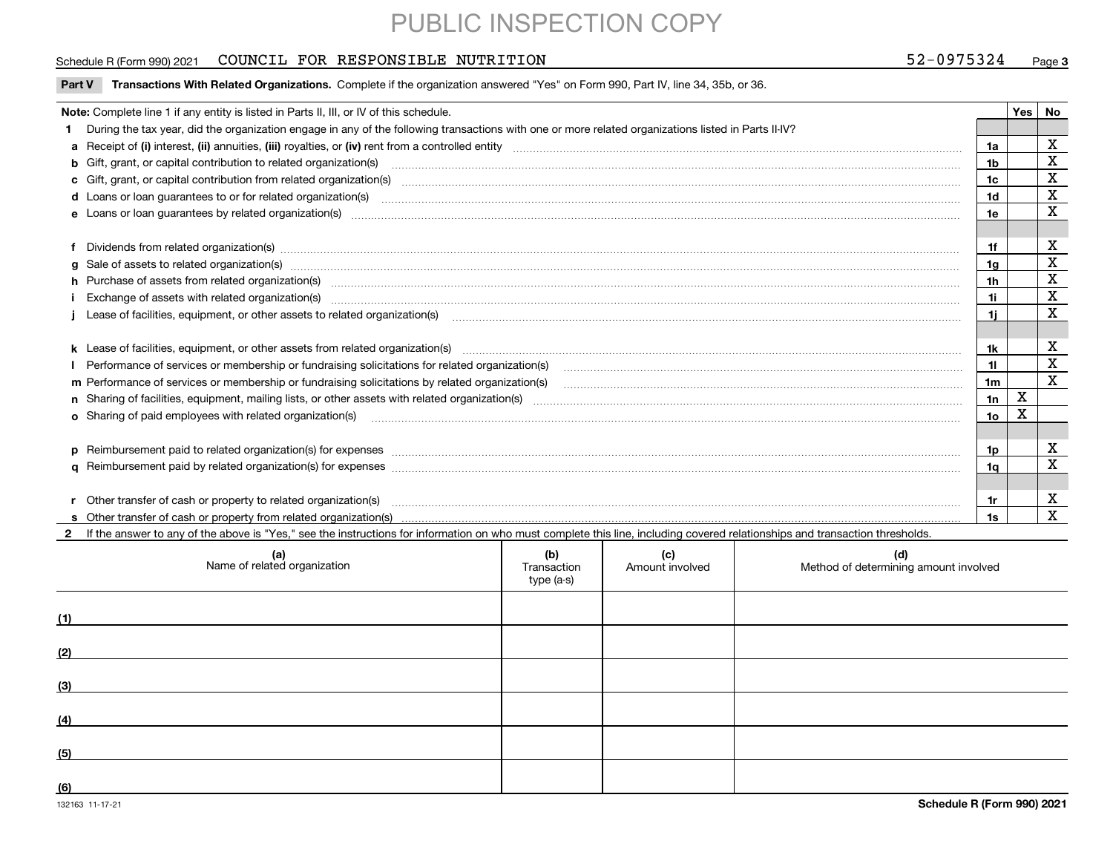### Schedule R (Form 990) 2021 COUNCIL FOR RESPONSIBLE NUTRITION 52-0975324 <sub>Page</sub>

### **3**

| Part V Transactions With Related Organizations. Complete if the organization answered "Yes" on Form 990, Part IV, line 34, 35b, or 36 |  |  |
|---------------------------------------------------------------------------------------------------------------------------------------|--|--|
|                                                                                                                                       |  |  |

| Note: Complete line 1 if any entity is listed in Parts II, III, or IV of this schedule.                                                                                                                                        |                 | <b>Yes</b> | No          |
|--------------------------------------------------------------------------------------------------------------------------------------------------------------------------------------------------------------------------------|-----------------|------------|-------------|
| 1 During the tax year, did the organization engage in any of the following transactions with one or more related organizations listed in Parts II-IV?                                                                          |                 |            |             |
|                                                                                                                                                                                                                                | 1a              |            | х           |
| b Gift, grant, or capital contribution to related organization(s) manufactured contains and contribution to related organization(s) manufactured contribution to related organization(s)                                       | 1b              |            | $\mathbf X$ |
|                                                                                                                                                                                                                                | 1c              |            | $\mathbf X$ |
|                                                                                                                                                                                                                                | 1d              |            | X           |
|                                                                                                                                                                                                                                | 1e              |            | X           |
|                                                                                                                                                                                                                                |                 |            |             |
| f Dividends from related organization(s) manufactured and contract the contract of the contract of the contract of the contract of the contract of the contract of the contract of the contract of the contract of the contrac | 1f              |            | х           |
|                                                                                                                                                                                                                                | 1g              |            | X           |
| h Purchase of assets from related organization(s) www.assettion.com/www.assettion.com/www.assettion.com/www.assettion.com/www.assettion.com/www.assettion.com/www.assettion.com/www.assettion.com/www.assettion.com/www.assett | 1h              |            | X           |
| Exchange of assets with related organization(s) www.assettion.com/www.assettion.com/www.assettion.com/www.assettion.com/www.assettion.com/www.assettion.com/www.assettion.com/www.assettion.com/www.assettion.com/www.assettio | 1i.             |            | X           |
|                                                                                                                                                                                                                                |                 |            | х           |
|                                                                                                                                                                                                                                |                 |            |             |
|                                                                                                                                                                                                                                | 1k              |            | х           |
| Performance of services or membership or fundraising solicitations for related organization(s)                                                                                                                                 | 11              |            | $\mathbf X$ |
| m Performance of services or membership or fundraising solicitations by related organization(s)                                                                                                                                | 1 <sub>m</sub>  |            | $\mathbf X$ |
|                                                                                                                                                                                                                                | 1n              | х          |             |
| <b>o</b> Sharing of paid employees with related organization(s)                                                                                                                                                                | 10 <sub>o</sub> |            |             |
|                                                                                                                                                                                                                                |                 |            |             |
|                                                                                                                                                                                                                                | 1p              |            | х           |
|                                                                                                                                                                                                                                | 1q              |            | х           |
|                                                                                                                                                                                                                                |                 |            |             |
| r Other transfer of cash or property to related organization(s)                                                                                                                                                                | 1r              |            | х           |
|                                                                                                                                                                                                                                | 1s              |            | X           |

**2**If the answer to any of the above is "Yes," see the instructions for information on who must complete this line, including covered relationships and transaction thresholds.

|     | (a)<br>Name of related organization | (b)<br>Transaction<br>type (a-s) | (c)<br>Amount involved | (d)<br>Method of determining amount involved |
|-----|-------------------------------------|----------------------------------|------------------------|----------------------------------------------|
| (1) |                                     |                                  |                        |                                              |
| (2) |                                     |                                  |                        |                                              |
| (3) |                                     |                                  |                        |                                              |
| (4) |                                     |                                  |                        |                                              |
| (5) |                                     |                                  |                        |                                              |
| (6) |                                     |                                  |                        |                                              |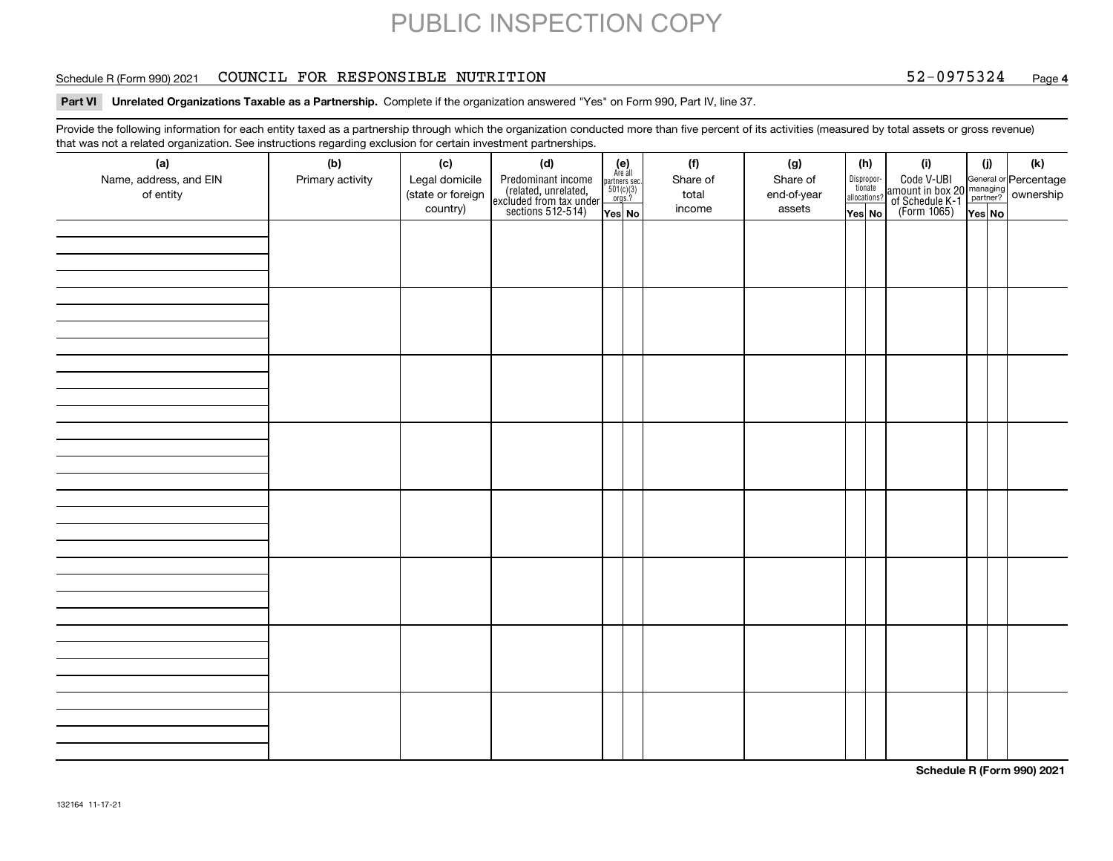#### Schedule R (Form 990) 2021 COUNCIL FOR RESPONSIBLE NUTRITION 52-0975324 <sub>Page</sub>

### **4**

**Part VI Unrelated Organizations Taxable as a Partnership.**  Complete if the organization answered "Yes" on Form 990, Part IV, line 37.

Provide the following information for each entity taxed as a partnership through which the organization conducted more than five percent of its activities (measured by total assets or gross revenue) that was not a related organization. See instructions regarding exclusion for certain investment partnerships.

| .                             | יי יישוטישייש טיי       |                       | .  . <b>. . .</b><br>                                                                      |                                                          |                 |                 |                       |                                                                                              |     | (k) |  |  |
|-------------------------------|-------------------------|-----------------------|--------------------------------------------------------------------------------------------|----------------------------------------------------------|-----------------|-----------------|-----------------------|----------------------------------------------------------------------------------------------|-----|-----|--|--|
| (a)<br>Name, address, and EIN | (b)<br>Primary activity | (c)<br>Legal domicile | (d)                                                                                        | (e)<br>Are all<br>partners sec.<br>$501(c)(3)$<br>orgs.? | (f)<br>Share of | (g)<br>Share of | (h)                   | (i)                                                                                          | (i) |     |  |  |
| of entity                     |                         | (state or foreign     | Predominant income<br>(related, unrelated,<br>excluded from tax under<br>sections 512-514) |                                                          | total           | end-of-year     | Dispropor-<br>tionate | Code V-UBI<br>amount in box 20 managing<br>of Schedule K-1 partner?<br>(Form 1065)<br>ves No |     |     |  |  |
|                               |                         | country)              |                                                                                            |                                                          | income          | assets          | allocations?          |                                                                                              |     |     |  |  |
|                               |                         |                       |                                                                                            | Yes No                                                   |                 |                 | Yes│No                |                                                                                              |     |     |  |  |
|                               |                         |                       |                                                                                            |                                                          |                 |                 |                       |                                                                                              |     |     |  |  |
|                               |                         |                       |                                                                                            |                                                          |                 |                 |                       |                                                                                              |     |     |  |  |
|                               |                         |                       |                                                                                            |                                                          |                 |                 |                       |                                                                                              |     |     |  |  |
|                               |                         |                       |                                                                                            |                                                          |                 |                 |                       |                                                                                              |     |     |  |  |
|                               |                         |                       |                                                                                            |                                                          |                 |                 |                       |                                                                                              |     |     |  |  |
|                               |                         |                       |                                                                                            |                                                          |                 |                 |                       |                                                                                              |     |     |  |  |
|                               |                         |                       |                                                                                            |                                                          |                 |                 |                       |                                                                                              |     |     |  |  |
|                               |                         |                       |                                                                                            |                                                          |                 |                 |                       |                                                                                              |     |     |  |  |
|                               |                         |                       |                                                                                            |                                                          |                 |                 |                       |                                                                                              |     |     |  |  |
|                               |                         |                       |                                                                                            |                                                          |                 |                 |                       |                                                                                              |     |     |  |  |
|                               |                         |                       |                                                                                            |                                                          |                 |                 |                       |                                                                                              |     |     |  |  |
|                               |                         |                       |                                                                                            |                                                          |                 |                 |                       |                                                                                              |     |     |  |  |
|                               |                         |                       |                                                                                            |                                                          |                 |                 |                       |                                                                                              |     |     |  |  |
|                               |                         |                       |                                                                                            |                                                          |                 |                 |                       |                                                                                              |     |     |  |  |
|                               |                         |                       |                                                                                            |                                                          |                 |                 |                       |                                                                                              |     |     |  |  |
|                               |                         |                       |                                                                                            |                                                          |                 |                 |                       |                                                                                              |     |     |  |  |
|                               |                         |                       |                                                                                            |                                                          |                 |                 |                       |                                                                                              |     |     |  |  |
|                               |                         |                       |                                                                                            |                                                          |                 |                 |                       |                                                                                              |     |     |  |  |
|                               |                         |                       |                                                                                            |                                                          |                 |                 |                       |                                                                                              |     |     |  |  |
|                               |                         |                       |                                                                                            |                                                          |                 |                 |                       |                                                                                              |     |     |  |  |
|                               |                         |                       |                                                                                            |                                                          |                 |                 |                       |                                                                                              |     |     |  |  |
|                               |                         |                       |                                                                                            |                                                          |                 |                 |                       |                                                                                              |     |     |  |  |
|                               |                         |                       |                                                                                            |                                                          |                 |                 |                       |                                                                                              |     |     |  |  |
|                               |                         |                       |                                                                                            |                                                          |                 |                 |                       |                                                                                              |     |     |  |  |
|                               |                         |                       |                                                                                            |                                                          |                 |                 |                       |                                                                                              |     |     |  |  |
|                               |                         |                       |                                                                                            |                                                          |                 |                 |                       |                                                                                              |     |     |  |  |
|                               |                         |                       |                                                                                            |                                                          |                 |                 |                       |                                                                                              |     |     |  |  |
|                               |                         |                       |                                                                                            |                                                          |                 |                 |                       |                                                                                              |     |     |  |  |
|                               |                         |                       |                                                                                            |                                                          |                 |                 |                       |                                                                                              |     |     |  |  |
|                               |                         |                       |                                                                                            |                                                          |                 |                 |                       |                                                                                              |     |     |  |  |
|                               |                         |                       |                                                                                            |                                                          |                 |                 |                       |                                                                                              |     |     |  |  |
|                               |                         |                       |                                                                                            |                                                          |                 |                 |                       |                                                                                              |     |     |  |  |
|                               |                         |                       |                                                                                            |                                                          |                 |                 |                       |                                                                                              |     |     |  |  |
|                               |                         |                       |                                                                                            |                                                          |                 |                 |                       |                                                                                              |     |     |  |  |
|                               |                         |                       |                                                                                            |                                                          |                 |                 |                       |                                                                                              |     |     |  |  |
|                               |                         |                       |                                                                                            |                                                          |                 |                 |                       |                                                                                              |     |     |  |  |

**Schedule R (Form 990) 2021**